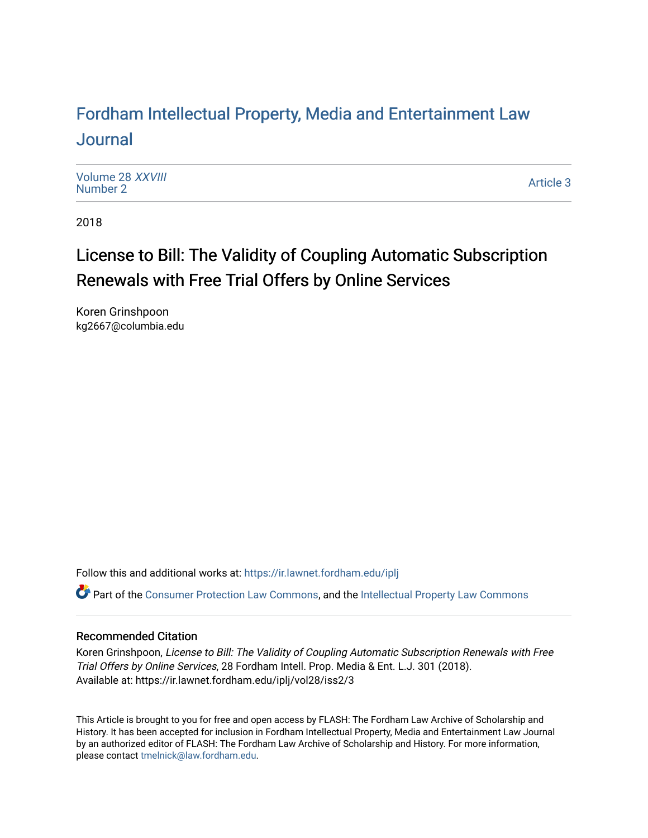## For[dham Intellectual Property, Media and Enter](https://ir.lawnet.fordham.edu/iplj)tainment Law [Journal](https://ir.lawnet.fordham.edu/iplj)

[Volume 28](https://ir.lawnet.fordham.edu/iplj/vol28) XXVIII<br>Number 2 [Number 2](https://ir.lawnet.fordham.edu/iplj/vol28/iss2) And Mathematic 3 [Article 3](https://ir.lawnet.fordham.edu/iplj/vol28/iss2/3) Article 3 Article 3 Article 3 Article 3 Article 3

2018

## License to Bill: The Validity of Coupling Automatic Subscription Renewals with Free Trial Offers by Online Services

Koren Grinshpoon kg2667@columbia.edu

Follow this and additional works at: [https://ir.lawnet.fordham.edu/iplj](https://ir.lawnet.fordham.edu/iplj?utm_source=ir.lawnet.fordham.edu%2Fiplj%2Fvol28%2Fiss2%2F3&utm_medium=PDF&utm_campaign=PDFCoverPages) 

Part of the [Consumer Protection Law Commons,](http://network.bepress.com/hgg/discipline/838?utm_source=ir.lawnet.fordham.edu%2Fiplj%2Fvol28%2Fiss2%2F3&utm_medium=PDF&utm_campaign=PDFCoverPages) and the [Intellectual Property Law Commons](http://network.bepress.com/hgg/discipline/896?utm_source=ir.lawnet.fordham.edu%2Fiplj%2Fvol28%2Fiss2%2F3&utm_medium=PDF&utm_campaign=PDFCoverPages) 

## Recommended Citation

Koren Grinshpoon, License to Bill: The Validity of Coupling Automatic Subscription Renewals with Free Trial Offers by Online Services, 28 Fordham Intell. Prop. Media & Ent. L.J. 301 (2018). Available at: https://ir.lawnet.fordham.edu/iplj/vol28/iss2/3

This Article is brought to you for free and open access by FLASH: The Fordham Law Archive of Scholarship and History. It has been accepted for inclusion in Fordham Intellectual Property, Media and Entertainment Law Journal by an authorized editor of FLASH: The Fordham Law Archive of Scholarship and History. For more information, please contact [tmelnick@law.fordham.edu](mailto:tmelnick@law.fordham.edu).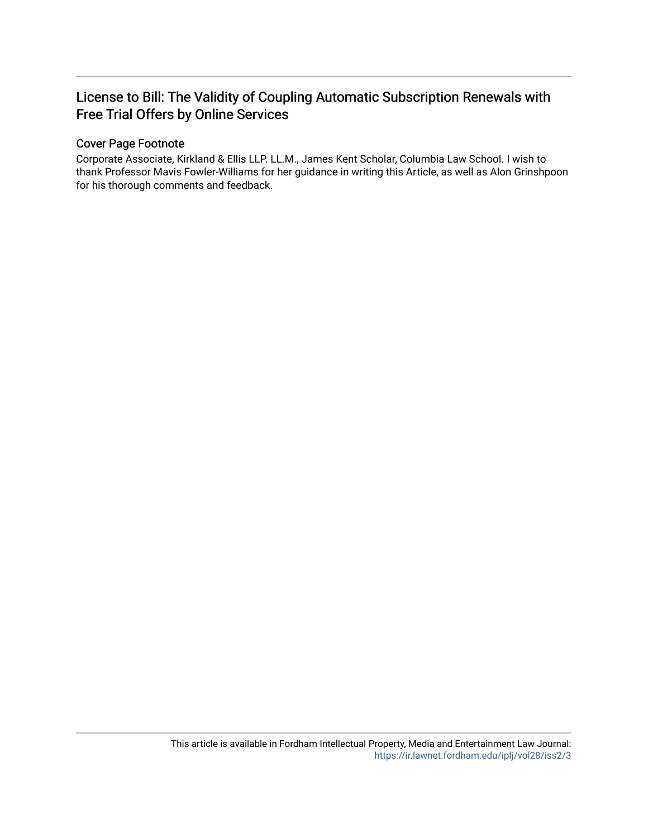## License to Bill: The Validity of Coupling Automatic Subscription Renewals with Free Trial Offers by Online Services

## Cover Page Footnote

Corporate Associate, Kirkland & Ellis LLP. LL.M., James Kent Scholar, Columbia Law School. I wish to thank Professor Mavis Fowler-Williams for her guidance in writing this Article, as well as Alon Grinshpoon for his thorough comments and feedback.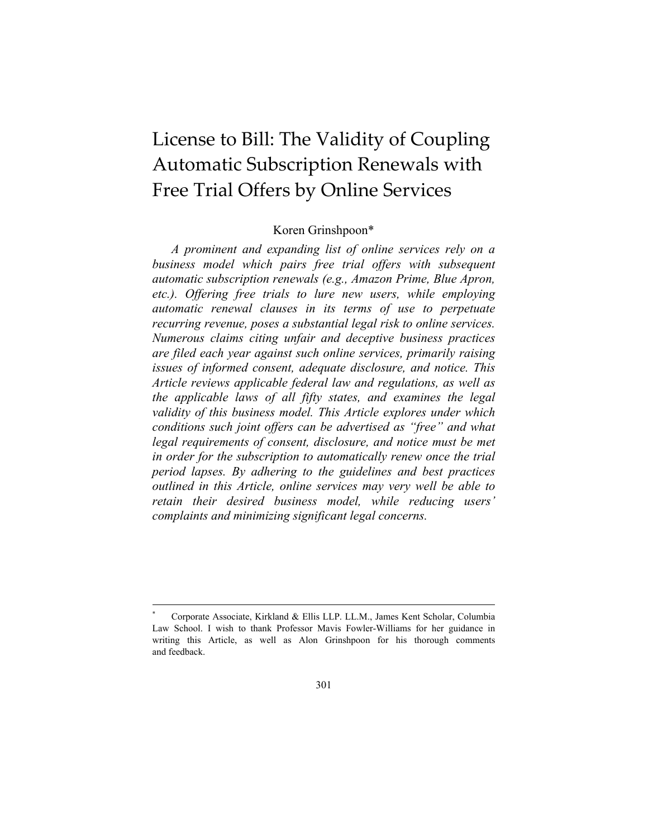# License to Bill: The Validity of Coupling Automatic Subscription Renewals with Free Trial Offers by Online Services

## Koren Grinshpoon\*

*A prominent and expanding list of online services rely on a business model which pairs free trial offers with subsequent automatic subscription renewals (e.g., Amazon Prime, Blue Apron, etc.). Offering free trials to lure new users, while employing automatic renewal clauses in its terms of use to perpetuate recurring revenue, poses a substantial legal risk to online services. Numerous claims citing unfair and deceptive business practices are filed each year against such online services, primarily raising issues of informed consent, adequate disclosure, and notice. This Article reviews applicable federal law and regulations, as well as the applicable laws of all fifty states, and examines the legal validity of this business model. This Article explores under which conditions such joint offers can be advertised as "free" and what*  legal requirements of consent, disclosure, and notice must be met *in order for the subscription to automatically renew once the trial period lapses. By adhering to the guidelines and best practices outlined in this Article, online services may very well be able to retain their desired business model, while reducing users' complaints and minimizing significant legal concerns.*

<sup>\*</sup> Corporate Associate, Kirkland & Ellis LLP. LL.M., James Kent Scholar, Columbia Law School. I wish to thank Professor Mavis Fowler-Williams for her guidance in writing this Article, as well as Alon Grinshpoon for his thorough comments and feedback.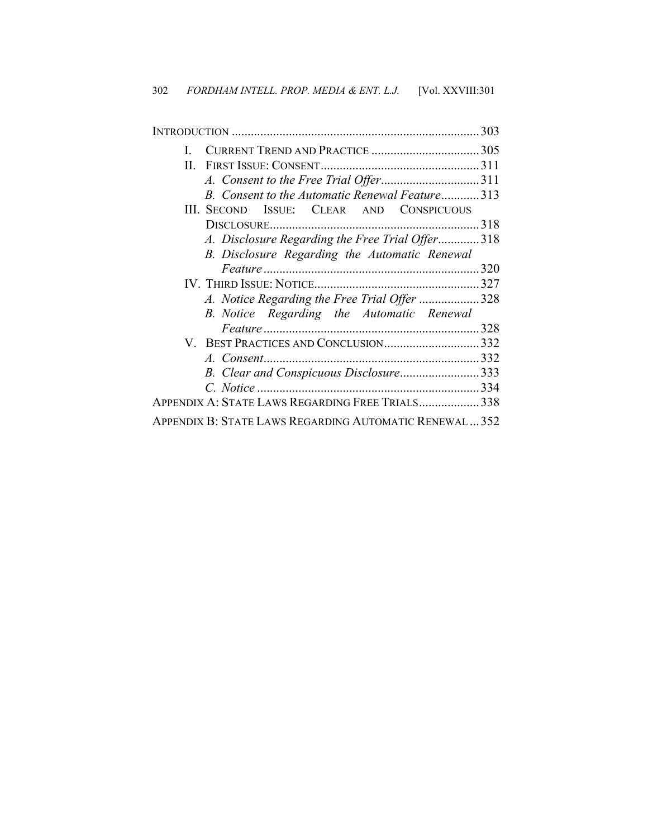|                                                        | 303 |
|--------------------------------------------------------|-----|
| L                                                      |     |
|                                                        |     |
|                                                        |     |
| B. Consent to the Automatic Renewal Feature313         |     |
| III. SECOND ISSUE: CLEAR AND CONSPICUOUS               |     |
|                                                        | 318 |
| A. Disclosure Regarding the Free Trial Offer318        |     |
| B. Disclosure Regarding the Automatic Renewal          |     |
|                                                        | 320 |
|                                                        |     |
| A. Notice Regarding the Free Trial Offer 328           |     |
| B. Notice Regarding the Automatic Renewal              |     |
|                                                        | 328 |
| V. BEST PRACTICES AND CONCLUSION332                    |     |
|                                                        |     |
| B. Clear and Conspicuous Disclosure333                 |     |
|                                                        |     |
| APPENDIX A: STATE LAWS REGARDING FREE TRIALS 338       |     |
| APPENDIX B: STATE LAWS REGARDING AUTOMATIC RENEWAL 352 |     |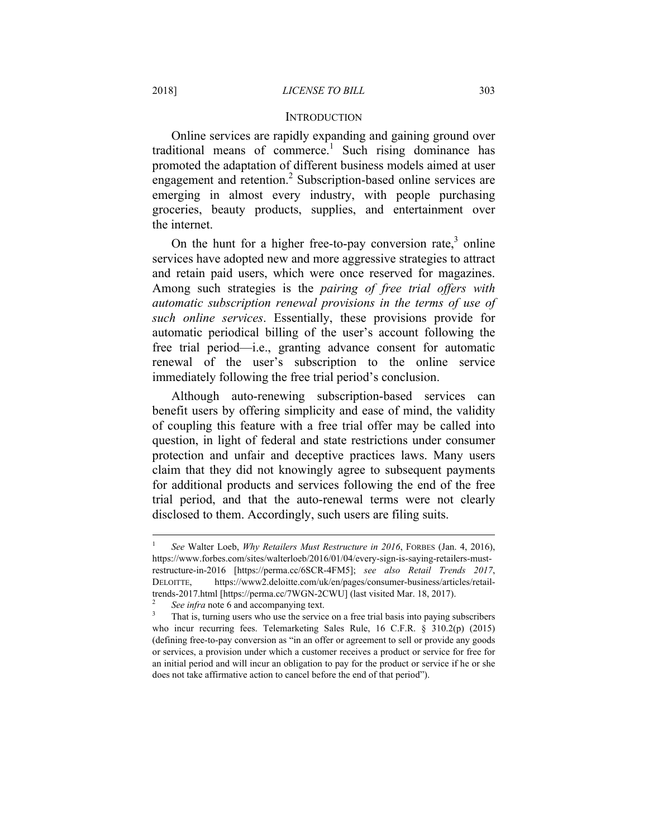### **INTRODUCTION**

Online services are rapidly expanding and gaining ground over traditional means of commerce.<sup>1</sup> Such rising dominance has promoted the adaptation of different business models aimed at user engagement and retention.<sup>2</sup> Subscription-based online services are emerging in almost every industry, with people purchasing groceries, beauty products, supplies, and entertainment over the internet.

On the hunt for a higher free-to-pay conversion rate, $3$  online services have adopted new and more aggressive strategies to attract and retain paid users, which were once reserved for magazines. Among such strategies is the *pairing of free trial offers with automatic subscription renewal provisions in the terms of use of such online services*. Essentially, these provisions provide for automatic periodical billing of the user's account following the free trial period—i.e., granting advance consent for automatic renewal of the user's subscription to the online service immediately following the free trial period's conclusion.

Although auto-renewing subscription-based services can benefit users by offering simplicity and ease of mind, the validity of coupling this feature with a free trial offer may be called into question, in light of federal and state restrictions under consumer protection and unfair and deceptive practices laws. Many users claim that they did not knowingly agree to subsequent payments for additional products and services following the end of the free trial period, and that the auto-renewal terms were not clearly disclosed to them. Accordingly, such users are filing suits.

<sup>1</sup>  *See* Walter Loeb, *Why Retailers Must Restructure in 2016*, FORBES (Jan. 4, 2016), https://www.forbes.com/sites/walterloeb/2016/01/04/every-sign-is-saying-retailers-mustrestructure-in-2016 [https://perma.cc/6SCR-4FM5]; *see also Retail Trends 2017*, DELOITTE, https://www2.deloitte.com/uk/en/pages/consumer-business/articles/retailtrends-2017.html [https://perma.cc/7WGN-2CWU] (last visited Mar. 18, 2017).

<sup>2</sup> *See infra* note 6 and accompanying text.

That is, turning users who use the service on a free trial basis into paying subscribers who incur recurring fees. Telemarketing Sales Rule, 16 C.F.R. § 310.2(p) (2015) (defining free-to-pay conversion as "in an offer or agreement to sell or provide any goods or services, a provision under which a customer receives a product or service for free for an initial period and will incur an obligation to pay for the product or service if he or she does not take affirmative action to cancel before the end of that period").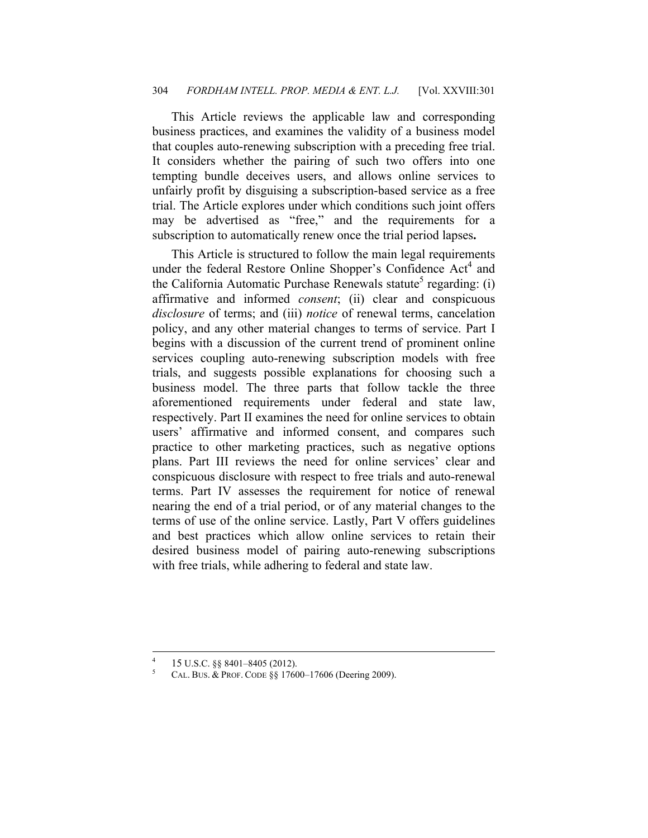This Article reviews the applicable law and corresponding business practices, and examines the validity of a business model that couples auto-renewing subscription with a preceding free trial. It considers whether the pairing of such two offers into one tempting bundle deceives users, and allows online services to unfairly profit by disguising a subscription-based service as a free trial. The Article explores under which conditions such joint offers may be advertised as "free," and the requirements for a subscription to automatically renew once the trial period lapses**.** 

This Article is structured to follow the main legal requirements under the federal Restore Online Shopper's Confidence Act<sup>4</sup> and the California Automatic Purchase Renewals statute<sup>5</sup> regarding: (i) affirmative and informed *consent*; (ii) clear and conspicuous *disclosure* of terms; and (iii) *notice* of renewal terms, cancelation policy, and any other material changes to terms of service. Part I begins with a discussion of the current trend of prominent online services coupling auto-renewing subscription models with free trials, and suggests possible explanations for choosing such a business model. The three parts that follow tackle the three aforementioned requirements under federal and state law, respectively. Part II examines the need for online services to obtain users' affirmative and informed consent, and compares such practice to other marketing practices, such as negative options plans. Part III reviews the need for online services' clear and conspicuous disclosure with respect to free trials and auto-renewal terms. Part IV assesses the requirement for notice of renewal nearing the end of a trial period, or of any material changes to the terms of use of the online service. Lastly, Part V offers guidelines and best practices which allow online services to retain their desired business model of pairing auto-renewing subscriptions with free trials, while adhering to federal and state law.

<sup>4</sup> <sup>4</sup> 15 U.S.C. §§ 8401–8405 (2012).

CAL. BUS. & PROF. CODE §§ 17600–17606 (Deering 2009).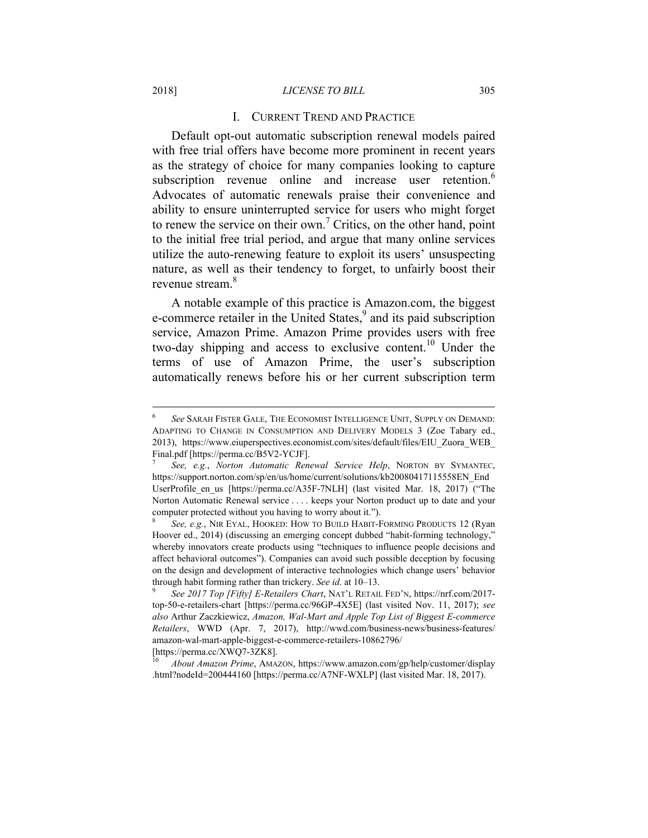#### 2018] *LICENSE TO BILL* 305

#### I. CURRENT TREND AND PRACTICE

Default opt-out automatic subscription renewal models paired with free trial offers have become more prominent in recent years as the strategy of choice for many companies looking to capture subscription revenue online and increase user retention.<sup>6</sup> Advocates of automatic renewals praise their convenience and ability to ensure uninterrupted service for users who might forget to renew the service on their own.<sup>7</sup> Critics, on the other hand, point to the initial free trial period, and argue that many online services utilize the auto-renewing feature to exploit its users' unsuspecting nature, as well as their tendency to forget, to unfairly boost their revenue stream.<sup>8</sup>

A notable example of this practice is Amazon.com, the biggest e-commerce retailer in the United States,<sup>9</sup> and its paid subscription service, Amazon Prime. Amazon Prime provides users with free two-day shipping and access to exclusive content.<sup>10</sup> Under the terms of use of Amazon Prime, the user's subscription automatically renews before his or her current subscription term

<sup>6</sup>  *See* SARAH FISTER GALE, THE ECONOMIST INTELLIGENCE UNIT, SUPPLY ON DEMAND: ADAPTING TO CHANGE IN CONSUMPTION AND DELIVERY MODELS 3 (Zoe Tabary ed., 2013), https://www.eiuperspectives.economist.com/sites/default/files/EIU\_Zuora\_WEB\_ Final.pdf [https://perma.cc/B5V2-YCJF].

<sup>7</sup>  *See, e.g.*, *Norton Automatic Renewal Service Help*, NORTON BY SYMANTEC, https://support.norton.com/sp/en/us/home/current/solutions/kb20080417115558EN\_End UserProfile en us [https://perma.cc/A35F-7NLH] (last visited Mar. 18, 2017) ("The Norton Automatic Renewal service . . . . keeps your Norton product up to date and your computer protected without you having to worry about it.").

<sup>8</sup>  *See, e.g.*, NIR EYAL, HOOKED: HOW TO BUILD HABIT-FORMING PRODUCTS 12 (Ryan Hoover ed., 2014) (discussing an emerging concept dubbed "habit-forming technology," whereby innovators create products using "techniques to influence people decisions and affect behavioral outcomes"). Companies can avoid such possible deception by focusing on the design and development of interactive technologies which change users' behavior through habit forming rather than trickery. *See id*. at 10–13. 9

*See 2017 Top [Fifty] E-Retailers Chart*, NAT'L RETAIL FED'N, https://nrf.com/2017 top-50-e-retailers-chart [https://perma.cc/96GP-4X5E] (last visited Nov. 11, 2017); *see also* Arthur Zaczkiewicz, *Amazon, Wal-Mart and Apple Top List of Biggest E-commerce Retailers*, WWD (Apr. 7, 2017), http://wwd.com/business-news/business-features/ amazon-wal-mart-apple-biggest-e-commerce-retailers-10862796/ [https://perma.cc/XWQ7-3ZK8].

<sup>10</sup> *About Amazon Prime*, AMAZON, https://www.amazon.com/gp/help/customer/display .html?nodeId=200444160 [https://perma.cc/A7NF-WXLP] (last visited Mar. 18, 2017).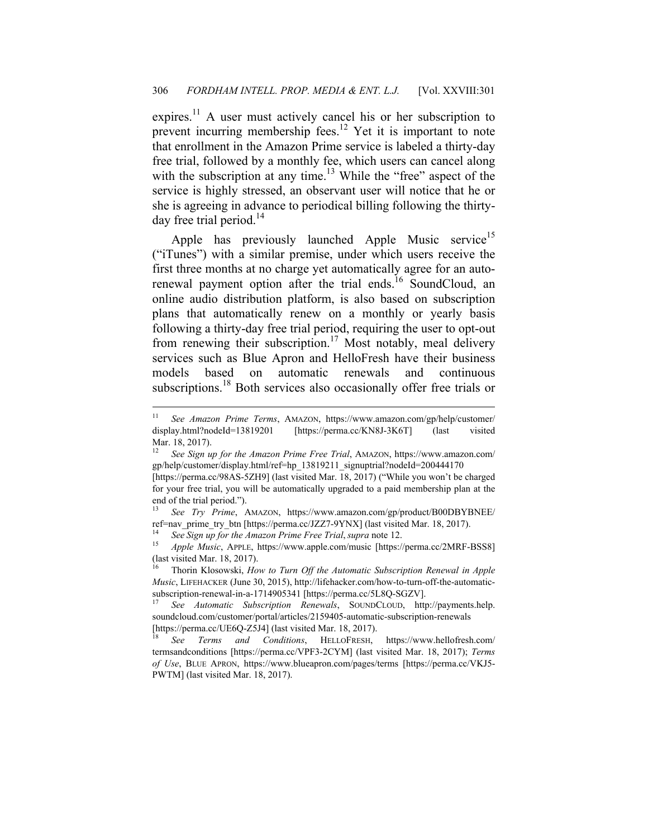expires.<sup>11</sup> A user must actively cancel his or her subscription to prevent incurring membership fees.<sup>12</sup> Yet it is important to note that enrollment in the Amazon Prime service is labeled a thirty-day free trial, followed by a monthly fee, which users can cancel along with the subscription at any time.<sup>13</sup> While the "free" aspect of the service is highly stressed, an observant user will notice that he or she is agreeing in advance to periodical billing following the thirtyday free trial period. $14$ 

Apple has previously launched Apple Music service<sup>15</sup> ("iTunes") with a similar premise, under which users receive the first three months at no charge yet automatically agree for an autorenewal payment option after the trial ends.<sup>16</sup> SoundCloud, an online audio distribution platform, is also based on subscription plans that automatically renew on a monthly or yearly basis following a thirty-day free trial period, requiring the user to opt-out from renewing their subscription.<sup>17</sup> Most notably, meal delivery services such as Blue Apron and HelloFresh have their business models based on automatic renewals and continuous subscriptions.<sup>18</sup> Both services also occasionally offer free trials or

<sup>11</sup> *See Amazon Prime Terms*, AMAZON, https://www.amazon.com/gp/help/customer/ display.html?nodeId=13819201 [https://perma.cc/KN8J-3K6T] (last visited Mar. 18, 2017).

<sup>12</sup> *See Sign up for the Amazon Prime Free Trial*, AMAZON, https://www.amazon.com/ gp/help/customer/display.html/ref=hp\_13819211\_signuptrial?nodeId=200444170 [https://perma.cc/98AS-5ZH9] (last visited Mar. 18, 2017) ("While you won't be charged for your free trial, you will be automatically upgraded to a paid membership plan at the end of the trial period.").

<sup>13</sup> *See Try Prime*, AMAZON, https://www.amazon.com/gp/product/B00DBYBNEE/ ref=nav\_prime\_try\_btn [https://perma.cc/JZZ7-9YNX] (last visited Mar. 18, 2017).

<sup>&</sup>lt;sup>14</sup> See Sign up for the Amazon Prime Free Trial, supra note 12.<br><sup>15</sup> Apple Music, APPLE, https://www.apple.com/music [https://perma.cc/2MRF-BSS8] (last visited Mar. 18, 2017).

<sup>16</sup> Thorin Klosowski, *How to Turn Off the Automatic Subscription Renewal in Apple Music*, LIFEHACKER (June 30, 2015), http://lifehacker.com/how-to-turn-off-the-automaticsubscription-renewal-in-a-1714905341 [https://perma.cc/5L8Q-SGZV].

<sup>17</sup> *See Automatic Subscription Renewals*, SOUNDCLOUD, http://payments.help. soundcloud.com/customer/portal/articles/2159405-automatic-subscription-renewals [https://perma.cc/UE6Q-Z5J4] (last visited Mar. 18, 2017).

<sup>18</sup> *See Terms and Conditions*, HELLOFRESH, https://www.hellofresh.com/ termsandconditions [https://perma.cc/VPF3-2CYM] (last visited Mar. 18, 2017); *Terms of Use*, BLUE APRON, https://www.blueapron.com/pages/terms [https://perma.cc/VKJ5- PWTM] (last visited Mar. 18, 2017).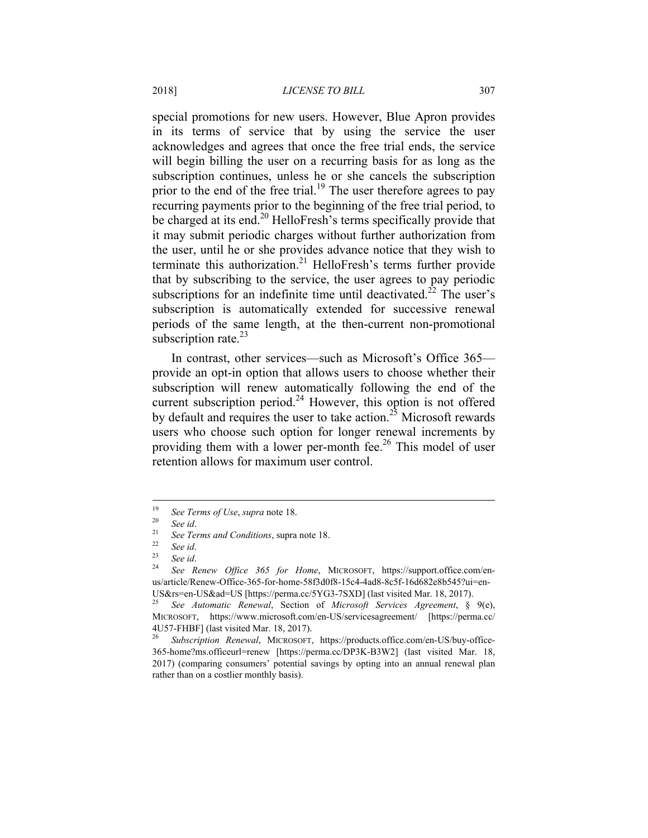special promotions for new users. However, Blue Apron provides in its terms of service that by using the service the user acknowledges and agrees that once the free trial ends, the service will begin billing the user on a recurring basis for as long as the subscription continues, unless he or she cancels the subscription prior to the end of the free trial.<sup>19</sup> The user therefore agrees to pay recurring payments prior to the beginning of the free trial period, to be charged at its end.<sup>20</sup> HelloFresh's terms specifically provide that it may submit periodic charges without further authorization from the user, until he or she provides advance notice that they wish to terminate this authorization.<sup>21</sup> HelloFresh's terms further provide that by subscribing to the service, the user agrees to pay periodic subscriptions for an indefinite time until deactivated.<sup>22</sup> The user's subscription is automatically extended for successive renewal periods of the same length, at the then-current non-promotional subscription rate. $^{23}$ 

In contrast, other services—such as Microsoft's Office 365 provide an opt-in option that allows users to choose whether their subscription will renew automatically following the end of the current subscription period.<sup>24</sup> However, this option is not offered by default and requires the user to take action.<sup>25</sup> Microsoft rewards users who choose such option for longer renewal increments by providing them with a lower per-month fee.<sup>26</sup> This model of user retention allows for maximum user control.

<sup>&</sup>lt;sup>19</sup> See Terms of Use, *supra* note 18.

<sup>20</sup> *See id*. 21 *See Terms and Conditions*, supra note 18. 22 *See id*. 23 *See id*. 24 *See Renew Office 365 for Home*, MICROSOFT, https://support.office.com/enus/article/Renew-Office-365-for-home-58f3d0f8-15c4-4ad8-8c5f-16d682e8b545?ui=en-US&rs=en-US&ad=US [https://perma.cc/5YG3-7SXD] (last visited Mar. 18, 2017).

<sup>25</sup> *See Automatic Renewal*, Section of *Microsoft Services Agreement*, § 9(e), MICROSOFT, https://www.microsoft.com/en-US/servicesagreement/ [https://perma.cc/ 4U57-FHBF] (last visited Mar. 18, 2017).

<sup>26</sup> *Subscription Renewal*, MICROSOFT, https://products.office.com/en-US/buy-office-365-home?ms.officeurl=renew [https://perma.cc/DP3K-B3W2] (last visited Mar. 18, 2017) (comparing consumers' potential savings by opting into an annual renewal plan rather than on a costlier monthly basis).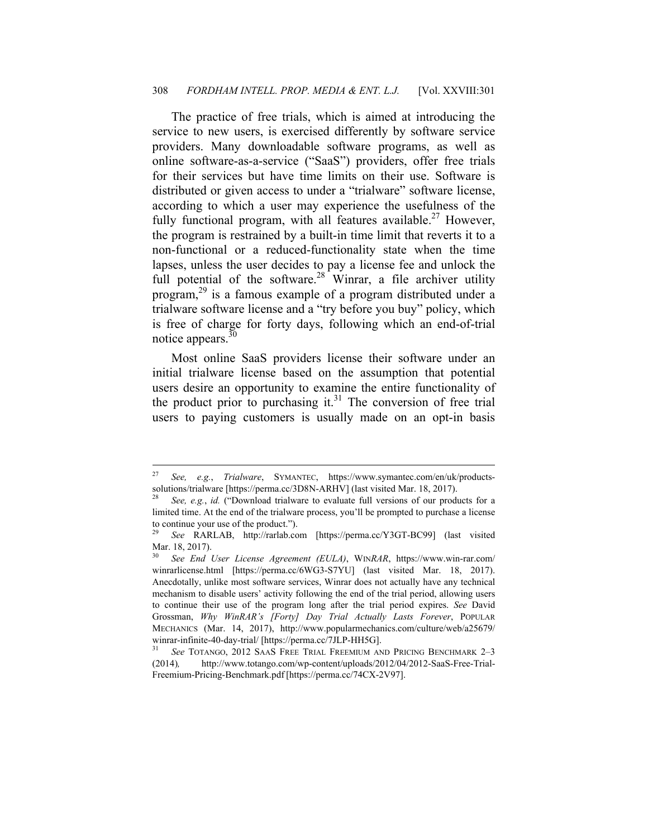The practice of free trials, which is aimed at introducing the service to new users, is exercised differently by software service providers. Many downloadable software programs, as well as online software-as-a-service ("SaaS") providers, offer free trials for their services but have time limits on their use. Software is distributed or given access to under a "trialware" software license, according to which a user may experience the usefulness of the fully functional program, with all features available.<sup>27</sup> However, the program is restrained by a built-in time limit that reverts it to a non-functional or a reduced-functionality state when the time lapses, unless the user decides to pay a license fee and unlock the full potential of the software.<sup>28</sup> Winrar, a file archiver utility program,29 is a famous example of a program distributed under a trialware software license and a "try before you buy" policy, which is free of charge for forty days, following which an end-of-trial notice appears.<sup>30</sup>

Most online SaaS providers license their software under an initial trialware license based on the assumption that potential users desire an opportunity to examine the entire functionality of the product prior to purchasing it.<sup>31</sup> The conversion of free trial users to paying customers is usually made on an opt-in basis

<sup>27</sup> *See, e.g.*, *Trialware*, SYMANTEC, https://www.symantec.com/en/uk/productssolutions/trialware [https://perma.cc/3D8N-ARHV] (last visited Mar. 18, 2017).

See, e.g., *id.* ("Download trialware to evaluate full versions of our products for a limited time. At the end of the trialware process, you'll be prompted to purchase a license to continue your use of the product.").

<sup>29</sup> *See* RARLAB, http://rarlab.com [https://perma.cc/Y3GT-BC99] (last visited Mar. 18, 2017).

<sup>30</sup> *See End User License Agreement (EULA)*, WIN*RAR*, https://www.win-rar.com/ winrarlicense.html [https://perma.cc/6WG3-S7YU] (last visited Mar. 18, 2017). Anecdotally, unlike most software services, Winrar does not actually have any technical mechanism to disable users' activity following the end of the trial period, allowing users to continue their use of the program long after the trial period expires. *See* David Grossman, *Why WinRAR's [Forty] Day Trial Actually Lasts Forever*, POPULAR MECHANICS (Mar. 14, 2017), http://www.popularmechanics.com/culture/web/a25679/ winrar-infinite-40-day-trial/ [https://perma.cc/7JLP-HH5G].

<sup>31</sup> *See* TOTANGO, 2012 SAAS FREE TRIAL FREEMIUM AND PRICING BENCHMARK 2–3 (2014)*,* http://www.totango.com/wp-content/uploads/2012/04/2012-SaaS-Free-Trial-Freemium-Pricing-Benchmark.pdf [https://perma.cc/74CX-2V97].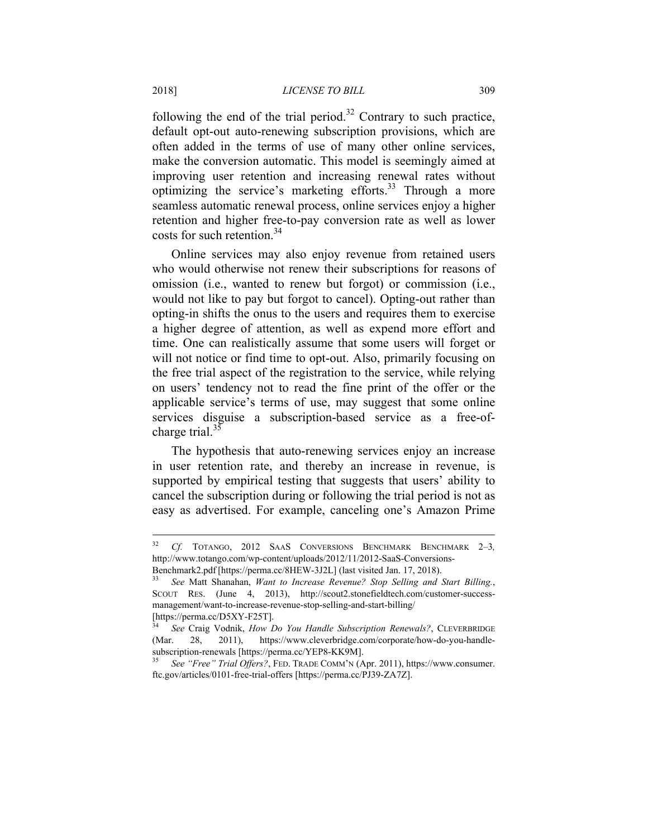following the end of the trial period.<sup>32</sup> Contrary to such practice, default opt-out auto-renewing subscription provisions, which are often added in the terms of use of many other online services, make the conversion automatic. This model is seemingly aimed at improving user retention and increasing renewal rates without optimizing the service's marketing efforts.<sup>33</sup> Through a more seamless automatic renewal process, online services enjoy a higher retention and higher free-to-pay conversion rate as well as lower costs for such retention.<sup>34</sup>

Online services may also enjoy revenue from retained users who would otherwise not renew their subscriptions for reasons of omission (i.e., wanted to renew but forgot) or commission (i.e., would not like to pay but forgot to cancel). Opting-out rather than opting-in shifts the onus to the users and requires them to exercise a higher degree of attention, as well as expend more effort and time. One can realistically assume that some users will forget or will not notice or find time to opt-out. Also, primarily focusing on the free trial aspect of the registration to the service, while relying on users' tendency not to read the fine print of the offer or the applicable service's terms of use, may suggest that some online services disguise a subscription-based service as a free-ofcharge trial. $35$ 

The hypothesis that auto-renewing services enjoy an increase in user retention rate, and thereby an increase in revenue, is supported by empirical testing that suggests that users' ability to cancel the subscription during or following the trial period is not as easy as advertised. For example, canceling one's Amazon Prime

<sup>32</sup> *Cf.* TOTANGO, 2012 SAAS CONVERSIONS BENCHMARK BENCHMARK 2–3*,* http://www.totango.com/wp-content/uploads/2012/11/2012-SaaS-Conversions-

Benchmark2.pdf [https://perma.cc/8HEW-3J2L] (last visited Jan. 17, 2018). 33 *See* Matt Shanahan, *Want to Increase Revenue? Stop Selling and Start Billing.*, SCOUT RES. (June 4, 2013), http://scout2.stonefieldtech.com/customer-successmanagement/want-to-increase-revenue-stop-selling-and-start-billing/ [https://perma.cc/D5XY-F25T].

<sup>34</sup> *See* Craig Vodnik, *How Do You Handle Subscription Renewals?*, CLEVERBRIDGE (Mar. 28, 2011), https://www.cleverbridge.com/corporate/how-do-you-handlesubscription-renewals [https://perma.cc/YEP8-KK9M].

<sup>35</sup> *See "Free" Trial Offers?*, FED. TRADE COMM'N (Apr. 2011), https://www.consumer. ftc.gov/articles/0101-free-trial-offers [https://perma.cc/PJ39-ZA7Z].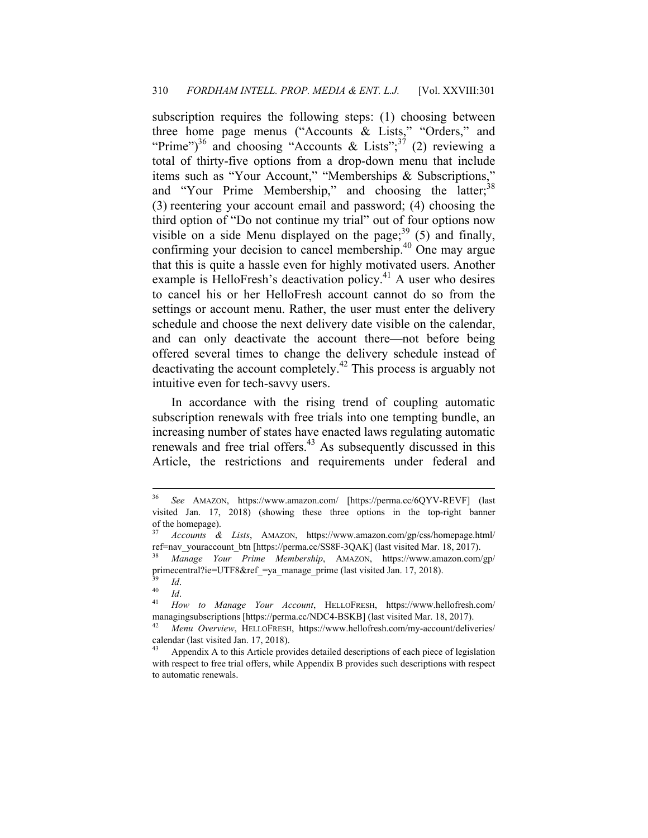subscription requires the following steps: (1) choosing between three home page menus ("Accounts & Lists," "Orders," and "Prime")<sup>36</sup> and choosing "Accounts & Lists";<sup>37</sup> (2) reviewing a total of thirty-five options from a drop-down menu that include items such as "Your Account," "Memberships & Subscriptions," and "Your Prime Membership," and choosing the latter;<sup>38</sup> (3) reentering your account email and password; (4) choosing the third option of "Do not continue my trial" out of four options now visible on a side Menu displayed on the page; $39$  (5) and finally, confirming your decision to cancel membership.40 One may argue that this is quite a hassle even for highly motivated users. Another example is HelloFresh's deactivation policy.<sup>41</sup> A user who desires to cancel his or her HelloFresh account cannot do so from the settings or account menu. Rather, the user must enter the delivery schedule and choose the next delivery date visible on the calendar, and can only deactivate the account there—not before being offered several times to change the delivery schedule instead of deactivating the account completely.42 This process is arguably not intuitive even for tech-savvy users.

In accordance with the rising trend of coupling automatic subscription renewals with free trials into one tempting bundle, an increasing number of states have enacted laws regulating automatic renewals and free trial offers.<sup>43</sup> As subsequently discussed in this Article, the restrictions and requirements under federal and

<sup>36</sup> *See* AMAZON, https://www.amazon.com/ [https://perma.cc/6QYV-REVF] (last visited Jan. 17, 2018) (showing these three options in the top-right banner of the homepage).

<sup>37</sup> *Accounts & Lists*, AMAZON, https://www.amazon.com/gp/css/homepage.html/ ref=nav\_youraccount\_btn [https://perma.cc/SS8F-3QAK] (last visited Mar. 18, 2017).

<sup>38</sup> *Manage Your Prime Membership*, AMAZON, https://www.amazon.com/gp/ primecentral?ie=UTF8&ref\_=ya\_manage\_prime (last visited Jan. 17, 2018).

<sup>39</sup> *Id*. 40 *Id*. 41 *How to Manage Your Account*, HELLOFRESH, https://www.hellofresh.com/ managingsubscriptions [https://perma.cc/NDC4-BSKB] (last visited Mar. 18, 2017).

<sup>42</sup> *Menu Overview*, HELLOFRESH, https://www.hellofresh.com/my-account/deliveries/ calendar (last visited Jan. 17, 2018).

Appendix A to this Article provides detailed descriptions of each piece of legislation with respect to free trial offers, while Appendix B provides such descriptions with respect to automatic renewals.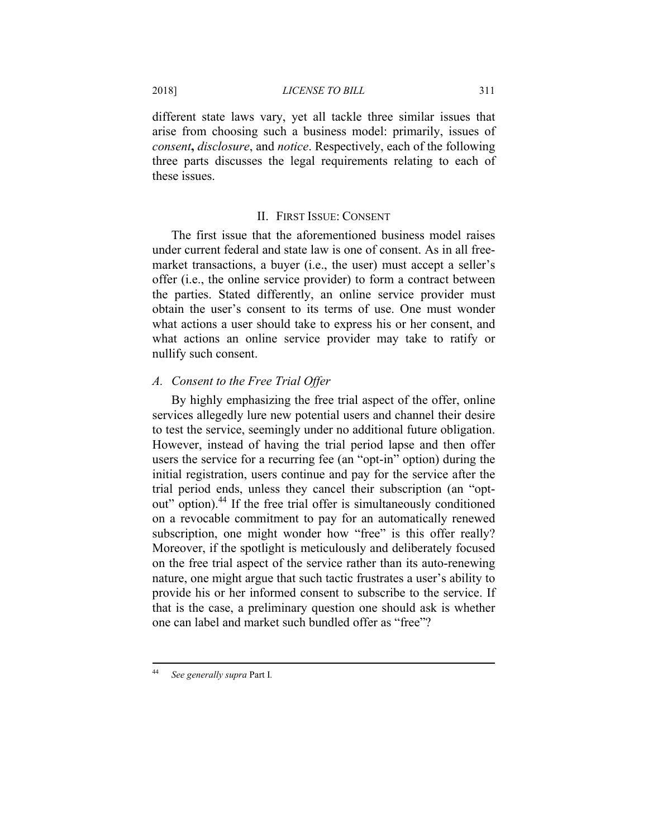different state laws vary, yet all tackle three similar issues that arise from choosing such a business model: primarily, issues of *consent***,** *disclosure*, and *notice*. Respectively, each of the following three parts discusses the legal requirements relating to each of these issues.

## II. FIRST ISSUE: CONSENT

The first issue that the aforementioned business model raises under current federal and state law is one of consent. As in all freemarket transactions, a buyer (i.e., the user) must accept a seller's offer (i.e., the online service provider) to form a contract between the parties. Stated differently, an online service provider must obtain the user's consent to its terms of use. One must wonder what actions a user should take to express his or her consent, and what actions an online service provider may take to ratify or nullify such consent.

## *A. Consent to the Free Trial Offer*

By highly emphasizing the free trial aspect of the offer, online services allegedly lure new potential users and channel their desire to test the service, seemingly under no additional future obligation. However, instead of having the trial period lapse and then offer users the service for a recurring fee (an "opt-in" option) during the initial registration, users continue and pay for the service after the trial period ends, unless they cancel their subscription (an "optout" option).<sup>44</sup> If the free trial offer is simultaneously conditioned on a revocable commitment to pay for an automatically renewed subscription, one might wonder how "free" is this offer really? Moreover, if the spotlight is meticulously and deliberately focused on the free trial aspect of the service rather than its auto-renewing nature, one might argue that such tactic frustrates a user's ability to provide his or her informed consent to subscribe to the service. If that is the case, a preliminary question one should ask is whether one can label and market such bundled offer as "free"?

 $44$ <sup>44</sup> *See generally supra* Part I*.*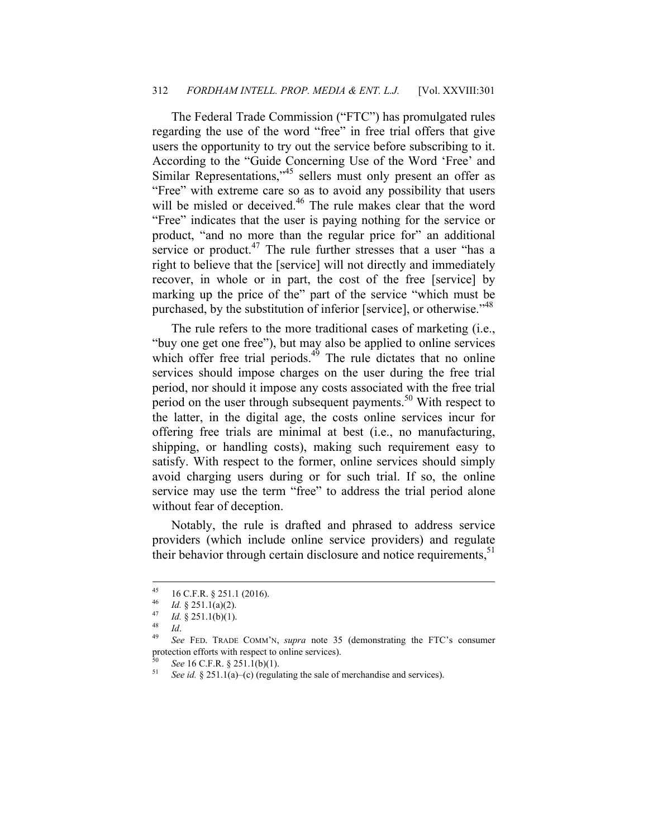#### 312 *FORDHAM INTELL. PROP. MEDIA & ENT. L.J.* [Vol. XXVIII:301

The Federal Trade Commission ("FTC") has promulgated rules regarding the use of the word "free" in free trial offers that give users the opportunity to try out the service before subscribing to it. According to the "Guide Concerning Use of the Word 'Free' and Similar Representations,<sup>45</sup> sellers must only present an offer as "Free" with extreme care so as to avoid any possibility that users will be misled or deceived.<sup>46</sup> The rule makes clear that the word "Free" indicates that the user is paying nothing for the service or product, "and no more than the regular price for" an additional service or product. $47$  The rule further stresses that a user "has a right to believe that the [service] will not directly and immediately recover, in whole or in part, the cost of the free [service] by marking up the price of the" part of the service "which must be purchased, by the substitution of inferior [service], or otherwise."<sup>48</sup>

The rule refers to the more traditional cases of marketing (i.e., "buy one get one free"), but may also be applied to online services which offer free trial periods. $4<sup>4</sup>$  The rule dictates that no online services should impose charges on the user during the free trial period, nor should it impose any costs associated with the free trial period on the user through subsequent payments.<sup>50</sup> With respect to the latter, in the digital age, the costs online services incur for offering free trials are minimal at best (i.e., no manufacturing, shipping, or handling costs), making such requirement easy to satisfy. With respect to the former, online services should simply avoid charging users during or for such trial. If so, the online service may use the term "free" to address the trial period alone without fear of deception.

Notably, the rule is drafted and phrased to address service providers (which include online service providers) and regulate their behavior through certain disclosure and notice requirements, $51$ 

<sup>45</sup>  $^{45}$  16 C.F.R. § 251.1 (2016).

<sup>46</sup> *Id.* § 251.1(a)(2). 47 *Id.* § 251.1(b)(1). 48 *Id*. 49 *See* FED. TRADE COMM'N, *supra* note 35 (demonstrating the FTC's consumer protection efforts with respect to online services).

<sup>50</sup> *See* 16 C.F.R. § 251.1(b)(1). 51 *See id.* § 251.1(a)–(c) (regulating the sale of merchandise and services).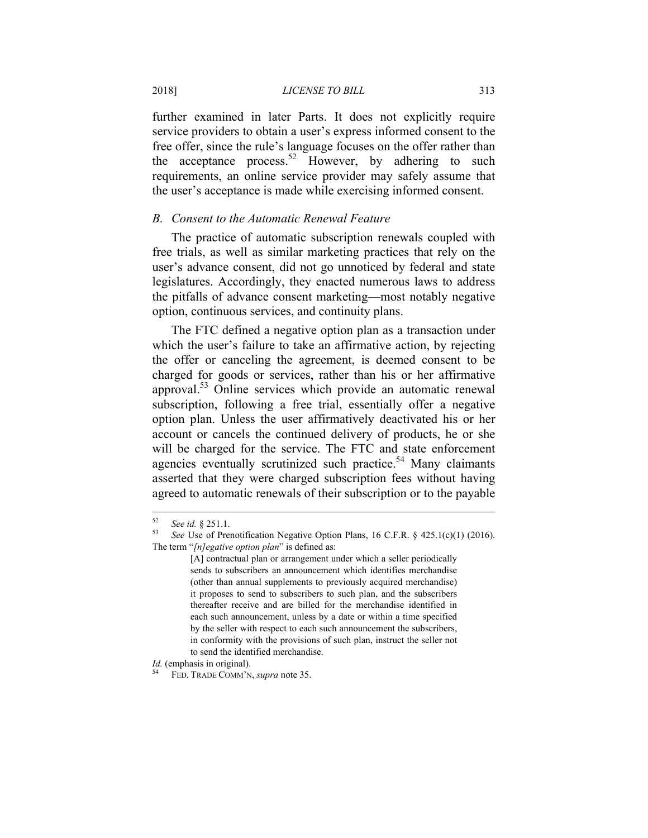further examined in later Parts. It does not explicitly require service providers to obtain a user's express informed consent to the free offer, since the rule's language focuses on the offer rather than the acceptance process.<sup>52</sup> However, by adhering to such requirements, an online service provider may safely assume that the user's acceptance is made while exercising informed consent.

## *B. Consent to the Automatic Renewal Feature*

The practice of automatic subscription renewals coupled with free trials, as well as similar marketing practices that rely on the user's advance consent, did not go unnoticed by federal and state legislatures. Accordingly, they enacted numerous laws to address the pitfalls of advance consent marketing—most notably negative option, continuous services, and continuity plans.

The FTC defined a negative option plan as a transaction under which the user's failure to take an affirmative action, by rejecting the offer or canceling the agreement, is deemed consent to be charged for goods or services, rather than his or her affirmative approval.<sup>53</sup> Online services which provide an automatic renewal subscription, following a free trial, essentially offer a negative option plan. Unless the user affirmatively deactivated his or her account or cancels the continued delivery of products, he or she will be charged for the service. The FTC and state enforcement agencies eventually scrutinized such practice.<sup>54</sup> Many claimants asserted that they were charged subscription fees without having agreed to automatic renewals of their subscription or to the payable

<sup>52</sup> 

<sup>52</sup> *See id.* § 251.1. 53 *See* Use of Prenotification Negative Option Plans, 16 C.F.R. § 425.1(c)(1) (2016). The term "*[n]egative option plan*" is defined as:

<sup>[</sup>A] contractual plan or arrangement under which a seller periodically sends to subscribers an announcement which identifies merchandise (other than annual supplements to previously acquired merchandise) it proposes to send to subscribers to such plan, and the subscribers thereafter receive and are billed for the merchandise identified in each such announcement, unless by a date or within a time specified by the seller with respect to each such announcement the subscribers, in conformity with the provisions of such plan, instruct the seller not to send the identified merchandise.

*Id.* (emphasis in original). 54 FED. TRADE COMM'N, *supra* note 35.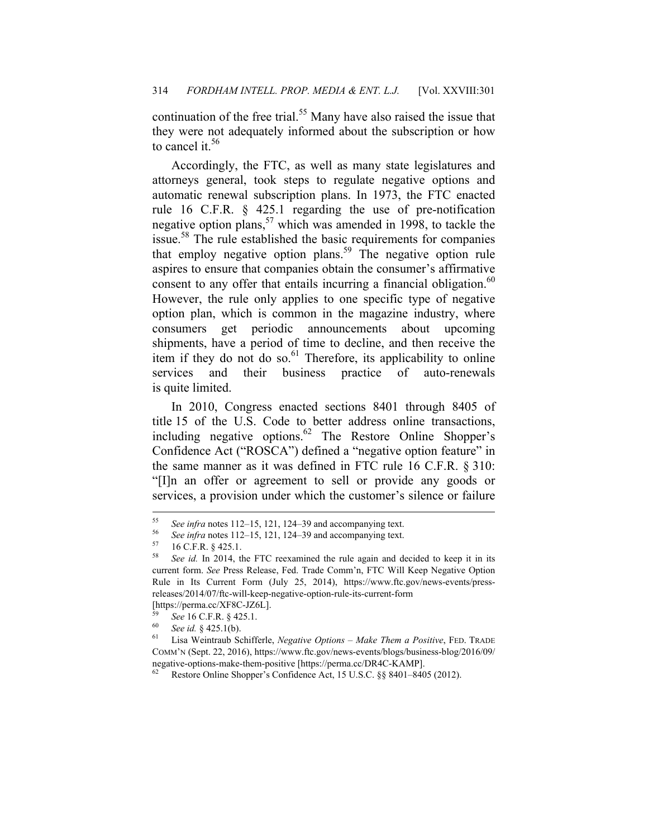continuation of the free trial.<sup>55</sup> Many have also raised the issue that they were not adequately informed about the subscription or how to cancel it.<sup>56</sup>

Accordingly, the FTC, as well as many state legislatures and attorneys general, took steps to regulate negative options and automatic renewal subscription plans. In 1973, the FTC enacted rule 16 C.F.R. § 425.1 regarding the use of pre-notification negative option plans,<sup>57</sup> which was amended in 1998, to tackle the issue.58 The rule established the basic requirements for companies that employ negative option plans.<sup>59</sup> The negative option rule aspires to ensure that companies obtain the consumer's affirmative consent to any offer that entails incurring a financial obligation.<sup>60</sup> However, the rule only applies to one specific type of negative option plan, which is common in the magazine industry, where consumers get periodic announcements about upcoming shipments, have a period of time to decline, and then receive the item if they do not do so.<sup>61</sup> Therefore, its applicability to online services and their business practice of auto-renewals is quite limited.

In 2010, Congress enacted sections 8401 through 8405 of title 15 of the U.S. Code to better address online transactions, including negative options. $62$  The Restore Online Shopper's Confidence Act ("ROSCA") defined a "negative option feature" in the same manner as it was defined in FTC rule 16 C.F.R. § 310: "[I]n an offer or agreement to sell or provide any goods or services, a provision under which the customer's silence or failure

<sup>55</sup> See *infra* notes 112–15, 121, 124–39 and accompanying text.<br>
<sup>56</sup> See *infra* notes 112–15, 121, 124–39 and accompanying text.<br>
<sup>58</sup> See *id* In 2014, the ETC reexamined the rule again and de

See id. In 2014, the FTC reexamined the rule again and decided to keep it in its current form. *See* Press Release, Fed. Trade Comm'n, FTC Will Keep Negative Option Rule in Its Current Form (July 25, 2014), https://www.ftc.gov/news-events/pressreleases/2014/07/ftc-will-keep-negative-option-rule-its-current-form

<sup>[</sup>https://perma.cc/XF8C-JZ6L].

<sup>59</sup> *See* 16 C.F.R. § 425.1. 60 *See id.* § 425.1(b). 61 Lisa Weintraub Schifferle, *Negative Options – Make Them a Positive*, FED. TRADE COMM'N (Sept. 22, 2016), https://www.ftc.gov/news-events/blogs/business-blog/2016/09/ negative-options-make-them-positive [https://perma.cc/DR4C-KAMP].

Restore Online Shopper's Confidence Act, 15 U.S.C. §§ 8401-8405 (2012).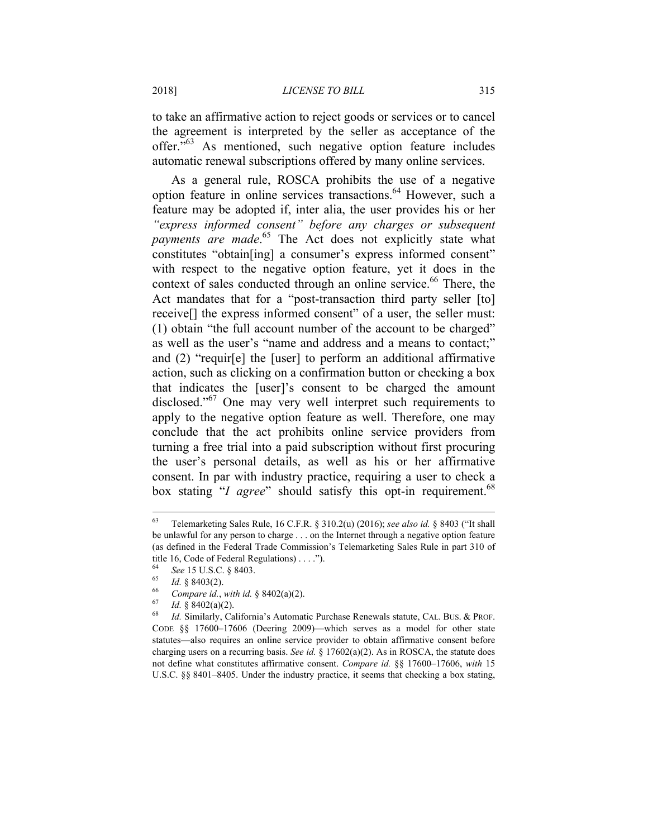### 2018] *LICENSE TO BILL* 315

to take an affirmative action to reject goods or services or to cancel the agreement is interpreted by the seller as acceptance of the offer."63 As mentioned, such negative option feature includes automatic renewal subscriptions offered by many online services.

As a general rule, ROSCA prohibits the use of a negative option feature in online services transactions.<sup>64</sup> However, such a feature may be adopted if, inter alia, the user provides his or her *"express informed consent" before any charges or subsequent payments are made*. 65 The Act does not explicitly state what constitutes "obtain[ing] a consumer's express informed consent" with respect to the negative option feature, yet it does in the context of sales conducted through an online service.<sup>66</sup> There, the Act mandates that for a "post-transaction third party seller [to] receive[] the express informed consent" of a user, the seller must: (1) obtain "the full account number of the account to be charged" as well as the user's "name and address and a means to contact;" and (2) "requir[e] the [user] to perform an additional affirmative action, such as clicking on a confirmation button or checking a box that indicates the [user]'s consent to be charged the amount disclosed."<sup>67</sup> One may very well interpret such requirements to apply to the negative option feature as well. Therefore, one may conclude that the act prohibits online service providers from turning a free trial into a paid subscription without first procuring the user's personal details, as well as his or her affirmative consent. In par with industry practice, requiring a user to check a box stating "*I agree*" should satisfy this opt-in requirement.<sup>68</sup>

<sup>63</sup> Telemarketing Sales Rule, 16 C.F.R. § 310.2(u) (2016); *see also id.* § 8403 ("It shall be unlawful for any person to charge . . . on the Internet through a negative option feature (as defined in the Federal Trade Commission's Telemarketing Sales Rule in part 310 of title 16, Code of Federal Regulations) . . . .").

<sup>&</sup>lt;sup>64</sup> See 15 U.S.C. § 8403.<br>
<sup>65</sup> Id. § 8403(2).<br> *Compare id., with id.* § 8402(a)(2).<br>
<sup>67</sup> Id. § 8402(a)(2).<br>
<sup>67</sup> Id. § 8402(a)(2).<br> *68* Id. Similarly, California's Automatic Purchase Renewals statute, CAL. BUS. & PRO CODE §§ 17600–17606 (Deering 2009)—which serves as a model for other state statutes—also requires an online service provider to obtain affirmative consent before charging users on a recurring basis. *See id.* § 17602(a)(2). As in ROSCA, the statute does not define what constitutes affirmative consent. *Compare id.* §§ 17600–17606, *with* 15 U.S.C. §§ 8401–8405. Under the industry practice, it seems that checking a box stating,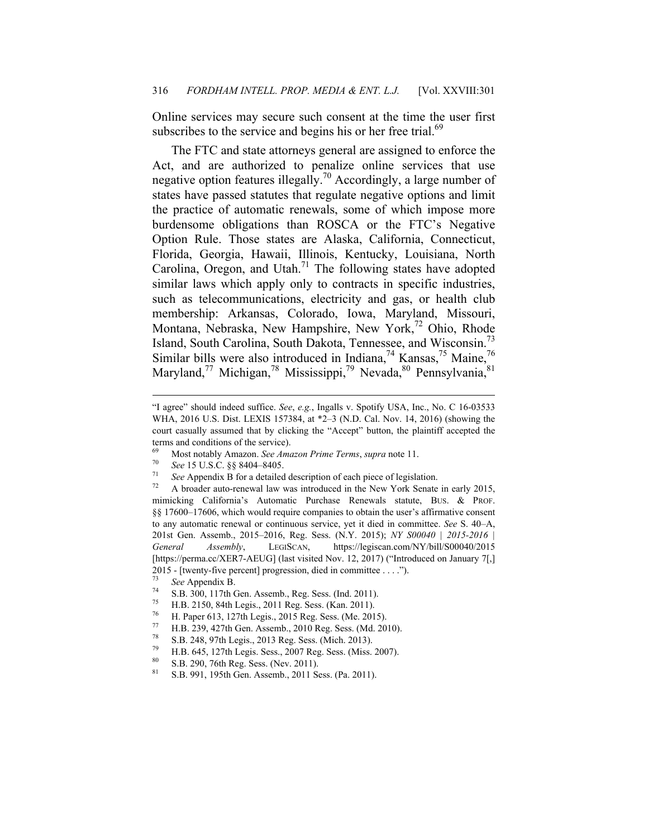Online services may secure such consent at the time the user first subscribes to the service and begins his or her free trial.<sup>69</sup>

The FTC and state attorneys general are assigned to enforce the Act, and are authorized to penalize online services that use negative option features illegally.70 Accordingly, a large number of states have passed statutes that regulate negative options and limit the practice of automatic renewals, some of which impose more burdensome obligations than ROSCA or the FTC's Negative Option Rule. Those states are Alaska, California, Connecticut, Florida, Georgia, Hawaii, Illinois, Kentucky, Louisiana, North Carolina, Oregon, and Utah.<sup>71</sup> The following states have adopted similar laws which apply only to contracts in specific industries, such as telecommunications, electricity and gas, or health club membership: Arkansas, Colorado, Iowa, Maryland, Missouri, Montana, Nebraska, New Hampshire, New York,<sup>72</sup> Ohio, Rhode Island, South Carolina, South Dakota, Tennessee, and Wisconsin.73 Similar bills were also introduced in Indiana,<sup>74</sup> Kansas,<sup>75</sup> Maine,<sup>76</sup> Maryland,<sup>77</sup> Michigan,<sup>78</sup> Mississippi,<sup>79</sup> Nevada,<sup>80</sup> Pennsylvania,<sup>81</sup>

<sup>&</sup>quot;I agree" should indeed suffice. *See*, *e.g.*, Ingalls v. Spotify USA, Inc., No. C 16-03533 WHA, 2016 U.S. Dist. LEXIS 157384, at \*2–3 (N.D. Cal. Nov. 14, 2016) (showing the court casually assumed that by clicking the "Accept" button, the plaintiff accepted the terms and conditions of the service).

<sup>&</sup>lt;sup>69</sup> Most notably Amazon. *See Amazon Prime Terms, supra* note 11.<br><sup>70</sup> See 15 U.S.C. §§ 8404–8405.<br><sup>71</sup> See Appendix B for a detailed description of each piece of legislation.<br><sup>72</sup> A broader auto-renewal law was introduc mimicking California's Automatic Purchase Renewals statute, BUS. & PROF. §§ 17600–17606, which would require companies to obtain the user's affirmative consent to any automatic renewal or continuous service, yet it died in committee. *See* S. 40–A, 201st Gen. Assemb., 2015–2016, Reg. Sess. (N.Y. 2015); *NY S00040 | 2015-2016 | General Assembly*, LEGISCAN, https://legiscan.com/NY/bill/S00040/2015 [https://perma.cc/XER7-AEUG] (last visited Nov. 12, 2017) ("Introduced on January 7[,] 2015 - [twenty-five percent] progression, died in committee . . . .").

<sup>&</sup>lt;sup>73</sup> See Appendix B.<br> **8.B. 300, 117th Gen. Assemb., Reg. Sess. (Ind. 2011).**<br> **75 11.D. 3150, 84th Jurie 2011, Reg. Sess. (***Ind.* **2011).** 

<sup>&</sup>lt;sup>75</sup> H.B. 2150, 84th Legis., 2011 Reg. Sess. (Kan. 2011).<br><sup>76</sup> H. Paper 613, 127th Legis., 2015 Reg. Sess. (Me. 201

<sup>&</sup>lt;sup>76</sup> H. Paper 613, 127th Legis., 2015 Reg. Sess. (Me. 2015).<br><sup>77</sup> H. P. 230, 427th Gen. Assemb. 2010 Reg. Sess. (Md. 20

<sup>77</sup> H.B. 239, 427th Gen. Assemb., 2010 Reg. Sess. (Md. 2010).<br>
<sup>78</sup> S.B. 248, 97th Lazis, 2012 Bag. Sess. (Migh. 2012).

<sup>&</sup>lt;sup>78</sup> S.B. 248, 97th Legis., 2013 Reg. Sess. (Mich. 2013).<br><sup>79</sup> H.D. 645, 127th Lagis Sess. 2007 Ran Sass. (Mice.

 $^{79}$  H.B. 645, 127th Legis. Sess., 2007 Reg. Sess. (Miss. 2007).

 $^{80}$  S.B. 290, 76th Reg. Sess. (Nev. 2011).

<sup>81</sup> S.B. 991, 195th Gen. Assemb., 2011 Sess. (Pa. 2011).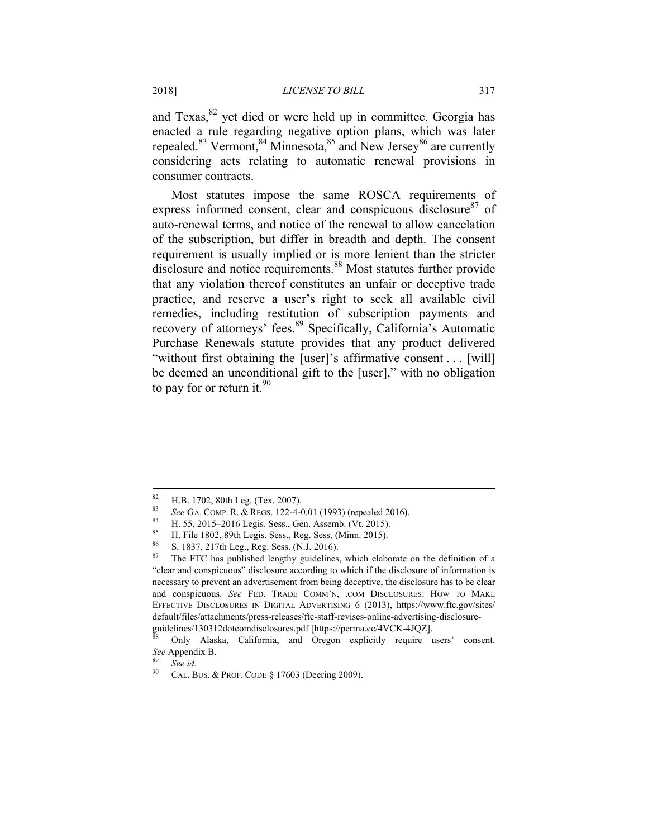and  $T$ exas, $82$  yet died or were held up in committee. Georgia has enacted a rule regarding negative option plans, which was later repealed.<sup>83</sup> Vermont,<sup>84</sup> Minnesota,<sup>85</sup> and New Jersey<sup>86</sup> are currently considering acts relating to automatic renewal provisions in consumer contracts.

Most statutes impose the same ROSCA requirements of express informed consent, clear and conspicuous disclosure $87$  of auto-renewal terms, and notice of the renewal to allow cancelation of the subscription, but differ in breadth and depth. The consent requirement is usually implied or is more lenient than the stricter disclosure and notice requirements.<sup>88</sup> Most statutes further provide that any violation thereof constitutes an unfair or deceptive trade practice, and reserve a user's right to seek all available civil remedies, including restitution of subscription payments and recovery of attorneys' fees.<sup>89</sup> Specifically, California's Automatic Purchase Renewals statute provides that any product delivered "without first obtaining the [user]'s affirmative consent . . . [will] be deemed an unconditional gift to the [user]," with no obligation to pay for or return it. $90$ 

1

<sup>&</sup>lt;sup>82</sup> H.B. 1702, 80th Leg. (Tex. 2007).

<sup>83</sup> See GA. COMP. R. & REGS. 122-4-0.01 (1993) (repealed 2016).<br>
84 H. 55, 2015–2016 Legis. Sess., Gen. Assemb. (Vt. 2015).<br>
85 H. F.J. 1902, 90th Legis. Sess., D. R. Sess. (Mine, 2015).

<sup>&</sup>lt;sup>85</sup> H. File 1802, 89th Legis. Sess., Reg. Sess. (Minn. 2015).<br><sup>86</sup> S. 1837, 217th Leg. Beg. Sess. (N.J. 2016).

 $\frac{86}{57}$  S. 1837, 217th Leg., Reg. Sess. (N.J. 2016).<br> $\frac{87}{57}$  The ETC has published lengthy quidelines

The FTC has published lengthy guidelines, which elaborate on the definition of a "clear and conspicuous" disclosure according to which if the disclosure of information is necessary to prevent an advertisement from being deceptive, the disclosure has to be clear and conspicuous. *See* FED. TRADE COMM'N, .COM DISCLOSURES: HOW TO MAKE EFFECTIVE DISCLOSURES IN DIGITAL ADVERTISING 6 (2013), https://www.ftc.gov/sites/ default/files/attachments/press-releases/ftc-staff-revises-online-advertising-disclosure-

guidelines/130312dotcomdisclosures.pdf [https://perma.cc/4VCK-4JQZ].<br><sup>88</sup> Only Alaska, California, and Oregon explicitly require users' consent. *See* Appendix B. 89 *See id.*

CAL. BUS. & PROF. CODE § 17603 (Deering 2009).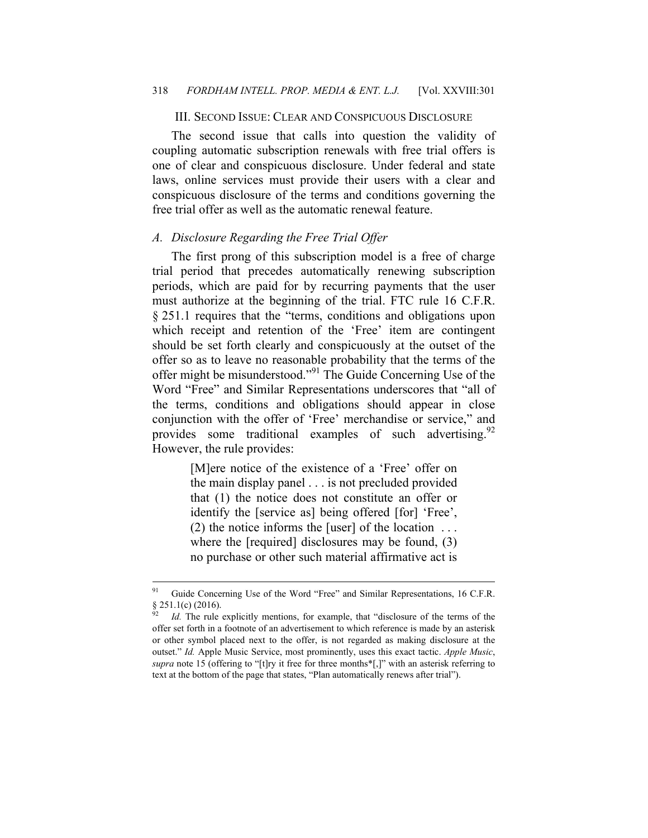#### III. SECOND ISSUE: CLEAR AND CONSPICUOUS DISCLOSURE

The second issue that calls into question the validity of coupling automatic subscription renewals with free trial offers is one of clear and conspicuous disclosure. Under federal and state laws, online services must provide their users with a clear and conspicuous disclosure of the terms and conditions governing the free trial offer as well as the automatic renewal feature.

#### *A. Disclosure Regarding the Free Trial Offer*

The first prong of this subscription model is a free of charge trial period that precedes automatically renewing subscription periods, which are paid for by recurring payments that the user must authorize at the beginning of the trial. FTC rule 16 C.F.R. § 251.1 requires that the "terms, conditions and obligations upon which receipt and retention of the 'Free' item are contingent should be set forth clearly and conspicuously at the outset of the offer so as to leave no reasonable probability that the terms of the offer might be misunderstood."91 The Guide Concerning Use of the Word "Free" and Similar Representations underscores that "all of the terms, conditions and obligations should appear in close conjunction with the offer of 'Free' merchandise or service," and provides some traditional examples of such advertising.<sup>92</sup> However, the rule provides:

> [M]ere notice of the existence of a 'Free' offer on the main display panel . . . is not precluded provided that (1) the notice does not constitute an offer or identify the [service as] being offered [for] 'Free', (2) the notice informs the [user] of the location . . . where the [required] disclosures may be found, (3) no purchase or other such material affirmative act is

<sup>&</sup>lt;sup>91</sup> Guide Concerning Use of the Word "Free" and Similar Representations, 16 C.F.R.  $§$  251.1(c) (2016).

Id. The rule explicitly mentions, for example, that "disclosure of the terms of the offer set forth in a footnote of an advertisement to which reference is made by an asterisk or other symbol placed next to the offer, is not regarded as making disclosure at the outset." *Id.* Apple Music Service, most prominently, uses this exact tactic. *Apple Music*, *supra* note 15 (offering to "[t]ry it free for three months\*[,]" with an asterisk referring to text at the bottom of the page that states, "Plan automatically renews after trial").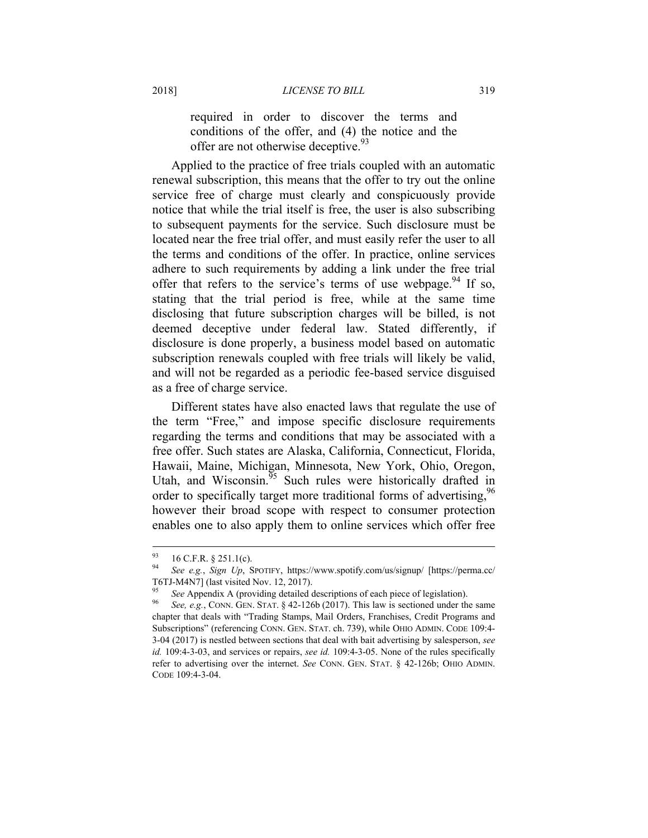required in order to discover the terms and conditions of the offer, and (4) the notice and the offer are not otherwise deceptive.<sup>93</sup>

Applied to the practice of free trials coupled with an automatic renewal subscription, this means that the offer to try out the online service free of charge must clearly and conspicuously provide notice that while the trial itself is free, the user is also subscribing to subsequent payments for the service. Such disclosure must be located near the free trial offer, and must easily refer the user to all the terms and conditions of the offer. In practice, online services adhere to such requirements by adding a link under the free trial offer that refers to the service's terms of use webpage. <sup>94</sup> If so, stating that the trial period is free, while at the same time disclosing that future subscription charges will be billed, is not deemed deceptive under federal law. Stated differently, if disclosure is done properly, a business model based on automatic subscription renewals coupled with free trials will likely be valid, and will not be regarded as a periodic fee-based service disguised as a free of charge service.

Different states have also enacted laws that regulate the use of the term "Free," and impose specific disclosure requirements regarding the terms and conditions that may be associated with a free offer. Such states are Alaska, California, Connecticut, Florida, Hawaii, Maine, Michigan, Minnesota, New York, Ohio, Oregon, Utah, and Wisconsin. $\frac{95}{95}$  Such rules were historically drafted in order to specifically target more traditional forms of advertising,<sup>96</sup> however their broad scope with respect to consumer protection enables one to also apply them to online services which offer free

 $^{93}$  16 C.F.R. § 251.1(c).

<sup>94</sup> *See e.g.*, *Sign Up*, SPOTIFY, https://www.spotify.com/us/signup/ [https://perma.cc/ T6TJ-M4N7] (last visited Nov. 12, 2017).

<sup>95</sup> *See* Appendix A (providing detailed descriptions of each piece of legislation). 96 *See, e.g.*, CONN. GEN. STAT. § 42-126b (2017). This law is sectioned under the same chapter that deals with "Trading Stamps, Mail Orders, Franchises, Credit Programs and Subscriptions" (referencing CONN. GEN. STAT. ch. 739), while OHIO ADMIN. CODE 109:4- 3-04 (2017) is nestled between sections that deal with bait advertising by salesperson, *see id.* 109:4-3-03, and services or repairs, *see id.* 109:4-3-05. None of the rules specifically refer to advertising over the internet. *See* CONN. GEN. STAT. § 42-126b; OHIO ADMIN. CODE 109:4-3-04.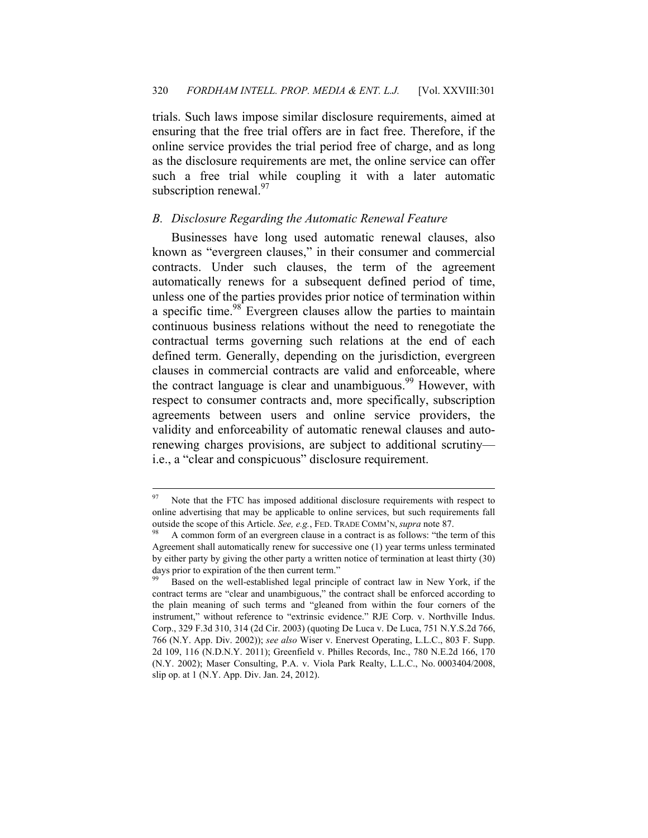trials. Such laws impose similar disclosure requirements, aimed at ensuring that the free trial offers are in fact free. Therefore, if the online service provides the trial period free of charge, and as long as the disclosure requirements are met, the online service can offer such a free trial while coupling it with a later automatic subscription renewal.<sup>97</sup>

### *B. Disclosure Regarding the Automatic Renewal Feature*

Businesses have long used automatic renewal clauses, also known as "evergreen clauses," in their consumer and commercial contracts. Under such clauses, the term of the agreement automatically renews for a subsequent defined period of time, unless one of the parties provides prior notice of termination within a specific time.<sup>98</sup> Evergreen clauses allow the parties to maintain continuous business relations without the need to renegotiate the contractual terms governing such relations at the end of each defined term. Generally, depending on the jurisdiction, evergreen clauses in commercial contracts are valid and enforceable, where the contract language is clear and unambiguous.<sup>99</sup> However, with respect to consumer contracts and, more specifically, subscription agreements between users and online service providers, the validity and enforceability of automatic renewal clauses and autorenewing charges provisions, are subject to additional scrutiny i.e., a "clear and conspicuous" disclosure requirement.

<sup>&</sup>lt;sup>97</sup> Note that the FTC has imposed additional disclosure requirements with respect to online advertising that may be applicable to online services, but such requirements fall outside the scope of this Article. *See, e.g.*, FED. TRADE COMM'N, *supra* note 87.<br><sup>98</sup> A common form of an evergreen clause in a contract is as follows: "the term of this

Agreement shall automatically renew for successive one (1) year terms unless terminated by either party by giving the other party a written notice of termination at least thirty (30) days prior to expiration of the then current term."

Based on the well-established legal principle of contract law in New York, if the contract terms are "clear and unambiguous," the contract shall be enforced according to the plain meaning of such terms and "gleaned from within the four corners of the instrument," without reference to "extrinsic evidence." RJE Corp. v. Northville Indus. Corp., 329 F.3d 310, 314 (2d Cir. 2003) (quoting De Luca v. De Luca, 751 N.Y.S.2d 766, 766 (N.Y. App. Div. 2002)); *see also* Wiser v. Enervest Operating, L.L.C., 803 F. Supp. 2d 109, 116 (N.D.N.Y. 2011); Greenfield v. Philles Records, Inc., 780 N.E.2d 166, 170 (N.Y. 2002); Maser Consulting, P.A. v. Viola Park Realty, L.L.C., No. 0003404/2008, slip op. at 1 (N.Y. App. Div. Jan. 24, 2012).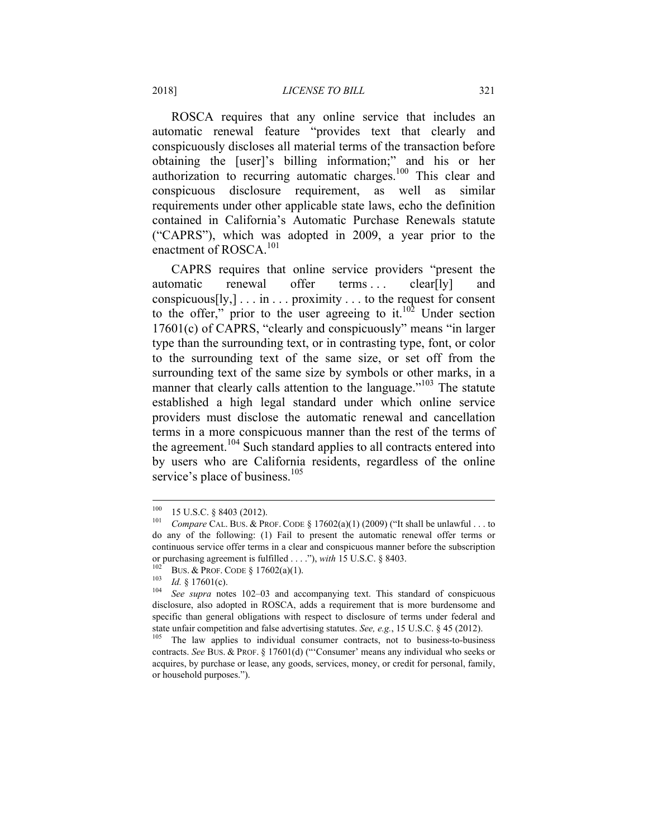ROSCA requires that any online service that includes an automatic renewal feature "provides text that clearly and conspicuously discloses all material terms of the transaction before obtaining the [user]'s billing information;" and his or her authorization to recurring automatic charges.<sup>100</sup> This clear and conspicuous disclosure requirement, as well as similar requirements under other applicable state laws, echo the definition contained in California's Automatic Purchase Renewals statute ("CAPRS"), which was adopted in 2009, a year prior to the enactment of ROSCA.<sup>101</sup>

CAPRS requires that online service providers "present the automatic renewal offer terms ... clear[ly] and conspicuous $[y,] \dots$  in  $\dots$  proximity  $\dots$  to the request for consent to the offer," prior to the user agreeing to it. $10^2$  Under section 17601(c) of CAPRS, "clearly and conspicuously" means "in larger type than the surrounding text, or in contrasting type, font, or color to the surrounding text of the same size, or set off from the surrounding text of the same size by symbols or other marks, in a manner that clearly calls attention to the language."<sup>103</sup> The statute established a high legal standard under which online service providers must disclose the automatic renewal and cancellation terms in a more conspicuous manner than the rest of the terms of the agreement.<sup>104</sup> Such standard applies to all contracts entered into by users who are California residents, regardless of the online service's place of business.<sup>105</sup>

<sup>100 15</sup> U.S.C. § 8403 (2012). 101 *Compare* CAL. BUS. & PROF. CODE § 17602(a)(1) (2009) ("It shall be unlawful . . . to do any of the following: (1) Fail to present the automatic renewal offer terms or continuous service offer terms in a clear and conspicuous manner before the subscription or purchasing agreement is fulfilled ...."), with 15 U.S.C. § 8403.<br>
<sup>102</sup> BUS. & PROF. CODE § 17602(a)(1).<br>
<sup>103</sup> Id. § 17601(c).<br>
<sup>104</sup> See supra notes 102–03 and accompanying text. This standard of conspicuous

disclosure, also adopted in ROSCA, adds a requirement that is more burdensome and specific than general obligations with respect to disclosure of terms under federal and state unfair competition and false advertising statutes. *See, e.g.*, 15 U.S.C. § 45 (2012).

The law applies to individual consumer contracts, not to business-to-business contracts. *See* BUS. & PROF. § 17601(d) ("'Consumer' means any individual who seeks or acquires, by purchase or lease, any goods, services, money, or credit for personal, family, or household purposes.").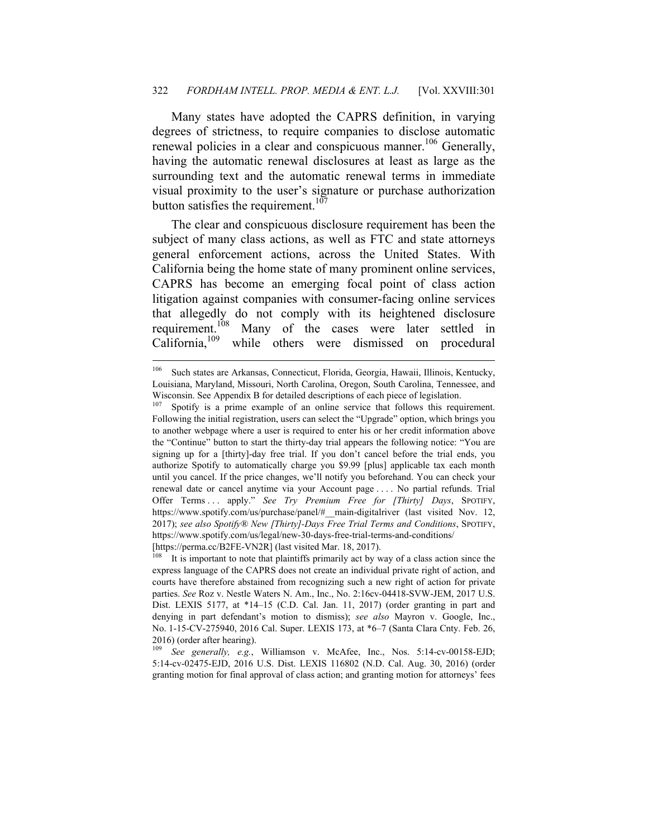Many states have adopted the CAPRS definition, in varying degrees of strictness, to require companies to disclose automatic renewal policies in a clear and conspicuous manner.<sup>106</sup> Generally, having the automatic renewal disclosures at least as large as the surrounding text and the automatic renewal terms in immediate visual proximity to the user's signature or purchase authorization button satisfies the requirement.<sup>107</sup>

The clear and conspicuous disclosure requirement has been the subject of many class actions, as well as FTC and state attorneys general enforcement actions, across the United States. With California being the home state of many prominent online services, CAPRS has become an emerging focal point of class action litigation against companies with consumer-facing online services that allegedly do not comply with its heightened disclosure requirement.<sup>108</sup> Many of the cases were later settled in California,<sup>109</sup> while others were dismissed on procedural while others were dismissed on procedural

<sup>106</sup> Such states are Arkansas, Connecticut, Florida, Georgia, Hawaii, Illinois, Kentucky, Louisiana, Maryland, Missouri, North Carolina, Oregon, South Carolina, Tennessee, and Wisconsin. See Appendix B for detailed descriptions of each piece of legislation.

<sup>&</sup>lt;sup>107</sup> Spotify is a prime example of an online service that follows this requirement. Following the initial registration, users can select the "Upgrade" option, which brings you to another webpage where a user is required to enter his or her credit information above the "Continue" button to start the thirty-day trial appears the following notice: "You are signing up for a [thirty]-day free trial. If you don't cancel before the trial ends, you authorize Spotify to automatically charge you \$9.99 [plus] applicable tax each month until you cancel. If the price changes, we'll notify you beforehand. You can check your renewal date or cancel anytime via your Account page . . . . No partial refunds. Trial Offer Terms . . . apply." *See Try Premium Free for [Thirty] Days*, SPOTIFY, https://www.spotify.com/us/purchase/panel/#\_\_main-digitalriver (last visited Nov. 12, 2017); *see also Spotify® New [Thirty]-Days Free Trial Terms and Conditions*, SPOTIFY, https://www.spotify.com/us/legal/new-30-days-free-trial-terms-and-conditions/ [https://perma.cc/B2FE-VN2R] (last visited Mar. 18, 2017).

It is important to note that plaintiffs primarily act by way of a class action since the express language of the CAPRS does not create an individual private right of action, and courts have therefore abstained from recognizing such a new right of action for private parties. *See* Roz v. Nestle Waters N. Am., Inc., No. 2:16cv-04418-SVW-JEM, 2017 U.S. Dist. LEXIS 5177, at \*14–15 (C.D. Cal. Jan. 11, 2017) (order granting in part and denying in part defendant's motion to dismiss); *see also* Mayron v. Google, Inc., No. 1-15-CV-275940, 2016 Cal. Super. LEXIS 173, at \*6–7 (Santa Clara Cnty. Feb. 26, 2016) (order after hearing).<br> $\frac{109}{6\rho}$  See generally e.g.

See generally, e.g., Williamson v. McAfee, Inc., Nos. 5:14-cv-00158-EJD; 5:14-cv-02475-EJD, 2016 U.S. Dist. LEXIS 116802 (N.D. Cal. Aug. 30, 2016) (order granting motion for final approval of class action; and granting motion for attorneys' fees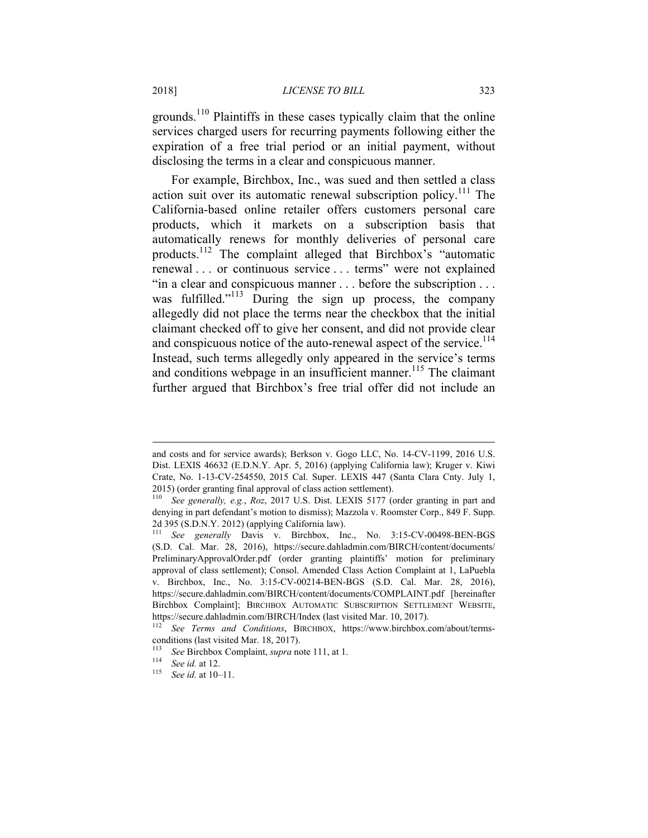#### 2018] *LICENSE TO BILL* 323

grounds.<sup>110</sup> Plaintiffs in these cases typically claim that the online services charged users for recurring payments following either the expiration of a free trial period or an initial payment, without disclosing the terms in a clear and conspicuous manner.

For example, Birchbox, Inc., was sued and then settled a class action suit over its automatic renewal subscription policy.<sup>111</sup> The California-based online retailer offers customers personal care products, which it markets on a subscription basis that automatically renews for monthly deliveries of personal care products.112 The complaint alleged that Birchbox's "automatic renewal . . . or continuous service . . . terms" were not explained "in a clear and conspicuous manner . . . before the subscription . . . was fulfilled."<sup>113</sup> During the sign up process, the company allegedly did not place the terms near the checkbox that the initial claimant checked off to give her consent, and did not provide clear and conspicuous notice of the auto-renewal aspect of the service.<sup>114</sup> Instead, such terms allegedly only appeared in the service's terms and conditions webpage in an insufficient manner.<sup>115</sup> The claimant further argued that Birchbox's free trial offer did not include an

and costs and for service awards); Berkson v. Gogo LLC, No. 14-CV-1199, 2016 U.S. Dist. LEXIS 46632 (E.D.N.Y. Apr. 5, 2016) (applying California law); Kruger v. Kiwi Crate, No. 1-13-CV-254550, 2015 Cal. Super. LEXIS 447 (Santa Clara Cnty. July 1, 2015) (order granting final approval of class action settlement).

See generally, e.g., *Roz*, 2017 U.S. Dist. LEXIS 5177 (order granting in part and denying in part defendant's motion to dismiss); Mazzola v. Roomster Corp., 849 F. Supp. 2d 395 (S.D.N.Y. 2012) (applying California law).

<sup>111</sup> *See generally* Davis v. Birchbox, Inc., No. 3:15-CV-00498-BEN-BGS (S.D. Cal. Mar. 28, 2016), https://secure.dahladmin.com/BIRCH/content/documents/ PreliminaryApprovalOrder.pdf (order granting plaintiffs' motion for preliminary approval of class settlement); Consol. Amended Class Action Complaint at 1, LaPuebla v. Birchbox, Inc., No. 3:15-CV-00214-BEN-BGS (S.D. Cal. Mar. 28, 2016), https://secure.dahladmin.com/BIRCH/content/documents/COMPLAINT.pdf [hereinafter Birchbox Complaint]; BIRCHBOX AUTOMATIC SUBSCRIPTION SETTLEMENT WEBSITE, https://secure.dahladmin.com/BIRCH/Index (last visited Mar. 10, 2017).

See Terms and Conditions, BIRCHBOX, https://www.birchbox.com/about/termsconditions (last visited Mar. 18, 2017).

<sup>113</sup> *See* Birchbox Complaint, *supra* note 111, at 1. 114 *See id.* at 12. 115 *See id.* at 10–11.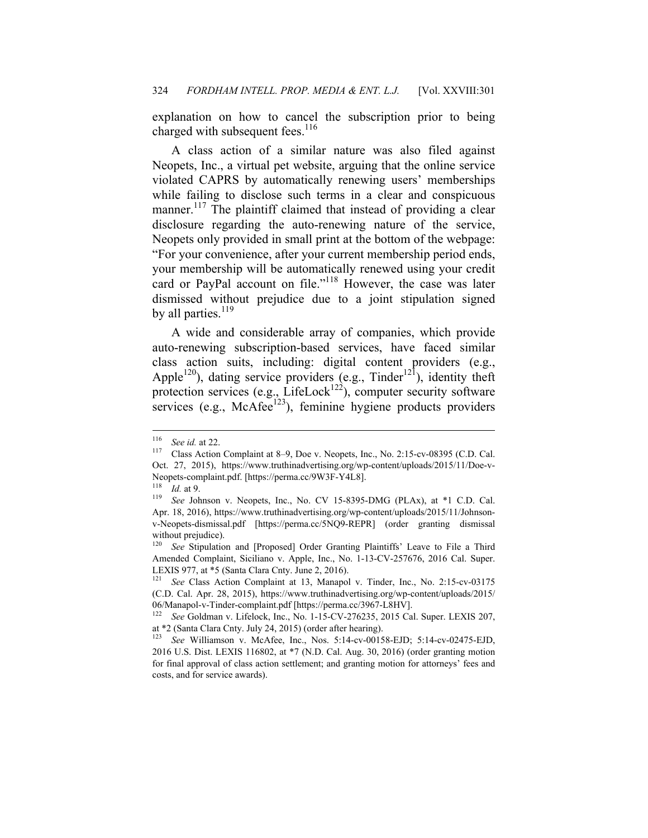explanation on how to cancel the subscription prior to being charged with subsequent fees.<sup>116</sup>

A class action of a similar nature was also filed against Neopets, Inc., a virtual pet website, arguing that the online service violated CAPRS by automatically renewing users' memberships while failing to disclose such terms in a clear and conspicuous manner.<sup>117</sup> The plaintiff claimed that instead of providing a clear disclosure regarding the auto-renewing nature of the service, Neopets only provided in small print at the bottom of the webpage: "For your convenience, after your current membership period ends, your membership will be automatically renewed using your credit card or PayPal account on file."<sup>118</sup> However, the case was later dismissed without prejudice due to a joint stipulation signed by all parties.<sup>119</sup>

A wide and considerable array of companies, which provide auto-renewing subscription-based services, have faced similar class action suits, including: digital content providers (e.g., Apple<sup>120</sup>), dating service providers  $(e.g., Tinder<sup>121</sup>)$ , identity theft protection services (e.g., LifeLock<sup>122</sup>), computer security software services (e.g., McAfee $123$ ), feminine hygiene products providers

<sup>116</sup> 

<sup>&</sup>lt;sup>116</sup> See id. at 22.<br><sup>117</sup> Class Action Complaint at 8–9, Doe v. Neopets, Inc., No. 2:15-cv-08395 (C.D. Cal. Oct. 27, 2015), https://www.truthinadvertising.org/wp-content/uploads/2015/11/Doe-v-Neopets-complaint.pdf. [https://perma.cc/9W3F-Y4L8].

<sup>118</sup> *Id.* at 9. 119 *See* Johnson v. Neopets, Inc., No. CV 15-8395-DMG (PLAx), at \*1 C.D. Cal. Apr. 18, 2016), https://www.truthinadvertising.org/wp-content/uploads/2015/11/Johnsonv-Neopets-dismissal.pdf [https://perma.cc/5NQ9-REPR] (order granting dismissal without prejudice).

See Stipulation and [Proposed] Order Granting Plaintiffs' Leave to File a Third Amended Complaint, Siciliano v. Apple, Inc., No. 1-13-CV-257676, 2016 Cal. Super. LEXIS 977, at \*5 (Santa Clara Cnty. June 2, 2016).

See Class Action Complaint at 13, Manapol v. Tinder, Inc., No. 2:15-cv-03175 (C.D. Cal. Apr. 28, 2015), https://www.truthinadvertising.org/wp-content/uploads/2015/ 06/Manapol-v-Tinder-complaint.pdf [https://perma.cc/3967-L8HV].

<sup>122</sup> *See* Goldman v. Lifelock, Inc., No. 1-15-CV-276235, 2015 Cal. Super. LEXIS 207, at \*2 (Santa Clara Cnty. July 24, 2015) (order after hearing).<br> $\frac{123}{2}$  See Williamson, v. Mad fee, Inc., Nee, 5:14 av. 0015

See Williamson v. McAfee, Inc., Nos. 5:14-cv-00158-EJD; 5:14-cv-02475-EJD, 2016 U.S. Dist. LEXIS 116802, at \*7 (N.D. Cal. Aug. 30, 2016) (order granting motion for final approval of class action settlement; and granting motion for attorneys' fees and costs, and for service awards).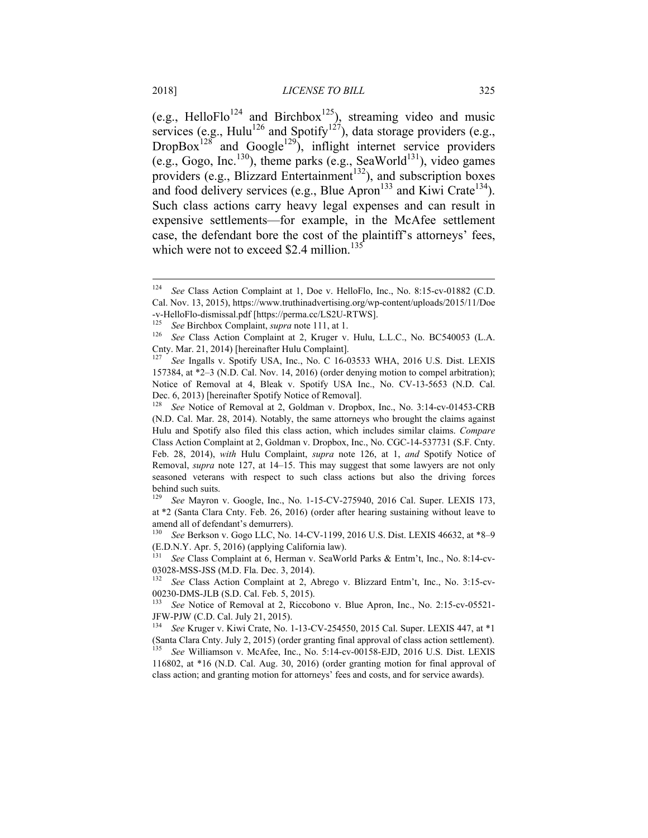(e.g., HelloFlo<sup>124</sup> and Birchbox<sup>125</sup>), streaming video and music services (e.g., Hulu<sup>126</sup> and Spotify<sup>127</sup>), data storage providers (e.g.,  $DropBox<sup>128</sup>$  and  $Google<sup>129</sup>$ , inflight internet service providers (e.g., Gogo, Inc.<sup>130</sup>), theme parks (e.g., SeaWorld<sup>131</sup>), video games providers (e.g., Blizzard Entertainment<sup>132</sup>), and subscription boxes and food delivery services (e.g., Blue Apron<sup>133</sup> and Kiwi Crate<sup>134</sup>). Such class actions carry heavy legal expenses and can result in expensive settlements—for example, in the McAfee settlement case, the defendant bore the cost of the plaintiff's attorneys' fees, which were not to exceed \$2.4 million.<sup>135</sup>

1

<sup>124</sup> *See* Class Action Complaint at 1, Doe v. HelloFlo, Inc., No. 8:15-cv-01882 (C.D. Cal. Nov. 13, 2015), https://www.truthinadvertising.org/wp-content/uploads/2015/11/Doe -v-HelloFlo-dismissal.pdf [https://perma.cc/LS2U-RTWS].

<sup>&</sup>lt;sup>125</sup> See Birchbox Complaint, *supra* note 111, at 1.<br><sup>126</sup> See Class Action Complaint at 2, Kruger v. Hulu, L.L.C., No. BC540053 (L.A. Cnty. Mar. 21, 2014) [hereinafter Hulu Complaint].

See Ingalls v. Spotify USA, Inc., No. C 16-03533 WHA, 2016 U.S. Dist. LEXIS 157384, at \*2–3 (N.D. Cal. Nov. 14, 2016) (order denying motion to compel arbitration); Notice of Removal at 4, Bleak v. Spotify USA Inc., No. CV-13-5653 (N.D. Cal. Dec. 6, 2013) [hereinafter Spotify Notice of Removal].<br><sup>128</sup> See Notice of Removal at 2. Goldman v. Dropb

See Notice of Removal at 2, Goldman v. Dropbox, Inc., No. 3:14-cv-01453-CRB (N.D. Cal. Mar. 28, 2014). Notably, the same attorneys who brought the claims against Hulu and Spotify also filed this class action, which includes similar claims. *Compare*  Class Action Complaint at 2, Goldman v. Dropbox, Inc., No. CGC-14-537731 (S.F. Cnty. Feb. 28, 2014), *with* Hulu Complaint, *supra* note 126, at 1, *and* Spotify Notice of Removal, *supra* note 127, at 14–15. This may suggest that some lawyers are not only seasoned veterans with respect to such class actions but also the driving forces behind such suits.<br> $\frac{129}{129}$  See Mayron.

See Mayron v. Google, Inc., No. 1-15-CV-275940, 2016 Cal. Super. LEXIS 173, at \*2 (Santa Clara Cnty. Feb. 26, 2016) (order after hearing sustaining without leave to amend all of defendant's demurrers).

<sup>130</sup> *See* Berkson v. Gogo LLC, No. 14-CV-1199, 2016 U.S. Dist. LEXIS 46632, at \*8–9 (E.D.N.Y. Apr. 5, 2016) (applying California law).

<sup>131</sup> *See* Class Complaint at 6, Herman v. SeaWorld Parks & Entm't, Inc., No. 8:14-cv-03028-MSS-JSS (M.D. Fla. Dec. 3, 2014).

See Class Action Complaint at 2, Abrego v. Blizzard Entm't, Inc., No. 3:15-cv-00230-DMS-JLB (S.D. Cal. Feb. 5, 2015).

See Notice of Removal at 2, Riccobono v. Blue Apron, Inc., No. 2:15-cv-05521-JFW-PJW (C.D. Cal. July 21, 2015).

<sup>134</sup> *See* Kruger v. Kiwi Crate, No. 1-13-CV-254550, 2015 Cal. Super. LEXIS 447, at \*1 (Santa Clara Cnty. July 2, 2015) (order granting final approval of class action settlement). <sup>135</sup> *See* Williamson v. McAfee, Inc., No. 5:14-cv-00158-EJD, 2016 U.S. Dist. LEXIS 116802, at \*16 (N.D. Cal. Aug. 30, 2016) (order granting motion for final approval of

class action; and granting motion for attorneys' fees and costs, and for service awards).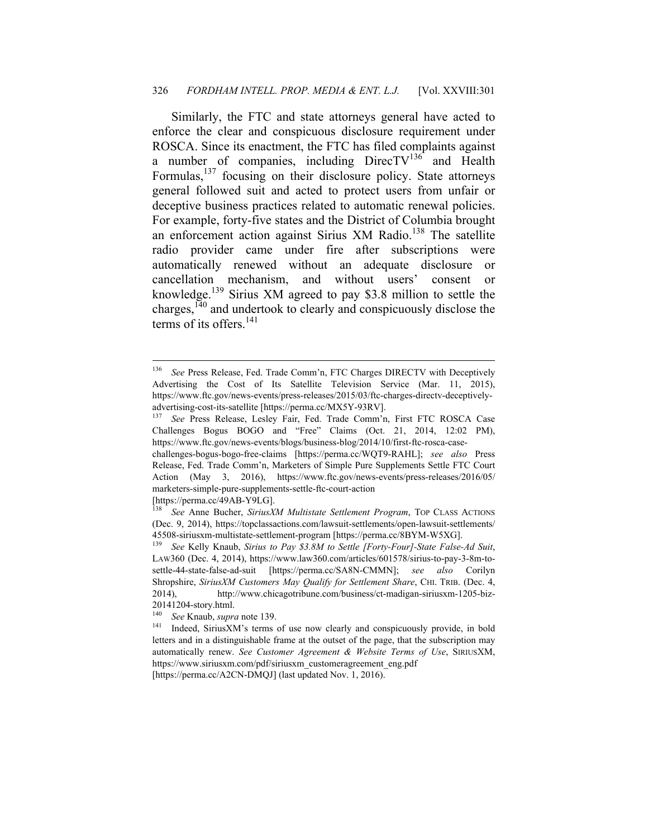#### 326 *FORDHAM INTELL. PROP. MEDIA & ENT. L.J.* [Vol. XXVIII:301

Similarly, the FTC and state attorneys general have acted to enforce the clear and conspicuous disclosure requirement under ROSCA. Since its enactment, the FTC has filed complaints against a number of companies, including  $DirectV<sup>136</sup>$  and Health Formulas, $^{137}$  focusing on their disclosure policy. State attorneys general followed suit and acted to protect users from unfair or deceptive business practices related to automatic renewal policies. For example, forty-five states and the District of Columbia brought an enforcement action against Sirius XM Radio.<sup>138</sup> The satellite radio provider came under fire after subscriptions were automatically renewed without an adequate disclosure or cancellation mechanism, and without users' consent or knowledge.139 Sirius XM agreed to pay \$3.8 million to settle the charges, $140$  and undertook to clearly and conspicuously disclose the terms of its offers. $^{141}$ 

[https://perma.cc/49AB-Y9LG].

<sup>136</sup> *See* Press Release, Fed. Trade Comm'n, FTC Charges DIRECTV with Deceptively Advertising the Cost of Its Satellite Television Service (Mar. 11, 2015), https://www.ftc.gov/news-events/press-releases/2015/03/ftc-charges-directv-deceptivelyadvertising-cost-its-satellite [https://perma.cc/MX5Y-93RV]. 137 *See* Press Release, Lesley Fair, Fed. Trade Comm'n, First FTC ROSCA Case

Challenges Bogus BOGO and "Free" Claims (Oct. 21, 2014, 12:02 PM), https://www.ftc.gov/news-events/blogs/business-blog/2014/10/first-ftc-rosca-case-

challenges-bogus-bogo-free-claims [https://perma.cc/WQT9-RAHL]; *see also* Press Release, Fed. Trade Comm'n, Marketers of Simple Pure Supplements Settle FTC Court Action (May 3, 2016), https://www.ftc.gov/news-events/press-releases/2016/05/ marketers-simple-pure-supplements-settle-ftc-court-action

<sup>138</sup> *See* Anne Bucher, *SiriusXM Multistate Settlement Program*, TOP CLASS ACTIONS (Dec. 9, 2014), https://topclassactions.com/lawsuit-settlements/open-lawsuit-settlements/ 45508-siriusxm-multistate-settlement-program [https://perma.cc/8BYM-W5XG].

<sup>139</sup> *See* Kelly Knaub, *Sirius to Pay \$3.8M to Settle [Forty-Four]-State False-Ad Suit*, LAW360 (Dec. 4, 2014), https://www.law360.com/articles/601578/sirius-to-pay-3-8m-tosettle-44-state-false-ad-suit [https://perma.cc/SA8N-CMMN]; *see also* Corilyn Shropshire, *SiriusXM Customers May Qualify for Settlement Share*, CHI. TRIB. (Dec. 4, 2014), http://www.chicagotribune.com/business/ct-madigan-siriusxm-1205-biz-20141204-story.html.

<sup>&</sup>lt;sup>140</sup> See Knaub, *supra* note 139.<br><sup>141</sup> Indeed, SiriusXM's terms of use now clearly and conspicuously provide, in bold letters and in a distinguishable frame at the outset of the page, that the subscription may automatically renew. *See Customer Agreement & Website Terms of Use*, SIRIUSXM, https://www.siriusxm.com/pdf/siriusxm\_customeragreement\_eng.pdf [https://perma.cc/A2CN-DMQJ] (last updated Nov. 1, 2016).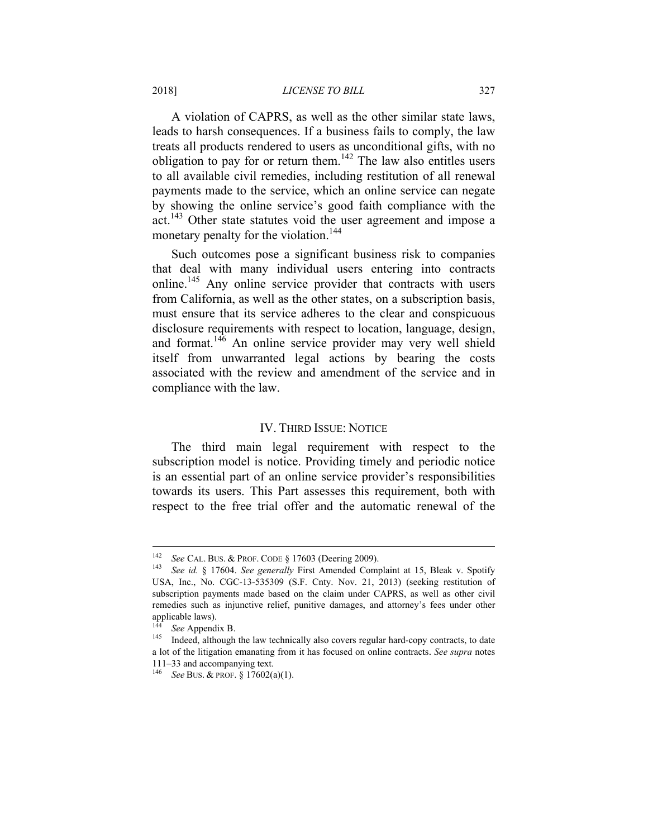A violation of CAPRS, as well as the other similar state laws, leads to harsh consequences. If a business fails to comply, the law treats all products rendered to users as unconditional gifts, with no obligation to pay for or return them.<sup>142</sup> The law also entitles users to all available civil remedies, including restitution of all renewal payments made to the service, which an online service can negate by showing the online service's good faith compliance with the act.<sup>143</sup> Other state statutes void the user agreement and impose a monetary penalty for the violation.<sup>144</sup>

Such outcomes pose a significant business risk to companies that deal with many individual users entering into contracts online.<sup>145</sup> Any online service provider that contracts with users from California, as well as the other states, on a subscription basis, must ensure that its service adheres to the clear and conspicuous disclosure requirements with respect to location, language, design, and format.<sup>146</sup> An online service provider may very well shield itself from unwarranted legal actions by bearing the costs associated with the review and amendment of the service and in compliance with the law.

## IV. THIRD ISSUE: NOTICE

The third main legal requirement with respect to the subscription model is notice. Providing timely and periodic notice is an essential part of an online service provider's responsibilities towards its users. This Part assesses this requirement, both with respect to the free trial offer and the automatic renewal of the

<sup>142</sup> *See* CAL. BUS. & PROF. CODE § 17603 (Deering 2009). 143 *See id.* § 17604. *See generally* First Amended Complaint at 15, Bleak v. Spotify USA, Inc., No. CGC-13-535309 (S.F. Cnty. Nov. 21, 2013) (seeking restitution of subscription payments made based on the claim under CAPRS, as well as other civil remedies such as injunctive relief, punitive damages, and attorney's fees under other applicable laws).

<sup>&</sup>lt;sup>144</sup> See Appendix B.<br><sup>145</sup> Indeed, although the law technically also covers regular hard-copy contracts, to date a lot of the litigation emanating from it has focused on online contracts. *See supra* notes 111–33 and accompanying text.

<sup>146</sup> *See* BUS. & PROF. § 17602(a)(1).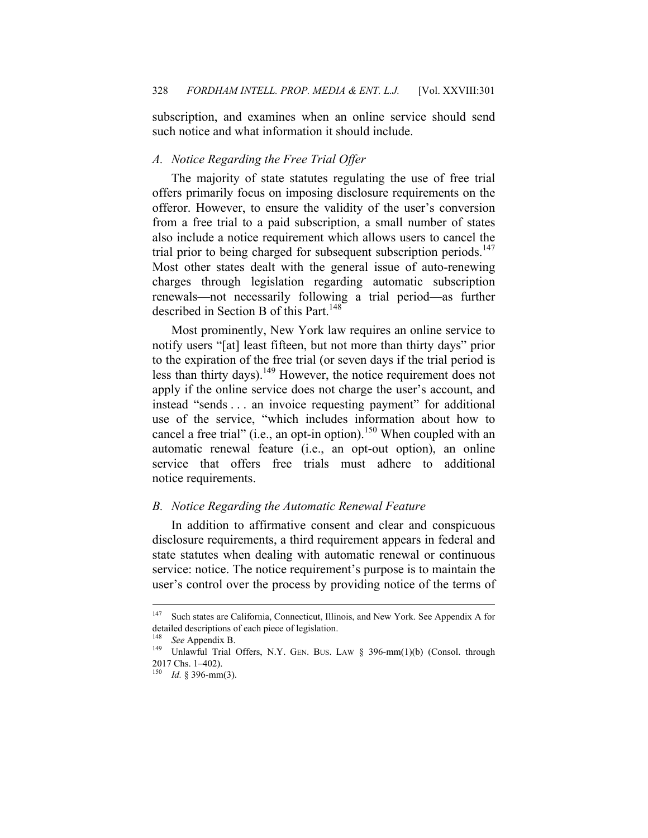subscription, and examines when an online service should send such notice and what information it should include.

### *A. Notice Regarding the Free Trial Offer*

The majority of state statutes regulating the use of free trial offers primarily focus on imposing disclosure requirements on the offeror. However, to ensure the validity of the user's conversion from a free trial to a paid subscription, a small number of states also include a notice requirement which allows users to cancel the trial prior to being charged for subsequent subscription periods.<sup>147</sup> Most other states dealt with the general issue of auto-renewing charges through legislation regarding automatic subscription renewals—not necessarily following a trial period—as further described in Section B of this Part.<sup>148</sup>

Most prominently, New York law requires an online service to notify users "[at] least fifteen, but not more than thirty days" prior to the expiration of the free trial (or seven days if the trial period is less than thirty days).149 However, the notice requirement does not apply if the online service does not charge the user's account, and instead "sends . . . an invoice requesting payment" for additional use of the service, "which includes information about how to cancel a free trial" (i.e., an opt-in option).<sup>150</sup> When coupled with an automatic renewal feature (i.e., an opt-out option), an online service that offers free trials must adhere to additional notice requirements.

## *B. Notice Regarding the Automatic Renewal Feature*

In addition to affirmative consent and clear and conspicuous disclosure requirements, a third requirement appears in federal and state statutes when dealing with automatic renewal or continuous service: notice. The notice requirement's purpose is to maintain the user's control over the process by providing notice of the terms of

<sup>147</sup> Such states are California, Connecticut, Illinois, and New York. See Appendix A for detailed descriptions of each piece of legislation.

<sup>&</sup>lt;sup>148</sup> See Appendix B.<br><sup>149</sup> Unlawful Trial Offers, N.Y. GEN. BUS. LAW § 396-mm(1)(b) (Consol. through 2017 Chs. 1–402).

<sup>150</sup> *Id.* § 396-mm(3).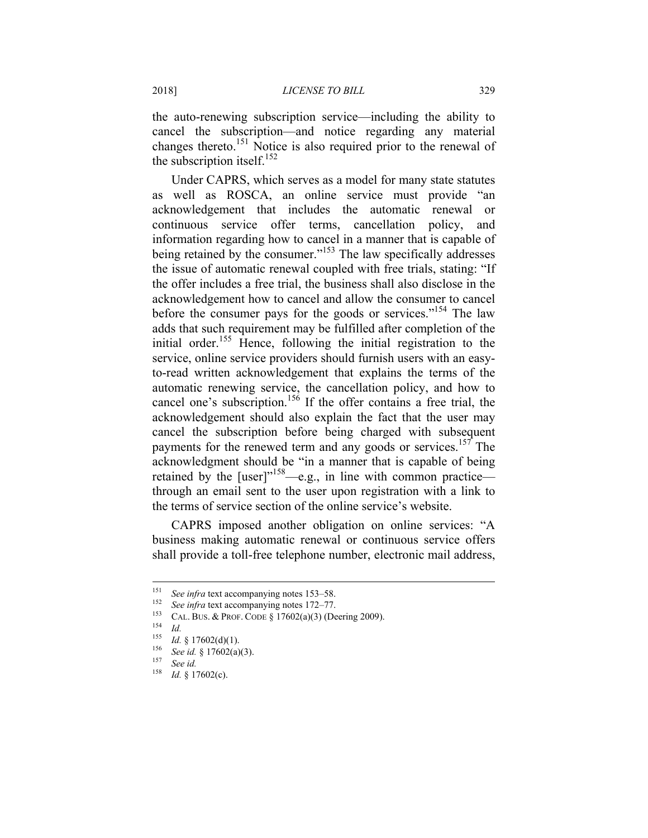the auto-renewing subscription service—including the ability to cancel the subscription—and notice regarding any material changes thereto.151 Notice is also required prior to the renewal of the subscription itself.<sup>152</sup>

Under CAPRS, which serves as a model for many state statutes as well as ROSCA, an online service must provide "an acknowledgement that includes the automatic renewal or continuous service offer terms, cancellation policy, and information regarding how to cancel in a manner that is capable of being retained by the consumer."<sup>153</sup> The law specifically addresses the issue of automatic renewal coupled with free trials, stating: "If the offer includes a free trial, the business shall also disclose in the acknowledgement how to cancel and allow the consumer to cancel before the consumer pays for the goods or services."154 The law adds that such requirement may be fulfilled after completion of the initial order.<sup>155</sup> Hence, following the initial registration to the service, online service providers should furnish users with an easyto-read written acknowledgement that explains the terms of the automatic renewing service, the cancellation policy, and how to cancel one's subscription.<sup>156</sup> If the offer contains a free trial, the acknowledgement should also explain the fact that the user may cancel the subscription before being charged with subsequent payments for the renewed term and any goods or services.<sup>157</sup> The acknowledgment should be "in a manner that is capable of being retained by the [user]"<sup>158</sup>—e.g., in line with common practice through an email sent to the user upon registration with a link to the terms of service section of the online service's website.

CAPRS imposed another obligation on online services: "A business making automatic renewal or continuous service offers shall provide a toll-free telephone number, electronic mail address,

1

<sup>&</sup>lt;sup>151</sup> See infra text accompanying notes 153–58.<br>
<sup>152</sup> See infra text accompanying notes 172–77.<br>
<sup>153</sup> CAL. BUS. & PROF. CODE § 17602(a)(3) (Deering 2009).<br>
<sup>154</sup> Id.<br>
<sup>155</sup> L4. 8 17602(d)(1).

<sup>155</sup> *Id.* § 17602(d)(1).<br>
<sup>156</sup> *See id.* § 17602(a)(3).<br>
<sup>157</sup> *See id.*<br>
<sup>158</sup> *L1.* s. 17602(c).

*Id.* § 17602(c).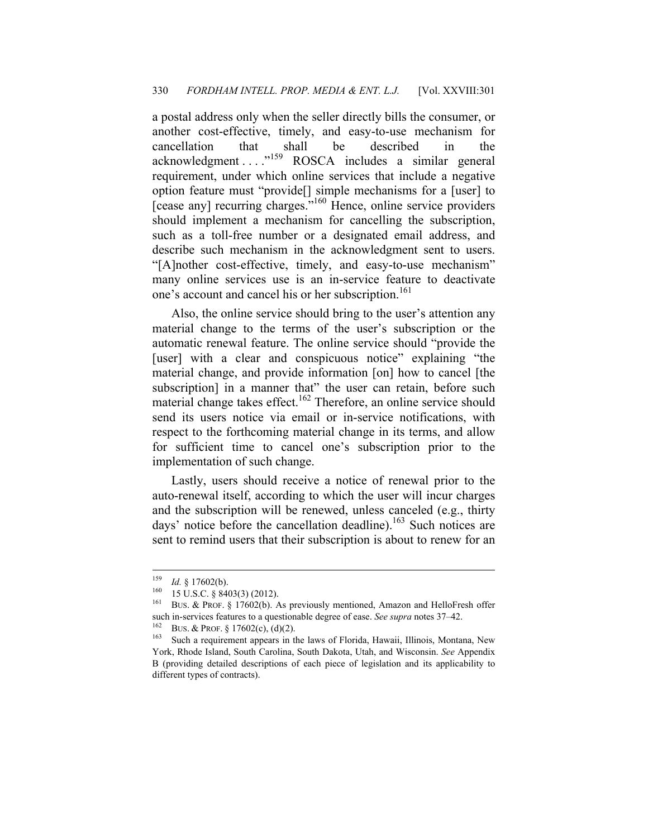a postal address only when the seller directly bills the consumer, or another cost-effective, timely, and easy-to-use mechanism for cancellation that shall be described in the acknowledgment . . . . <sup>"159</sup> ROSCA includes a similar general requirement, under which online services that include a negative option feature must "provide[] simple mechanisms for a [user] to [cease any] recurring charges."<sup>160</sup> Hence, online service providers should implement a mechanism for cancelling the subscription, such as a toll-free number or a designated email address, and describe such mechanism in the acknowledgment sent to users. "[A]nother cost-effective, timely, and easy-to-use mechanism" many online services use is an in-service feature to deactivate one's account and cancel his or her subscription.<sup>161</sup>

Also, the online service should bring to the user's attention any material change to the terms of the user's subscription or the automatic renewal feature. The online service should "provide the [user] with a clear and conspicuous notice" explaining "the material change, and provide information [on] how to cancel [the subscription] in a manner that" the user can retain, before such material change takes effect.<sup>162</sup> Therefore, an online service should send its users notice via email or in-service notifications, with respect to the forthcoming material change in its terms, and allow for sufficient time to cancel one's subscription prior to the implementation of such change.

Lastly, users should receive a notice of renewal prior to the auto-renewal itself, according to which the user will incur charges and the subscription will be renewed, unless canceled (e.g., thirty days' notice before the cancellation deadline).<sup>163</sup> Such notices are sent to remind users that their subscription is about to renew for an

<u>.</u>

<sup>159</sup> *Id.* § 17602(b).<br><sup>160</sup> 15 U.S.C. § 8403(3) (2012).<br><sup>161</sup> BUS. & PROF. § 17602(b). As previously mentioned, Amazon and HelloFresh offer such in-services features to a questionable degree of ease. *See supra* notes 37–42.<br><sup>162</sup> BUS. & PROF. § 17602(c), (d)(2).<br><sup>163</sup> Such a requirement appears in the laws of Florida, Hawaii, Illinois, Montana, New

York, Rhode Island, South Carolina, South Dakota, Utah, and Wisconsin. *See* Appendix B (providing detailed descriptions of each piece of legislation and its applicability to different types of contracts).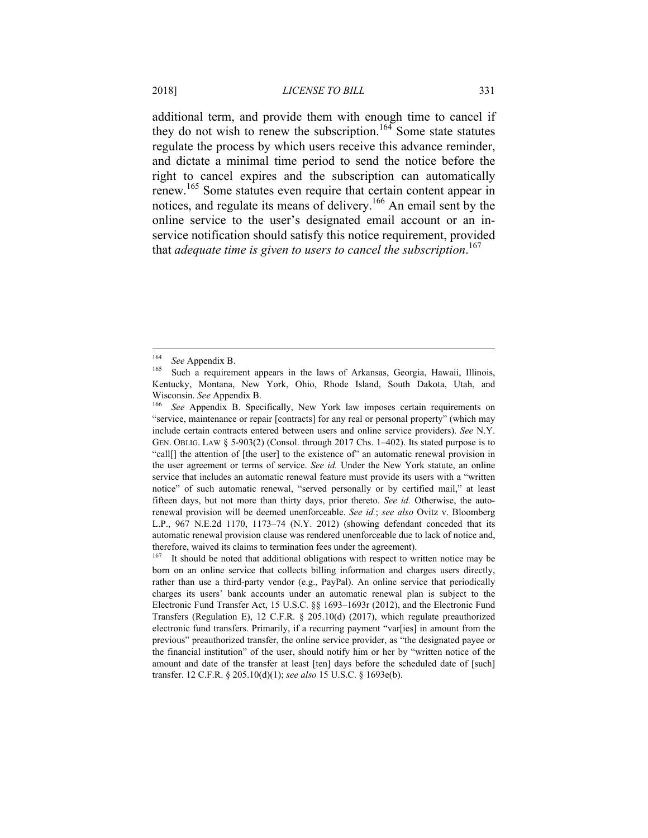additional term, and provide them with enough time to cancel if they do not wish to renew the subscription.<sup>164</sup> Some state statutes regulate the process by which users receive this advance reminder, and dictate a minimal time period to send the notice before the right to cancel expires and the subscription can automatically renew.165 Some statutes even require that certain content appear in notices, and regulate its means of delivery.<sup>166</sup> An email sent by the online service to the user's designated email account or an inservice notification should satisfy this notice requirement, provided that *adequate time is given to users to cancel the subscription*. 167

<sup>164</sup> *See* Appendix B. 165 Such a requirement appears in the laws of Arkansas, Georgia, Hawaii, Illinois, Kentucky, Montana, New York, Ohio, Rhode Island, South Dakota, Utah, and

Wisconsin. *See* Appendix B.<br><sup>166</sup> *See* Appendix B. Specifically, New York law imposes certain requirements on "service, maintenance or repair [contracts] for any real or personal property" (which may include certain contracts entered between users and online service providers). *See* N.Y. GEN. OBLIG. LAW § 5-903(2) (Consol. through 2017 Chs. 1–402). Its stated purpose is to "call[] the attention of [the user] to the existence of" an automatic renewal provision in the user agreement or terms of service. *See id.* Under the New York statute, an online service that includes an automatic renewal feature must provide its users with a "written notice" of such automatic renewal, "served personally or by certified mail," at least fifteen days, but not more than thirty days, prior thereto. *See id.* Otherwise, the autorenewal provision will be deemed unenforceable. *See id.*; *see also* Ovitz v. Bloomberg L.P., 967 N.E.2d 1170, 1173–74 (N.Y. 2012) (showing defendant conceded that its automatic renewal provision clause was rendered unenforceable due to lack of notice and, therefore, waived its claims to termination fees under the agreement).<br><sup>167</sup> It should be noted that edditional obligations with respect to w

It should be noted that additional obligations with respect to written notice may be born on an online service that collects billing information and charges users directly, rather than use a third-party vendor (e.g., PayPal). An online service that periodically charges its users' bank accounts under an automatic renewal plan is subject to the Electronic Fund Transfer Act, 15 U.S.C. §§ 1693–1693r (2012), and the Electronic Fund Transfers (Regulation E), 12 C.F.R. § 205.10(d) (2017), which regulate preauthorized electronic fund transfers. Primarily, if a recurring payment "var[ies] in amount from the previous" preauthorized transfer, the online service provider, as "the designated payee or the financial institution" of the user, should notify him or her by "written notice of the amount and date of the transfer at least [ten] days before the scheduled date of [such] transfer. 12 C.F.R. § 205.10(d)(1); *see also* 15 U.S.C. § 1693e(b).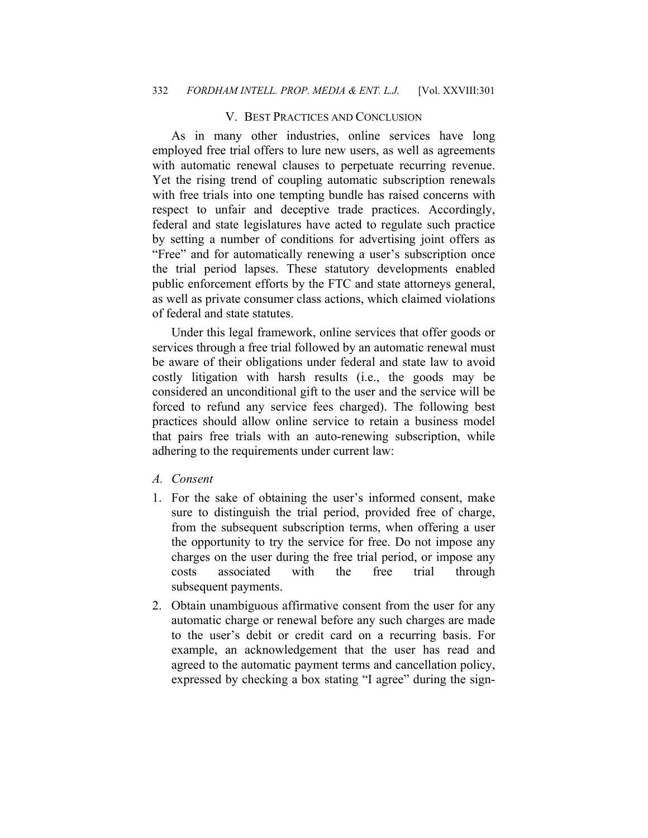## V. BEST PRACTICES AND CONCLUSION

As in many other industries, online services have long employed free trial offers to lure new users, as well as agreements with automatic renewal clauses to perpetuate recurring revenue. Yet the rising trend of coupling automatic subscription renewals with free trials into one tempting bundle has raised concerns with respect to unfair and deceptive trade practices. Accordingly, federal and state legislatures have acted to regulate such practice by setting a number of conditions for advertising joint offers as "Free" and for automatically renewing a user's subscription once the trial period lapses. These statutory developments enabled public enforcement efforts by the FTC and state attorneys general, as well as private consumer class actions, which claimed violations of federal and state statutes.

Under this legal framework, online services that offer goods or services through a free trial followed by an automatic renewal must be aware of their obligations under federal and state law to avoid costly litigation with harsh results (i.e., the goods may be considered an unconditional gift to the user and the service will be forced to refund any service fees charged). The following best practices should allow online service to retain a business model that pairs free trials with an auto-renewing subscription, while adhering to the requirements under current law:

*A. Consent* 

- 1. For the sake of obtaining the user's informed consent, make sure to distinguish the trial period, provided free of charge, from the subsequent subscription terms, when offering a user the opportunity to try the service for free. Do not impose any charges on the user during the free trial period, or impose any costs associated with the free trial through subsequent payments.
- 2. Obtain unambiguous affirmative consent from the user for any automatic charge or renewal before any such charges are made to the user's debit or credit card on a recurring basis. For example, an acknowledgement that the user has read and agreed to the automatic payment terms and cancellation policy, expressed by checking a box stating "I agree" during the sign-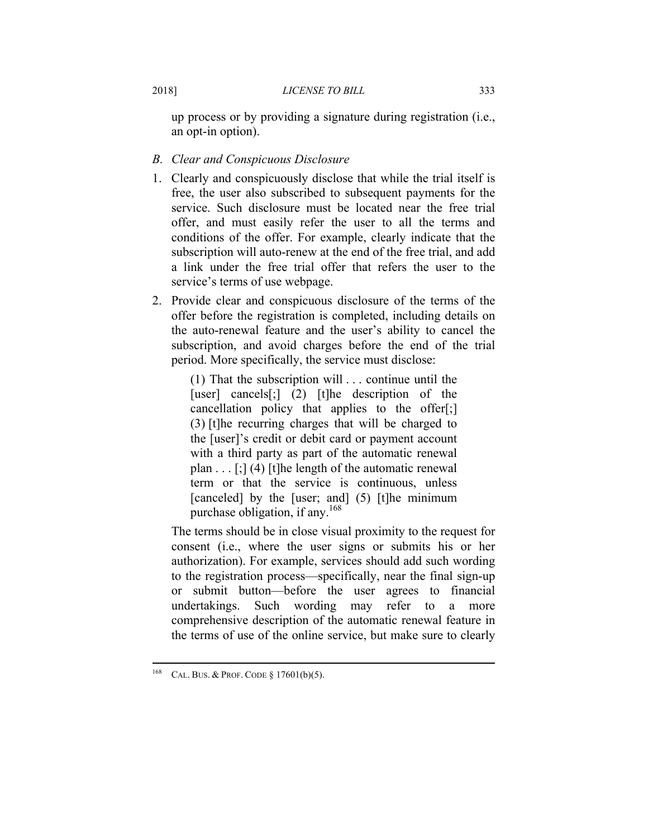up process or by providing a signature during registration (i.e., an opt-in option).

- *B. Clear and Conspicuous Disclosure*
- 1. Clearly and conspicuously disclose that while the trial itself is free, the user also subscribed to subsequent payments for the service. Such disclosure must be located near the free trial offer, and must easily refer the user to all the terms and conditions of the offer. For example, clearly indicate that the subscription will auto-renew at the end of the free trial, and add a link under the free trial offer that refers the user to the service's terms of use webpage.
- 2. Provide clear and conspicuous disclosure of the terms of the offer before the registration is completed, including details on the auto-renewal feature and the user's ability to cancel the subscription, and avoid charges before the end of the trial period. More specifically, the service must disclose:

(1) That the subscription will . . . continue until the [user] cancels[;] (2) [t]he description of the cancellation policy that applies to the offer[;] (3) [t]he recurring charges that will be charged to the [user]'s credit or debit card or payment account with a third party as part of the automatic renewal plan  $\ldots$  [;] (4) [t]he length of the automatic renewal term or that the service is continuous, unless [canceled] by the [user; and] (5) [t]he minimum purchase obligation, if any.<sup>168</sup>

The terms should be in close visual proximity to the request for consent (i.e., where the user signs or submits his or her authorization). For example, services should add such wording to the registration process—specifically, near the final sign-up or submit button—before the user agrees to financial undertakings. Such wording may refer to a more comprehensive description of the automatic renewal feature in the terms of use of the online service, but make sure to clearly

<sup>168</sup> CAL. BUS. & PROF. CODE § 17601(b)(5).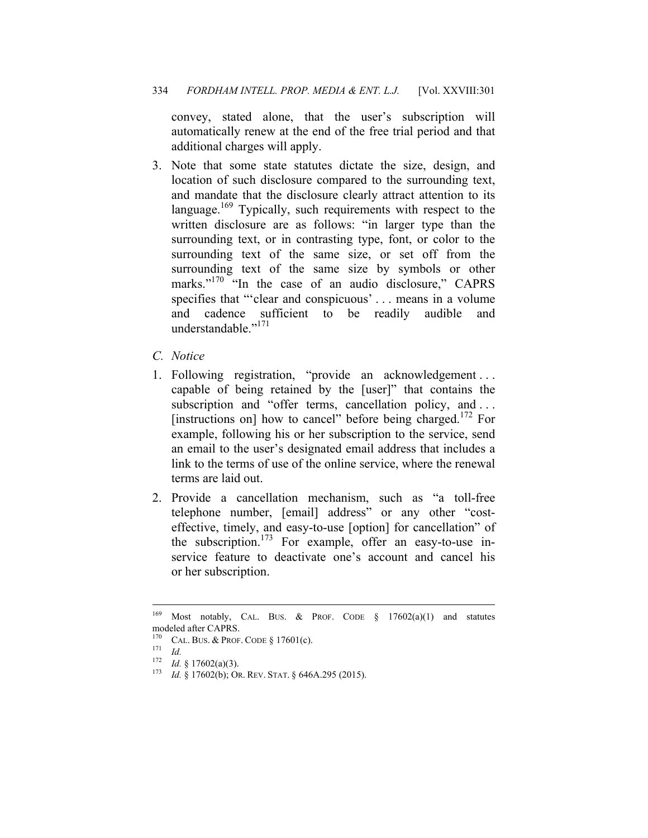convey, stated alone, that the user's subscription will automatically renew at the end of the free trial period and that additional charges will apply.

- 3. Note that some state statutes dictate the size, design, and location of such disclosure compared to the surrounding text, and mandate that the disclosure clearly attract attention to its language.<sup>169</sup> Typically, such requirements with respect to the written disclosure are as follows: "in larger type than the surrounding text, or in contrasting type, font, or color to the surrounding text of the same size, or set off from the surrounding text of the same size by symbols or other marks."<sup>170</sup> "In the case of an audio disclosure," CAPRS specifies that "'clear and conspicuous' . . . means in a volume and cadence sufficient to be readily audible and understandable<sup>"171</sup>
- *C. Notice*
- 1. Following registration, "provide an acknowledgement . . . capable of being retained by the [user]" that contains the subscription and "offer terms, cancellation policy, and ... [instructions on] how to cancel" before being charged.<sup>172</sup> For example, following his or her subscription to the service, send an email to the user's designated email address that includes a link to the terms of use of the online service, where the renewal terms are laid out.
- 2. Provide a cancellation mechanism, such as "a toll-free telephone number, [email] address" or any other "costeffective, timely, and easy-to-use [option] for cancellation" of the subscription.<sup>173</sup> For example, offer an easy-to-use inservice feature to deactivate one's account and cancel his or her subscription.

<sup>&</sup>lt;sup>169</sup> Most notably, CAL. BUS. & PROF. CODE § 17602(a)(1) and statutes modeled after CAPRS.

<sup>&</sup>lt;sup>170</sup> CAL. BUS. & PROF. CODE § 17601(c).<br><sup>171</sup> *Id. IA* § 17602(a)(3).

<sup>&</sup>lt;sup>173</sup> *Id.* § 17602(b); OR. REV. STAT. § 646A.295 (2015).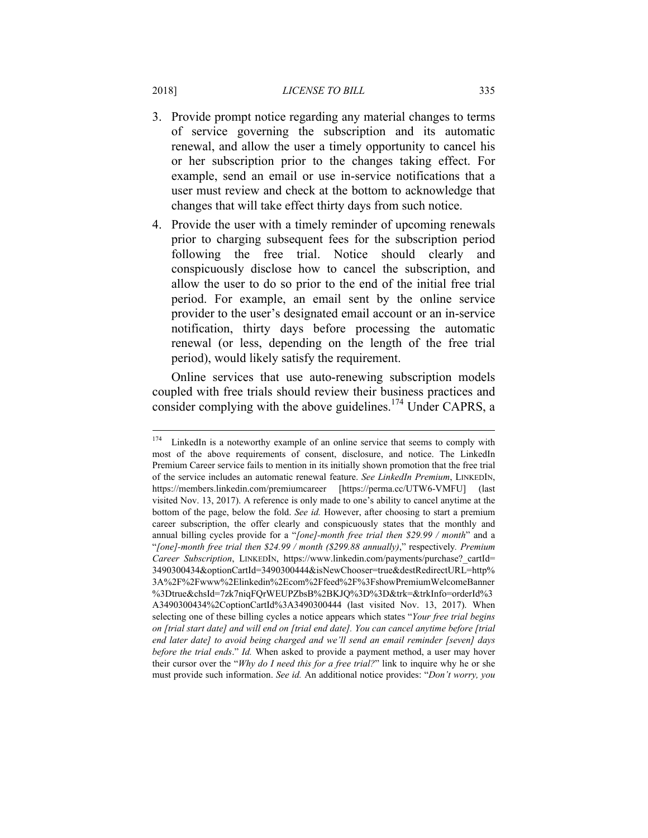- 3. Provide prompt notice regarding any material changes to terms of service governing the subscription and its automatic renewal, and allow the user a timely opportunity to cancel his or her subscription prior to the changes taking effect. For example, send an email or use in-service notifications that a user must review and check at the bottom to acknowledge that changes that will take effect thirty days from such notice.
- 4. Provide the user with a timely reminder of upcoming renewals prior to charging subsequent fees for the subscription period following the free trial. Notice should clearly and conspicuously disclose how to cancel the subscription, and allow the user to do so prior to the end of the initial free trial period. For example, an email sent by the online service provider to the user's designated email account or an in-service notification, thirty days before processing the automatic renewal (or less, depending on the length of the free trial period), would likely satisfy the requirement.

Online services that use auto-renewing subscription models coupled with free trials should review their business practices and consider complying with the above guidelines.<sup>174</sup> Under CAPRS, a

 $\overline{a}$ 

<sup>&</sup>lt;sup>174</sup> LinkedIn is a noteworthy example of an online service that seems to comply with most of the above requirements of consent, disclosure, and notice. The LinkedIn Premium Career service fails to mention in its initially shown promotion that the free trial of the service includes an automatic renewal feature. *See LinkedIn Premium*, LINKEDIN, https://members.linkedin.com/premiumcareer [https://perma.cc/UTW6-VMFU] (last visited Nov. 13, 2017). A reference is only made to one's ability to cancel anytime at the bottom of the page, below the fold. *See id.* However, after choosing to start a premium career subscription, the offer clearly and conspicuously states that the monthly and annual billing cycles provide for a "*[one]-month free trial then \$29.99 / month*" and a "*[one]-month free trial then \$24.99 / month (\$299.88 annually)*," respectively*. Premium Career Subscription*, LINKEDIN, https://www.linkedin.com/payments/purchase?\_cartId= 3490300434&optionCartId=3490300444&isNewChooser=true&destRedirectURL=http% 3A%2F%2Fwww%2Elinkedin%2Ecom%2Ffeed%2F%3FshowPremiumWelcomeBanner %3Dtrue&chsId=7zk7niqFQrWEUPZbsB%2BKJQ%3D%3D&trk=&trkInfo=orderId%3 A3490300434%2CoptionCartId%3A3490300444 (last visited Nov. 13, 2017). When selecting one of these billing cycles a notice appears which states "*Your free trial begins on [trial start date] and will end on [trial end date]. You can cancel anytime before [trial end later date] to avoid being charged and we'll send an email reminder [seven] days before the trial ends*." *Id.* When asked to provide a payment method, a user may hover their cursor over the "*Why do I need this for a free trial?*" link to inquire why he or she must provide such information. *See id.* An additional notice provides: "*Don't worry, you*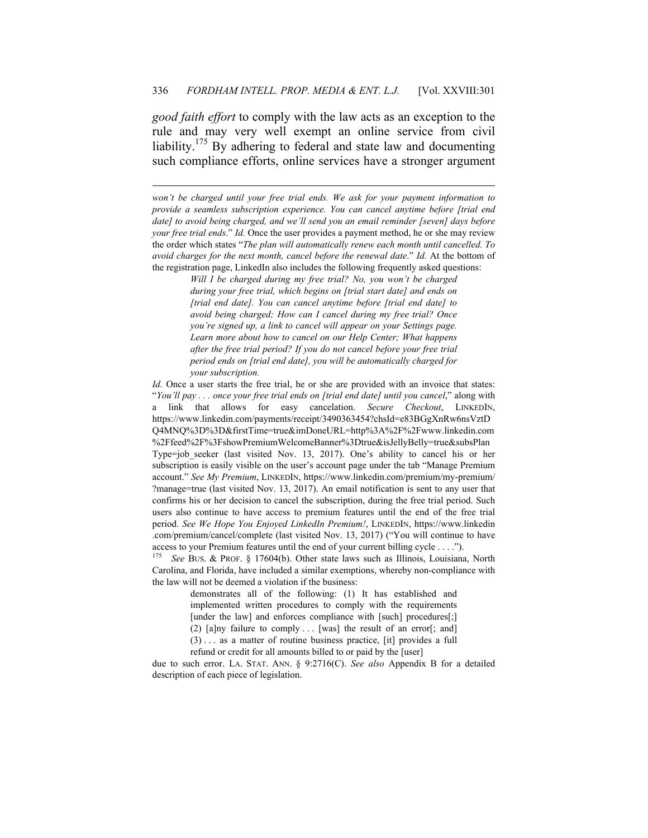*good faith effort* to comply with the law acts as an exception to the rule and may very well exempt an online service from civil liability.175 By adhering to federal and state law and documenting such compliance efforts, online services have a stronger argument

 $\overline{a}$ 

*won't be charged until your free trial ends. We ask for your payment information to provide a seamless subscription experience. You can cancel anytime before [trial end date] to avoid being charged, and we'll send you an email reminder [seven] days before your free trial ends*." *Id.* Once the user provides a payment method, he or she may review the order which states "*The plan will automatically renew each month until cancelled. To avoid charges for the next month, cancel before the renewal date*." *Id.* At the bottom of the registration page, LinkedIn also includes the following frequently asked questions:

> *Will I be charged during my free trial? No, you won't be charged during your free trial, which begins on [trial start date] and ends on [trial end date]. You can cancel anytime before [trial end date] to avoid being charged; How can I cancel during my free trial? Once you're signed up, a link to cancel will appear on your Settings page. Learn more about how to cancel on our Help Center; What happens after the free trial period? If you do not cancel before your free trial period ends on [trial end date], you will be automatically charged for your subscription.*

*Id.* Once a user starts the free trial, he or she are provided with an invoice that states: "*You'll pay . . . once your free trial ends on [trial end date] until you cancel*," along with a link that allows for easy cancelation. *Secure Checkout*, LINKEDIN, https://www.linkedin.com/payments/receipt/3490363454?chsId=e83BGgXnRw6nsVztD Q4MNQ%3D%3D&firstTime=true&imDoneURL=http%3A%2F%2Fwww.linkedin.com %2Ffeed%2F%3FshowPremiumWelcomeBanner%3Dtrue&isJellyBelly=true&subsPlan Type=job seeker (last visited Nov. 13, 2017). One's ability to cancel his or her subscription is easily visible on the user's account page under the tab "Manage Premium account." *See My Premium*, LINKEDIN, https://www.linkedin.com/premium/my-premium/ ?manage=true (last visited Nov. 13, 2017). An email notification is sent to any user that confirms his or her decision to cancel the subscription, during the free trial period. Such users also continue to have access to premium features until the end of the free trial period. *See We Hope You Enjoyed LinkedIn Premium!*, LINKEDIN, https://www.linkedin .com/premium/cancel/complete (last visited Nov. 13, 2017) ("You will continue to have access to your Premium features until the end of your current billing cycle . . . .").

<sup>175</sup> *See* BUS. & PROF. § 17604(b). Other state laws such as Illinois, Louisiana, North Carolina, and Florida, have included a similar exemptions, whereby non-compliance with the law will not be deemed a violation if the business:

> demonstrates all of the following: (1) It has established and implemented written procedures to comply with the requirements [under the law] and enforces compliance with [such] procedures[;] (2)  $[a]$ ny failure to comply ... [was] the result of an error[; and] (3) . . . as a matter of routine business practice, [it] provides a full

refund or credit for all amounts billed to or paid by the [user]

due to such error. LA. STAT. ANN. § 9:2716(C). *See also* Appendix B for a detailed description of each piece of legislation.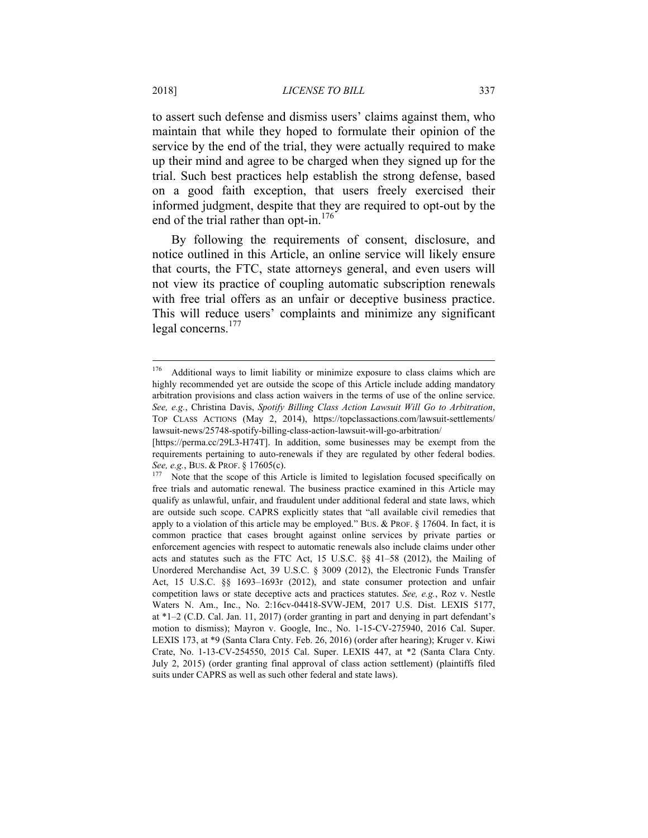to assert such defense and dismiss users' claims against them, who maintain that while they hoped to formulate their opinion of the service by the end of the trial, they were actually required to make up their mind and agree to be charged when they signed up for the trial. Such best practices help establish the strong defense, based on a good faith exception, that users freely exercised their informed judgment, despite that they are required to opt-out by the end of the trial rather than opt-in.<sup>176</sup>

By following the requirements of consent, disclosure, and notice outlined in this Article, an online service will likely ensure that courts, the FTC, state attorneys general, and even users will not view its practice of coupling automatic subscription renewals with free trial offers as an unfair or deceptive business practice. This will reduce users' complaints and minimize any significant legal concerns.<sup>177</sup>

<sup>176</sup> Additional ways to limit liability or minimize exposure to class claims which are highly recommended yet are outside the scope of this Article include adding mandatory arbitration provisions and class action waivers in the terms of use of the online service. *See, e.g.*, Christina Davis, *Spotify Billing Class Action Lawsuit Will Go to Arbitration*, TOP CLASS ACTIONS (May 2, 2014), https://topclassactions.com/lawsuit-settlements/ lawsuit-news/25748-spotify-billing-class-action-lawsuit-will-go-arbitration/

<sup>[</sup>https://perma.cc/29L3-H74T]. In addition, some businesses may be exempt from the requirements pertaining to auto-renewals if they are regulated by other federal bodies.

*See, e.g.*, Bus. & PROF. § 17605(c).<br><sup>177</sup> Note that the scope of this Article is limited to legislation focused specifically on free trials and automatic renewal. The business practice examined in this Article may qualify as unlawful, unfair, and fraudulent under additional federal and state laws, which are outside such scope. CAPRS explicitly states that "all available civil remedies that apply to a violation of this article may be employed." BUS. & PROF. § 17604. In fact, it is common practice that cases brought against online services by private parties or enforcement agencies with respect to automatic renewals also include claims under other acts and statutes such as the FTC Act, 15 U.S.C. §§ 41–58 (2012), the Mailing of Unordered Merchandise Act, 39 U.S.C. § 3009 (2012), the Electronic Funds Transfer Act, 15 U.S.C. §§ 1693–1693r (2012), and state consumer protection and unfair competition laws or state deceptive acts and practices statutes. *See, e.g.*, Roz v. Nestle Waters N. Am., Inc., No. 2:16cv-04418-SVW-JEM, 2017 U.S. Dist. LEXIS 5177, at \*1–2 (C.D. Cal. Jan. 11, 2017) (order granting in part and denying in part defendant's motion to dismiss); Mayron v. Google, Inc., No. 1-15-CV-275940, 2016 Cal. Super. LEXIS 173, at \*9 (Santa Clara Cnty. Feb. 26, 2016) (order after hearing); Kruger v. Kiwi Crate, No. 1-13-CV-254550, 2015 Cal. Super. LEXIS 447, at \*2 (Santa Clara Cnty. July 2, 2015) (order granting final approval of class action settlement) (plaintiffs filed suits under CAPRS as well as such other federal and state laws).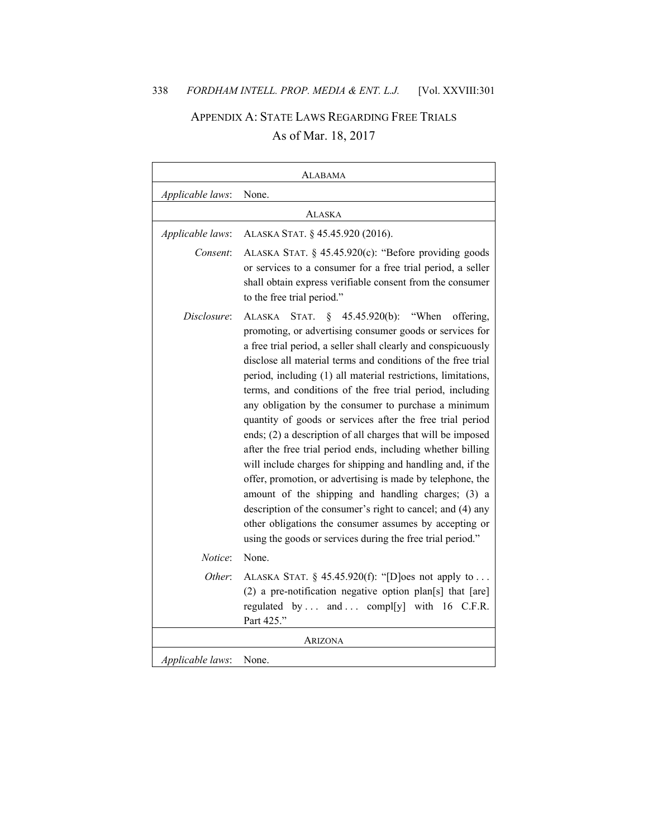# APPENDIX A: STATE LAWS REGARDING FREE TRIALS As of Mar. 18, 2017

|                  | ALABAMA                                                                                                                                                                                                                                                                                                                                                                                                                                                                                                                                                                                                                                                                                                                                                                                                                                                                                                                                                                                                           |
|------------------|-------------------------------------------------------------------------------------------------------------------------------------------------------------------------------------------------------------------------------------------------------------------------------------------------------------------------------------------------------------------------------------------------------------------------------------------------------------------------------------------------------------------------------------------------------------------------------------------------------------------------------------------------------------------------------------------------------------------------------------------------------------------------------------------------------------------------------------------------------------------------------------------------------------------------------------------------------------------------------------------------------------------|
| Applicable laws: | None.                                                                                                                                                                                                                                                                                                                                                                                                                                                                                                                                                                                                                                                                                                                                                                                                                                                                                                                                                                                                             |
|                  | Alaska                                                                                                                                                                                                                                                                                                                                                                                                                                                                                                                                                                                                                                                                                                                                                                                                                                                                                                                                                                                                            |
| Applicable laws: | ALASKA STAT. § 45.45.920 (2016).                                                                                                                                                                                                                                                                                                                                                                                                                                                                                                                                                                                                                                                                                                                                                                                                                                                                                                                                                                                  |
| Consent:         | ALASKA STAT. § 45.45.920(c): "Before providing goods<br>or services to a consumer for a free trial period, a seller<br>shall obtain express verifiable consent from the consumer<br>to the free trial period."                                                                                                                                                                                                                                                                                                                                                                                                                                                                                                                                                                                                                                                                                                                                                                                                    |
| Disclosure:      | $\S$<br>45.45.920(b): "When<br>offering,<br>ALASKA<br>STAT.<br>promoting, or advertising consumer goods or services for<br>a free trial period, a seller shall clearly and conspicuously<br>disclose all material terms and conditions of the free trial<br>period, including (1) all material restrictions, limitations,<br>terms, and conditions of the free trial period, including<br>any obligation by the consumer to purchase a minimum<br>quantity of goods or services after the free trial period<br>ends; (2) a description of all charges that will be imposed<br>after the free trial period ends, including whether billing<br>will include charges for shipping and handling and, if the<br>offer, promotion, or advertising is made by telephone, the<br>amount of the shipping and handling charges; (3) a<br>description of the consumer's right to cancel; and (4) any<br>other obligations the consumer assumes by accepting or<br>using the goods or services during the free trial period." |
| Notice:          | None.                                                                                                                                                                                                                                                                                                                                                                                                                                                                                                                                                                                                                                                                                                                                                                                                                                                                                                                                                                                                             |
| Other:           | ALASKA STAT. $\S$ 45.45.920(f): "[D]oes not apply to<br>(2) a pre-notification negative option plan[s] that [are]<br>regulated by  and  compl[y] with 16 C.F.R.<br>Part 425."                                                                                                                                                                                                                                                                                                                                                                                                                                                                                                                                                                                                                                                                                                                                                                                                                                     |
|                  | ARIZONA                                                                                                                                                                                                                                                                                                                                                                                                                                                                                                                                                                                                                                                                                                                                                                                                                                                                                                                                                                                                           |
| Applicable laws: | None.                                                                                                                                                                                                                                                                                                                                                                                                                                                                                                                                                                                                                                                                                                                                                                                                                                                                                                                                                                                                             |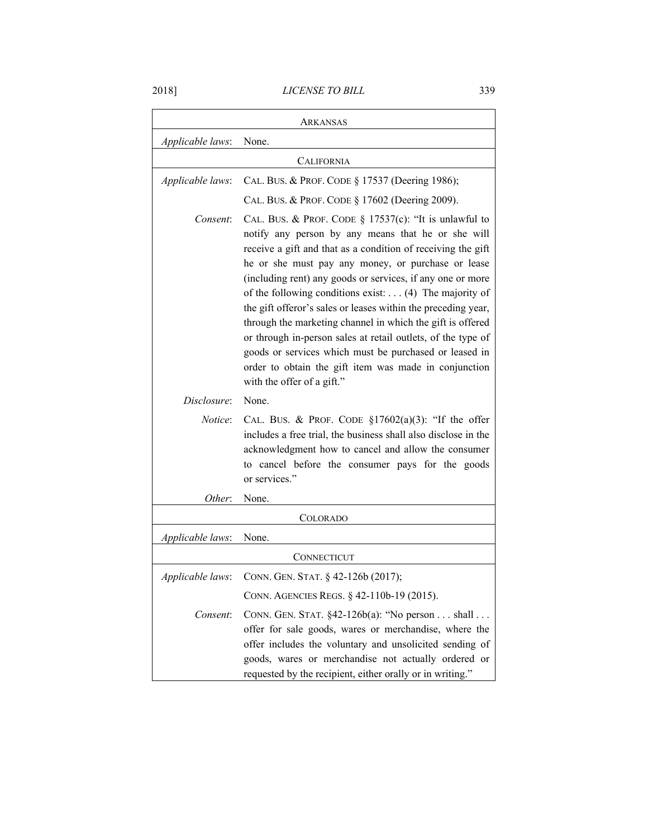|                  | Arkansas                                                                                                                                                                                                                                                                                                                                                                                                                                                                                                                                                                                                                                                                                                             |
|------------------|----------------------------------------------------------------------------------------------------------------------------------------------------------------------------------------------------------------------------------------------------------------------------------------------------------------------------------------------------------------------------------------------------------------------------------------------------------------------------------------------------------------------------------------------------------------------------------------------------------------------------------------------------------------------------------------------------------------------|
| Applicable laws: | None.                                                                                                                                                                                                                                                                                                                                                                                                                                                                                                                                                                                                                                                                                                                |
|                  | CALIFORNIA                                                                                                                                                                                                                                                                                                                                                                                                                                                                                                                                                                                                                                                                                                           |
| Applicable laws: | CAL. BUS. & PROF. CODE § 17537 (Deering 1986);                                                                                                                                                                                                                                                                                                                                                                                                                                                                                                                                                                                                                                                                       |
|                  | CAL. BUS. & PROF. CODE § 17602 (Deering 2009).                                                                                                                                                                                                                                                                                                                                                                                                                                                                                                                                                                                                                                                                       |
| Consent:         | CAL. BUS. & PROF. CODE $\S$ 17537(c): "It is unlawful to<br>notify any person by any means that he or she will<br>receive a gift and that as a condition of receiving the gift<br>he or she must pay any money, or purchase or lease<br>(including rent) any goods or services, if any one or more<br>of the following conditions exist: $\dots$ (4) The majority of<br>the gift offeror's sales or leases within the preceding year,<br>through the marketing channel in which the gift is offered<br>or through in-person sales at retail outlets, of the type of<br>goods or services which must be purchased or leased in<br>order to obtain the gift item was made in conjunction<br>with the offer of a gift." |
| Disclosure:      | None.                                                                                                                                                                                                                                                                                                                                                                                                                                                                                                                                                                                                                                                                                                                |
| <i>Notice</i> :  | CAL. BUS. & PROF. CODE $\S17602(a)(3)$ : "If the offer<br>includes a free trial, the business shall also disclose in the<br>acknowledgment how to cancel and allow the consumer<br>to cancel before the consumer pays for the goods<br>or services."                                                                                                                                                                                                                                                                                                                                                                                                                                                                 |
| Other:           | None.                                                                                                                                                                                                                                                                                                                                                                                                                                                                                                                                                                                                                                                                                                                |
|                  | <b>COLORADO</b>                                                                                                                                                                                                                                                                                                                                                                                                                                                                                                                                                                                                                                                                                                      |
| Applicable laws: | None.                                                                                                                                                                                                                                                                                                                                                                                                                                                                                                                                                                                                                                                                                                                |
|                  | CONNECTICUT                                                                                                                                                                                                                                                                                                                                                                                                                                                                                                                                                                                                                                                                                                          |
|                  | Applicable laws: CONN. GEN. STAT. § 42-126b (2017);                                                                                                                                                                                                                                                                                                                                                                                                                                                                                                                                                                                                                                                                  |
|                  | CONN. AGENCIES REGS. $§$ 42-110b-19 (2015).                                                                                                                                                                                                                                                                                                                                                                                                                                                                                                                                                                                                                                                                          |
| Consent:         | CONN. GEN. STAT. §42-126b(a): "No person shall<br>offer for sale goods, wares or merchandise, where the<br>offer includes the voluntary and unsolicited sending of<br>goods, wares or merchandise not actually ordered or<br>requested by the recipient, either orally or in writing."                                                                                                                                                                                                                                                                                                                                                                                                                               |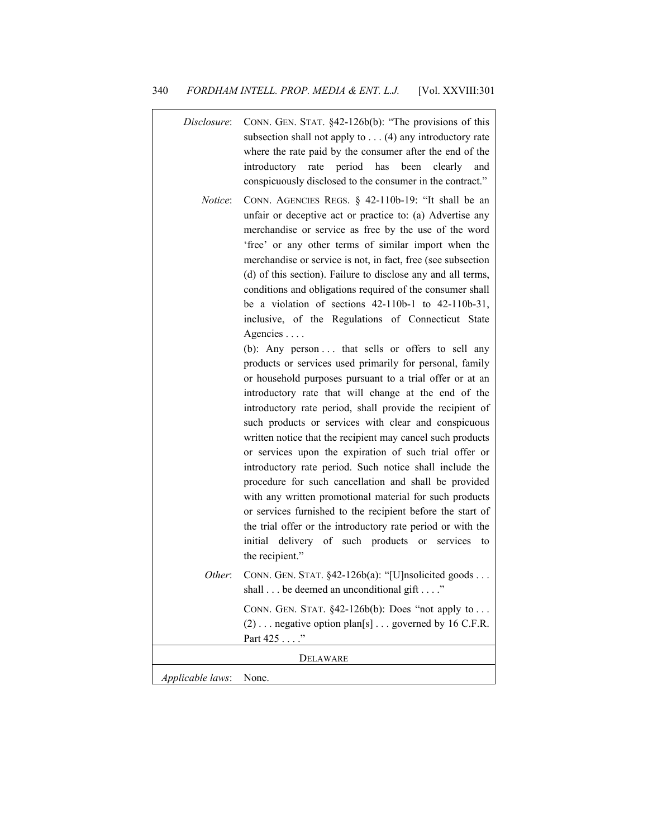| Disclosure:      | CONN. GEN. STAT. §42-126b(b): "The provisions of this<br>subsection shall not apply to $\dots$ (4) any introductory rate<br>where the rate paid by the consumer after the end of the<br>introductory rate period has been clearly<br>and<br>conspicuously disclosed to the consumer in the contract."                                                                                                                                                                                                                                                                                                                                                                                                                                                                                                                                                                                                                                                                                                                                                                                                                                                                                                                                                                                                                                                                                                                                 |
|------------------|---------------------------------------------------------------------------------------------------------------------------------------------------------------------------------------------------------------------------------------------------------------------------------------------------------------------------------------------------------------------------------------------------------------------------------------------------------------------------------------------------------------------------------------------------------------------------------------------------------------------------------------------------------------------------------------------------------------------------------------------------------------------------------------------------------------------------------------------------------------------------------------------------------------------------------------------------------------------------------------------------------------------------------------------------------------------------------------------------------------------------------------------------------------------------------------------------------------------------------------------------------------------------------------------------------------------------------------------------------------------------------------------------------------------------------------|
| Notice:          | CONN. AGENCIES REGS. § 42-110b-19: "It shall be an<br>unfair or deceptive act or practice to: (a) Advertise any<br>merchandise or service as free by the use of the word<br>'free' or any other terms of similar import when the<br>merchandise or service is not, in fact, free (see subsection<br>(d) of this section). Failure to disclose any and all terms,<br>conditions and obligations required of the consumer shall<br>be a violation of sections $42-110b-1$ to $42-110b-31$ ,<br>inclusive, of the Regulations of Connecticut State<br>Agencies<br>(b): Any person  that sells or offers to sell any<br>products or services used primarily for personal, family<br>or household purposes pursuant to a trial offer or at an<br>introductory rate that will change at the end of the<br>introductory rate period, shall provide the recipient of<br>such products or services with clear and conspicuous<br>written notice that the recipient may cancel such products<br>or services upon the expiration of such trial offer or<br>introductory rate period. Such notice shall include the<br>procedure for such cancellation and shall be provided<br>with any written promotional material for such products<br>or services furnished to the recipient before the start of<br>the trial offer or the introductory rate period or with the<br>initial delivery of such products or<br>services<br>to<br>the recipient." |
| Other:           | CONN. GEN. STAT. §42-126b(a): "[U]nsolicited goods<br>shall $\ldots$ be deemed an unconditional gift $\ldots$                                                                                                                                                                                                                                                                                                                                                                                                                                                                                                                                                                                                                                                                                                                                                                                                                                                                                                                                                                                                                                                                                                                                                                                                                                                                                                                         |
|                  | CONN. GEN. STAT. $§42-126b(b)$ : Does "not apply to<br>$(2) \ldots$ negative option plan[s] $\ldots$ governed by 16 C.F.R.<br>Part 425"                                                                                                                                                                                                                                                                                                                                                                                                                                                                                                                                                                                                                                                                                                                                                                                                                                                                                                                                                                                                                                                                                                                                                                                                                                                                                               |
| DELAWARE         |                                                                                                                                                                                                                                                                                                                                                                                                                                                                                                                                                                                                                                                                                                                                                                                                                                                                                                                                                                                                                                                                                                                                                                                                                                                                                                                                                                                                                                       |
| Applicable laws: | None.                                                                                                                                                                                                                                                                                                                                                                                                                                                                                                                                                                                                                                                                                                                                                                                                                                                                                                                                                                                                                                                                                                                                                                                                                                                                                                                                                                                                                                 |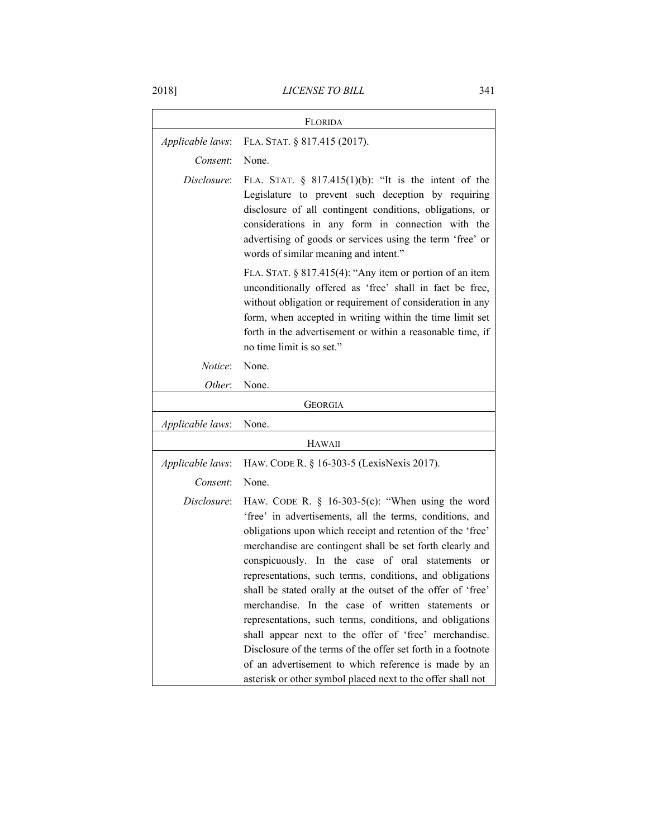| FLORIDA          |                                                                                                                                                                                                                                                                                                                                                                                                                                                                                                                                                                                                                                                                                                                                                                                            |
|------------------|--------------------------------------------------------------------------------------------------------------------------------------------------------------------------------------------------------------------------------------------------------------------------------------------------------------------------------------------------------------------------------------------------------------------------------------------------------------------------------------------------------------------------------------------------------------------------------------------------------------------------------------------------------------------------------------------------------------------------------------------------------------------------------------------|
| Applicable laws: | FLA. STAT. § 817.415 (2017).                                                                                                                                                                                                                                                                                                                                                                                                                                                                                                                                                                                                                                                                                                                                                               |
| Consent:         | None.                                                                                                                                                                                                                                                                                                                                                                                                                                                                                                                                                                                                                                                                                                                                                                                      |
| Disclosure:      | FLA. STAT. $\S$ 817.415(1)(b): "It is the intent of the<br>Legislature to prevent such deception by requiring<br>disclosure of all contingent conditions, obligations, or<br>considerations in any form in connection with the<br>advertising of goods or services using the term 'free' or<br>words of similar meaning and intent."                                                                                                                                                                                                                                                                                                                                                                                                                                                       |
|                  | FLA. STAT. $\S 817.415(4)$ : "Any item or portion of an item<br>unconditionally offered as 'free' shall in fact be free,<br>without obligation or requirement of consideration in any<br>form, when accepted in writing within the time limit set<br>forth in the advertisement or within a reasonable time, if<br>no time limit is so set."                                                                                                                                                                                                                                                                                                                                                                                                                                               |
| Notice:          | None.                                                                                                                                                                                                                                                                                                                                                                                                                                                                                                                                                                                                                                                                                                                                                                                      |
| Other:           | None.                                                                                                                                                                                                                                                                                                                                                                                                                                                                                                                                                                                                                                                                                                                                                                                      |
|                  | <b>GEORGIA</b>                                                                                                                                                                                                                                                                                                                                                                                                                                                                                                                                                                                                                                                                                                                                                                             |
| Applicable laws: | None.                                                                                                                                                                                                                                                                                                                                                                                                                                                                                                                                                                                                                                                                                                                                                                                      |
|                  | HAWAII                                                                                                                                                                                                                                                                                                                                                                                                                                                                                                                                                                                                                                                                                                                                                                                     |
| Applicable laws: | HAW. CODE R. § 16-303-5 (LexisNexis 2017).                                                                                                                                                                                                                                                                                                                                                                                                                                                                                                                                                                                                                                                                                                                                                 |
| Consent:         | None.                                                                                                                                                                                                                                                                                                                                                                                                                                                                                                                                                                                                                                                                                                                                                                                      |
| Disclosure:      | HAW. CODE R. $\S$ 16-303-5(c): "When using the word<br>'free' in advertisements, all the terms, conditions, and<br>obligations upon which receipt and retention of the 'free'<br>merchandise are contingent shall be set forth clearly and<br>conspicuously. In the case of oral statements or<br>representations, such terms, conditions, and obligations<br>shall be stated orally at the outset of the offer of 'free'<br>merchandise. In the case of written statements or<br>representations, such terms, conditions, and obligations<br>shall appear next to the offer of 'free' merchandise.<br>Disclosure of the terms of the offer set forth in a footnote<br>of an advertisement to which reference is made by an<br>asterisk or other symbol placed next to the offer shall not |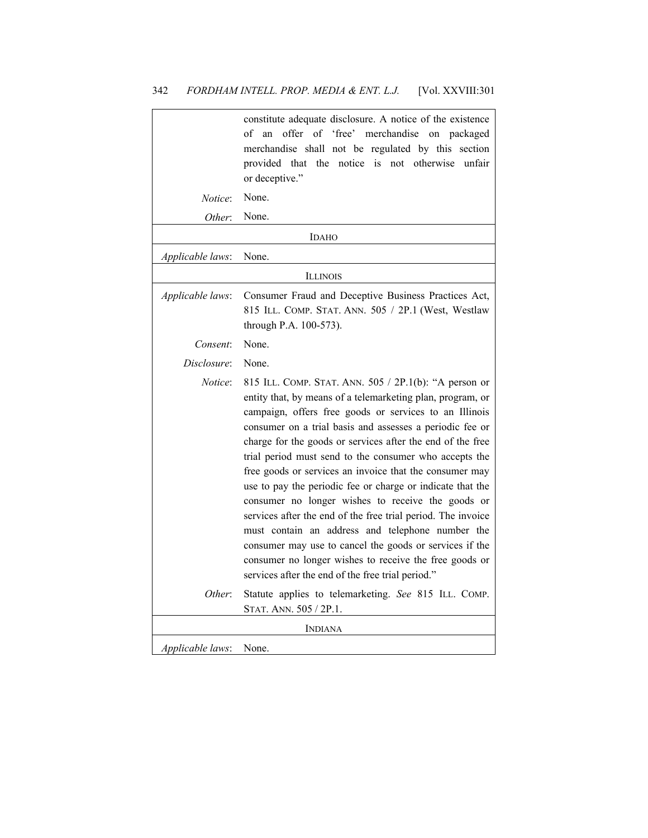|                  | constitute adequate disclosure. A notice of the existence<br>offer of 'free' merchandise<br>of<br>an<br>on<br>packaged<br>merchandise shall not be regulated by this section<br>the<br>notice is not otherwise<br>unfair<br>provided that<br>or deceptive."                                                                                                                                                                                                                                                                                                                                                                                                                                                                                                                                                                                   |
|------------------|-----------------------------------------------------------------------------------------------------------------------------------------------------------------------------------------------------------------------------------------------------------------------------------------------------------------------------------------------------------------------------------------------------------------------------------------------------------------------------------------------------------------------------------------------------------------------------------------------------------------------------------------------------------------------------------------------------------------------------------------------------------------------------------------------------------------------------------------------|
| Notice:          | None.                                                                                                                                                                                                                                                                                                                                                                                                                                                                                                                                                                                                                                                                                                                                                                                                                                         |
| Other:           | None.                                                                                                                                                                                                                                                                                                                                                                                                                                                                                                                                                                                                                                                                                                                                                                                                                                         |
|                  | <b>IDAHO</b>                                                                                                                                                                                                                                                                                                                                                                                                                                                                                                                                                                                                                                                                                                                                                                                                                                  |
| Applicable laws: | None.                                                                                                                                                                                                                                                                                                                                                                                                                                                                                                                                                                                                                                                                                                                                                                                                                                         |
|                  | <b>ILLINOIS</b>                                                                                                                                                                                                                                                                                                                                                                                                                                                                                                                                                                                                                                                                                                                                                                                                                               |
| Applicable laws: | Consumer Fraud and Deceptive Business Practices Act,<br>815 ILL. COMP. STAT. ANN. 505 / 2P.1 (West, Westlaw<br>through P.A. 100-573).                                                                                                                                                                                                                                                                                                                                                                                                                                                                                                                                                                                                                                                                                                         |
| Consent:         | None.                                                                                                                                                                                                                                                                                                                                                                                                                                                                                                                                                                                                                                                                                                                                                                                                                                         |
| Disclosure:      | None.                                                                                                                                                                                                                                                                                                                                                                                                                                                                                                                                                                                                                                                                                                                                                                                                                                         |
| Notice:          | 815 ILL. COMP. STAT. ANN. 505 / 2P.1(b): "A person or<br>entity that, by means of a telemarketing plan, program, or<br>campaign, offers free goods or services to an Illinois<br>consumer on a trial basis and assesses a periodic fee or<br>charge for the goods or services after the end of the free<br>trial period must send to the consumer who accepts the<br>free goods or services an invoice that the consumer may<br>use to pay the periodic fee or charge or indicate that the<br>consumer no longer wishes to receive the goods or<br>services after the end of the free trial period. The invoice<br>must contain an address and telephone number the<br>consumer may use to cancel the goods or services if the<br>consumer no longer wishes to receive the free goods or<br>services after the end of the free trial period." |
| Other:           | Statute applies to telemarketing. See 815 ILL. COMP.<br>STAT. ANN. 505 / 2P.1.                                                                                                                                                                                                                                                                                                                                                                                                                                                                                                                                                                                                                                                                                                                                                                |
| <b>INDIANA</b>   |                                                                                                                                                                                                                                                                                                                                                                                                                                                                                                                                                                                                                                                                                                                                                                                                                                               |
| Applicable laws: | None.                                                                                                                                                                                                                                                                                                                                                                                                                                                                                                                                                                                                                                                                                                                                                                                                                                         |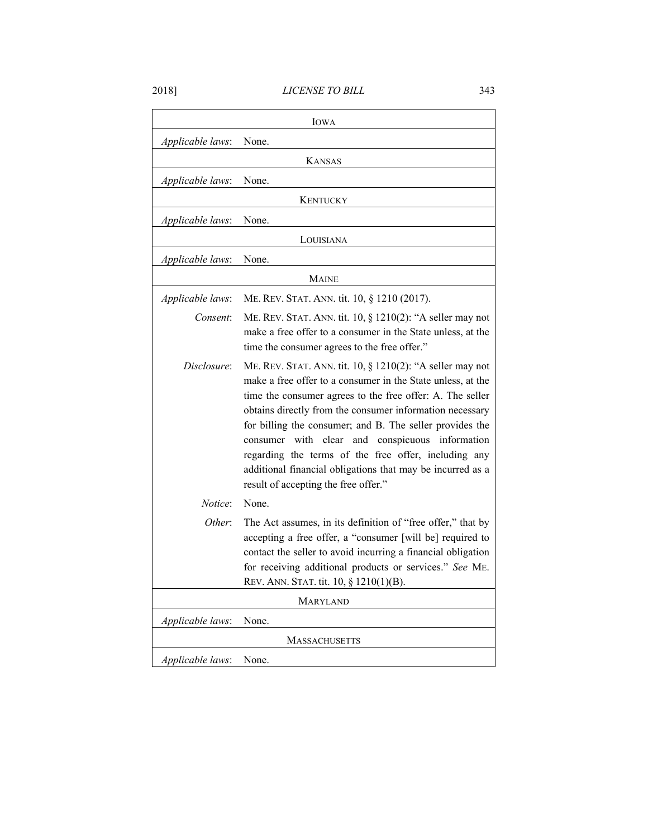|                      | <b>IOWA</b>                                                                                                                                                                                                                                                                                                                                                                                                                                                                                                                          |
|----------------------|--------------------------------------------------------------------------------------------------------------------------------------------------------------------------------------------------------------------------------------------------------------------------------------------------------------------------------------------------------------------------------------------------------------------------------------------------------------------------------------------------------------------------------------|
| Applicable laws:     | None.                                                                                                                                                                                                                                                                                                                                                                                                                                                                                                                                |
|                      | <b>KANSAS</b>                                                                                                                                                                                                                                                                                                                                                                                                                                                                                                                        |
| Applicable laws:     | None.                                                                                                                                                                                                                                                                                                                                                                                                                                                                                                                                |
|                      | <b>KENTUCKY</b>                                                                                                                                                                                                                                                                                                                                                                                                                                                                                                                      |
| Applicable laws:     | None.                                                                                                                                                                                                                                                                                                                                                                                                                                                                                                                                |
|                      | LOUISIANA                                                                                                                                                                                                                                                                                                                                                                                                                                                                                                                            |
| Applicable laws:     | None.                                                                                                                                                                                                                                                                                                                                                                                                                                                                                                                                |
|                      | <b>MAINE</b>                                                                                                                                                                                                                                                                                                                                                                                                                                                                                                                         |
| Applicable laws:     | ME. REV. STAT. ANN. tit. 10, § 1210 (2017).                                                                                                                                                                                                                                                                                                                                                                                                                                                                                          |
| Consent:             | ME. REV. STAT. ANN. tit. 10, § 1210(2): "A seller may not<br>make a free offer to a consumer in the State unless, at the<br>time the consumer agrees to the free offer."                                                                                                                                                                                                                                                                                                                                                             |
| Disclosure:          | ME. REV. STAT. ANN. tit. 10, § 1210(2): "A seller may not<br>make a free offer to a consumer in the State unless, at the<br>time the consumer agrees to the free offer: A. The seller<br>obtains directly from the consumer information necessary<br>for billing the consumer; and B. The seller provides the<br>clear and conspicuous information<br>with<br>consumer<br>regarding the terms of the free offer, including any<br>additional financial obligations that may be incurred as a<br>result of accepting the free offer." |
| Notice:              | None.                                                                                                                                                                                                                                                                                                                                                                                                                                                                                                                                |
| Other:               | The Act assumes, in its definition of "free offer," that by<br>accepting a free offer, a "consumer [will be] required to<br>contact the seller to avoid incurring a financial obligation<br>for receiving additional products or services." See ME.<br>REV. ANN. STAT. tit. 10, § 1210(1)(B).                                                                                                                                                                                                                                        |
| <b>MARYLAND</b>      |                                                                                                                                                                                                                                                                                                                                                                                                                                                                                                                                      |
| Applicable laws:     | None.                                                                                                                                                                                                                                                                                                                                                                                                                                                                                                                                |
| <b>MASSACHUSETTS</b> |                                                                                                                                                                                                                                                                                                                                                                                                                                                                                                                                      |
| Applicable laws:     | None.                                                                                                                                                                                                                                                                                                                                                                                                                                                                                                                                |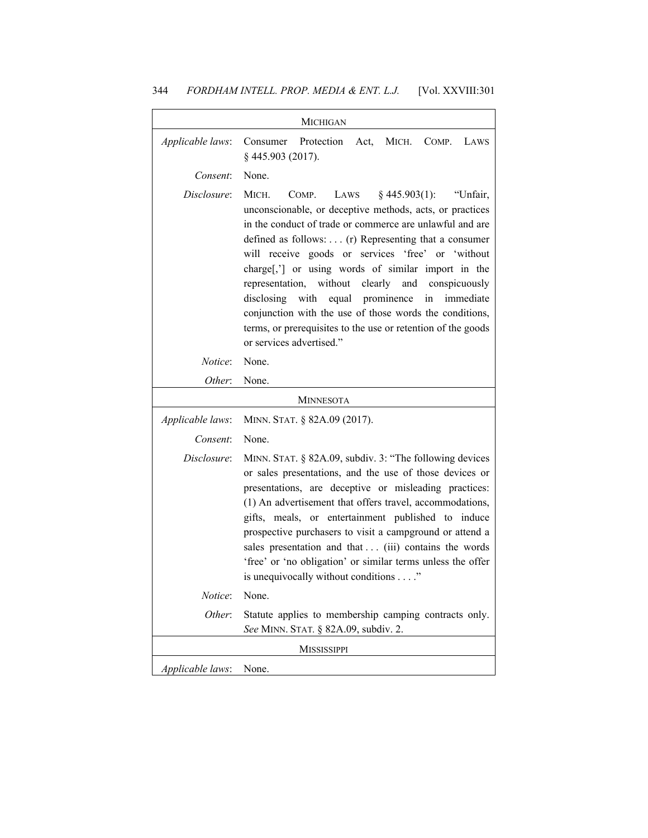| <b>MICHIGAN</b>  |                                                                                                                                                                                                                                                                                                                                                                                                                                                                                                                                                                                                                           |  |
|------------------|---------------------------------------------------------------------------------------------------------------------------------------------------------------------------------------------------------------------------------------------------------------------------------------------------------------------------------------------------------------------------------------------------------------------------------------------------------------------------------------------------------------------------------------------------------------------------------------------------------------------------|--|
| Applicable laws: | Protection<br>Consumer<br>Act,<br>MICH.<br>COMP.<br>LAWS<br>§445.903 (2017).                                                                                                                                                                                                                                                                                                                                                                                                                                                                                                                                              |  |
| Consent:         | None.                                                                                                                                                                                                                                                                                                                                                                                                                                                                                                                                                                                                                     |  |
| Disclosure:      | MICH.<br>$§$ 445.903(1):<br>"Unfair,<br>COMP.<br>LAWS<br>unconscionable, or deceptive methods, acts, or practices<br>in the conduct of trade or commerce are unlawful and are<br>defined as follows: (r) Representing that a consumer<br>will receive goods or services 'free' or 'without<br>charge[,'] or using words of similar import in the<br>representation, without<br>clearly and conspicuously<br>disclosing with<br>equal prominence<br>in<br>immediate<br>conjunction with the use of those words the conditions,<br>terms, or prerequisites to the use or retention of the goods<br>or services advertised." |  |
| <i>Notice</i> :  | None.                                                                                                                                                                                                                                                                                                                                                                                                                                                                                                                                                                                                                     |  |
| Other:           | None.                                                                                                                                                                                                                                                                                                                                                                                                                                                                                                                                                                                                                     |  |
|                  | <b>MINNESOTA</b>                                                                                                                                                                                                                                                                                                                                                                                                                                                                                                                                                                                                          |  |
| Applicable laws: | MINN. STAT. § 82A.09 (2017).                                                                                                                                                                                                                                                                                                                                                                                                                                                                                                                                                                                              |  |
| Consent:         | None.                                                                                                                                                                                                                                                                                                                                                                                                                                                                                                                                                                                                                     |  |
| Disclosure:      | MINN. STAT. § 82A.09, subdiv. 3: "The following devices<br>or sales presentations, and the use of those devices or<br>presentations, are deceptive or misleading practices:                                                                                                                                                                                                                                                                                                                                                                                                                                               |  |
|                  | (1) An advertisement that offers travel, accommodations,<br>gifts, meals, or entertainment published to induce<br>prospective purchasers to visit a campground or attend a<br>sales presentation and that (iii) contains the words<br>'free' or 'no obligation' or similar terms unless the offer<br>is unequivocally without conditions"                                                                                                                                                                                                                                                                                 |  |
| Notice:          | None.                                                                                                                                                                                                                                                                                                                                                                                                                                                                                                                                                                                                                     |  |
| Other:           | Statute applies to membership camping contracts only.<br>See MINN. STAT. § 82A.09, subdiv. 2.                                                                                                                                                                                                                                                                                                                                                                                                                                                                                                                             |  |
|                  | <b>MISSISSIPPI</b>                                                                                                                                                                                                                                                                                                                                                                                                                                                                                                                                                                                                        |  |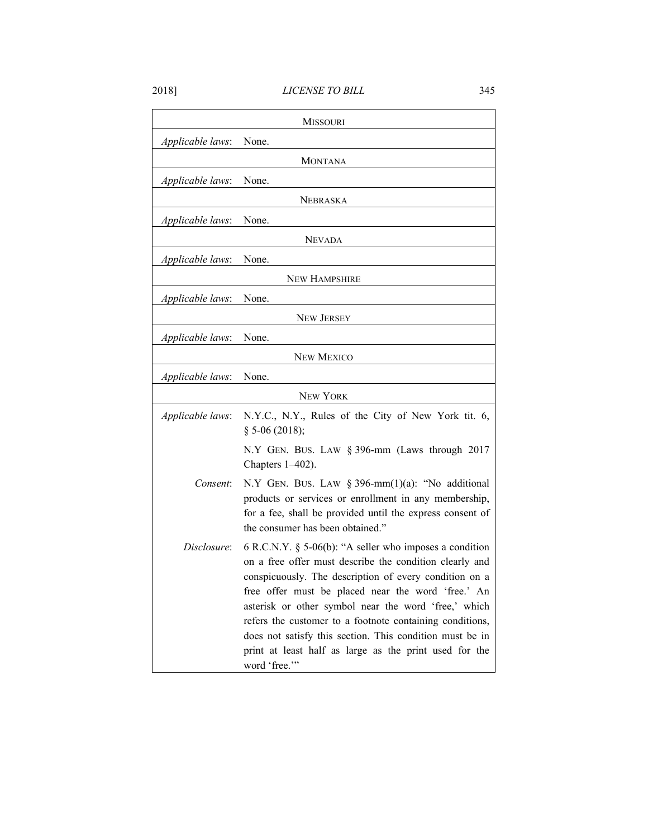|                  | <b>MISSOURI</b>                                                                                                                                                                                                                                                                                                                                                                                                                                                                                 |
|------------------|-------------------------------------------------------------------------------------------------------------------------------------------------------------------------------------------------------------------------------------------------------------------------------------------------------------------------------------------------------------------------------------------------------------------------------------------------------------------------------------------------|
| Applicable laws: | None.                                                                                                                                                                                                                                                                                                                                                                                                                                                                                           |
|                  | <b>MONTANA</b>                                                                                                                                                                                                                                                                                                                                                                                                                                                                                  |
| Applicable laws: | None.                                                                                                                                                                                                                                                                                                                                                                                                                                                                                           |
|                  | <b>NEBRASKA</b>                                                                                                                                                                                                                                                                                                                                                                                                                                                                                 |
| Applicable laws: | None.                                                                                                                                                                                                                                                                                                                                                                                                                                                                                           |
|                  | <b>NEVADA</b>                                                                                                                                                                                                                                                                                                                                                                                                                                                                                   |
| Applicable laws: | None.                                                                                                                                                                                                                                                                                                                                                                                                                                                                                           |
|                  | <b>NEW HAMPSHIRE</b>                                                                                                                                                                                                                                                                                                                                                                                                                                                                            |
| Applicable laws: | None.                                                                                                                                                                                                                                                                                                                                                                                                                                                                                           |
|                  | <b>NEW JERSEY</b>                                                                                                                                                                                                                                                                                                                                                                                                                                                                               |
| Applicable laws: | None.                                                                                                                                                                                                                                                                                                                                                                                                                                                                                           |
|                  | <b>NEW MEXICO</b>                                                                                                                                                                                                                                                                                                                                                                                                                                                                               |
| Applicable laws: | None.                                                                                                                                                                                                                                                                                                                                                                                                                                                                                           |
|                  | <b>NEW YORK</b>                                                                                                                                                                                                                                                                                                                                                                                                                                                                                 |
| Applicable laws: | N.Y.C., N.Y., Rules of the City of New York tit. 6,<br>$§$ 5-06 (2018);                                                                                                                                                                                                                                                                                                                                                                                                                         |
|                  | N.Y GEN. BUS. LAW § 396-mm (Laws through 2017<br>Chapters 1-402).                                                                                                                                                                                                                                                                                                                                                                                                                               |
| Consent:         | N.Y GEN. BUS. LAW § 396-mm $(1)(a)$ : "No additional<br>products or services or enrollment in any membership,<br>for a fee, shall be provided until the express consent of<br>the consumer has been obtained."                                                                                                                                                                                                                                                                                  |
| Disclosure:      | 6 R.C.N.Y. $\S$ 5-06(b): "A seller who imposes a condition<br>on a free offer must describe the condition clearly and<br>conspicuously. The description of every condition on a<br>free offer must be placed near the word 'free.' An<br>asterisk or other symbol near the word 'free,' which<br>refers the customer to a footnote containing conditions,<br>does not satisfy this section. This condition must be in<br>print at least half as large as the print used for the<br>word 'free." |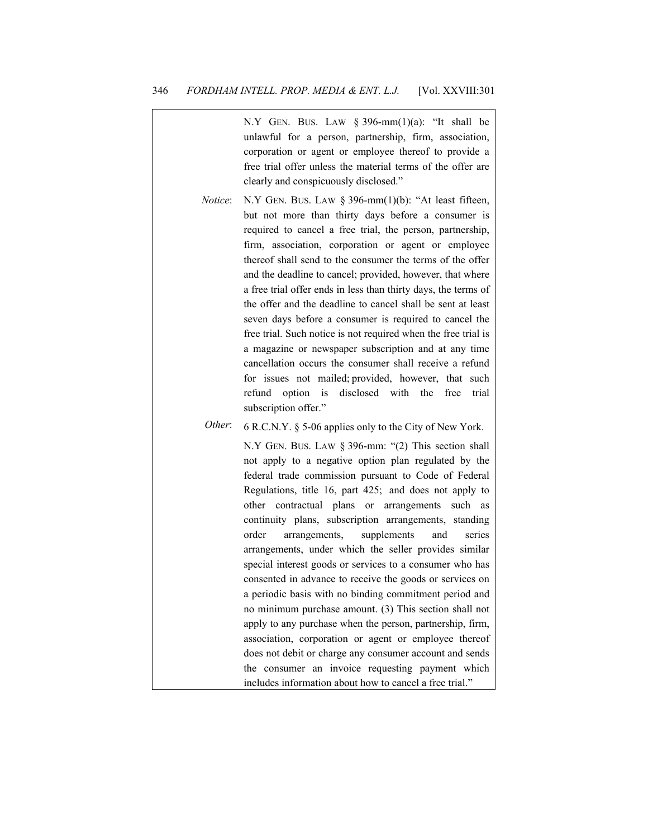| N.Y GEN. BUS. LAW $\S$ 396-mm(1)(a): "It shall be<br>unlawful for a person, partnership, firm, association,<br>corporation or agent or employee thereof to provide a<br>free trial offer unless the material terms of the offer are<br>clearly and conspicuously disclosed."                                                                                                                                                                                                                                                                                                                                                                                                                                                                                                                                                                                                                                                                                 |
|--------------------------------------------------------------------------------------------------------------------------------------------------------------------------------------------------------------------------------------------------------------------------------------------------------------------------------------------------------------------------------------------------------------------------------------------------------------------------------------------------------------------------------------------------------------------------------------------------------------------------------------------------------------------------------------------------------------------------------------------------------------------------------------------------------------------------------------------------------------------------------------------------------------------------------------------------------------|
| N.Y GEN. BUS. LAW $\S$ 396-mm(1)(b): "At least fifteen,<br>but not more than thirty days before a consumer is<br>required to cancel a free trial, the person, partnership,<br>firm, association, corporation or agent or employee<br>thereof shall send to the consumer the terms of the offer<br>and the deadline to cancel; provided, however, that where<br>a free trial offer ends in less than thirty days, the terms of<br>the offer and the deadline to cancel shall be sent at least<br>seven days before a consumer is required to cancel the<br>free trial. Such notice is not required when the free trial is<br>a magazine or newspaper subscription and at any time<br>cancellation occurs the consumer shall receive a refund<br>for issues not mailed; provided, however, that such<br>refund<br>option<br>is<br>disclosed with<br>the<br>free<br>trial<br>subscription offer."                                                               |
| 6 R.C.N.Y. § 5-06 applies only to the City of New York.                                                                                                                                                                                                                                                                                                                                                                                                                                                                                                                                                                                                                                                                                                                                                                                                                                                                                                      |
| N.Y GEN. BUS. LAW $\S$ 396-mm: "(2) This section shall<br>not apply to a negative option plan regulated by the<br>federal trade commission pursuant to Code of Federal<br>Regulations, title 16, part 425; and does not apply to<br>other contractual plans<br>or<br>arrangements<br>such<br>as<br>continuity plans, subscription arrangements, standing<br>order<br>supplements<br>and<br>series<br>arrangements,<br>arrangements, under which the seller provides similar<br>special interest goods or services to a consumer who has<br>consented in advance to receive the goods or services on<br>a periodic basis with no binding commitment period and<br>no minimum purchase amount. (3) This section shall not<br>apply to any purchase when the person, partnership, firm,<br>association, corporation or agent or employee thereof<br>does not debit or charge any consumer account and sends<br>the consumer an invoice requesting payment which |
|                                                                                                                                                                                                                                                                                                                                                                                                                                                                                                                                                                                                                                                                                                                                                                                                                                                                                                                                                              |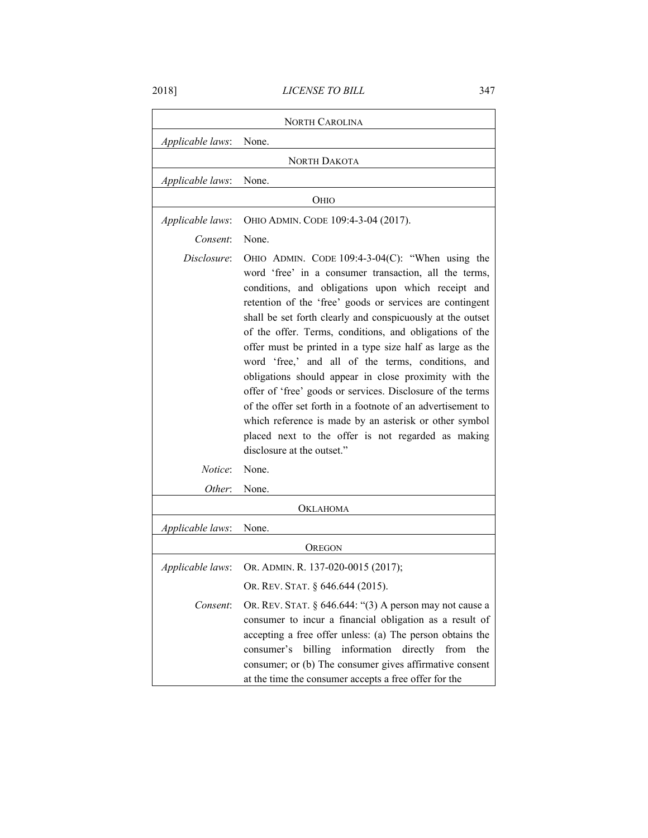2018] *LICENSE TO BILL* 347

|                  | <b>NORTH CAROLINA</b>                                                                                                                                                                                                                                                                                                                                                                                                                                                                                                                                                                                                                                                                                                                                                                                         |
|------------------|---------------------------------------------------------------------------------------------------------------------------------------------------------------------------------------------------------------------------------------------------------------------------------------------------------------------------------------------------------------------------------------------------------------------------------------------------------------------------------------------------------------------------------------------------------------------------------------------------------------------------------------------------------------------------------------------------------------------------------------------------------------------------------------------------------------|
| Applicable laws: | None.                                                                                                                                                                                                                                                                                                                                                                                                                                                                                                                                                                                                                                                                                                                                                                                                         |
|                  | <b>NORTH DAKOTA</b>                                                                                                                                                                                                                                                                                                                                                                                                                                                                                                                                                                                                                                                                                                                                                                                           |
| Applicable laws: | None.                                                                                                                                                                                                                                                                                                                                                                                                                                                                                                                                                                                                                                                                                                                                                                                                         |
|                  | Оню                                                                                                                                                                                                                                                                                                                                                                                                                                                                                                                                                                                                                                                                                                                                                                                                           |
| Applicable laws: | OHIO ADMIN. CODE 109:4-3-04 (2017).                                                                                                                                                                                                                                                                                                                                                                                                                                                                                                                                                                                                                                                                                                                                                                           |
|                  | None.                                                                                                                                                                                                                                                                                                                                                                                                                                                                                                                                                                                                                                                                                                                                                                                                         |
| Consent:         |                                                                                                                                                                                                                                                                                                                                                                                                                                                                                                                                                                                                                                                                                                                                                                                                               |
| Disclosure:      | OHIO ADMIN. CODE $109:4-3-04(C)$ : "When using the<br>word 'free' in a consumer transaction, all the terms,<br>conditions, and obligations upon which receipt and<br>retention of the 'free' goods or services are contingent<br>shall be set forth clearly and conspicuously at the outset<br>of the offer. Terms, conditions, and obligations of the<br>offer must be printed in a type size half as large as the<br>word 'free,' and all of the terms, conditions, and<br>obligations should appear in close proximity with the<br>offer of 'free' goods or services. Disclosure of the terms<br>of the offer set forth in a footnote of an advertisement to<br>which reference is made by an asterisk or other symbol<br>placed next to the offer is not regarded as making<br>disclosure at the outset." |
| <i>Notice</i> :  | None.                                                                                                                                                                                                                                                                                                                                                                                                                                                                                                                                                                                                                                                                                                                                                                                                         |
| Other:           | None.                                                                                                                                                                                                                                                                                                                                                                                                                                                                                                                                                                                                                                                                                                                                                                                                         |
|                  | OKLAHOMA                                                                                                                                                                                                                                                                                                                                                                                                                                                                                                                                                                                                                                                                                                                                                                                                      |
| Applicable laws: | None.                                                                                                                                                                                                                                                                                                                                                                                                                                                                                                                                                                                                                                                                                                                                                                                                         |
|                  | OREGON                                                                                                                                                                                                                                                                                                                                                                                                                                                                                                                                                                                                                                                                                                                                                                                                        |
| Applicable laws: | OR. ADMIN. R. 137-020-0015 (2017);                                                                                                                                                                                                                                                                                                                                                                                                                                                                                                                                                                                                                                                                                                                                                                            |
|                  | OR. REV. STAT. § 646.644 (2015).                                                                                                                                                                                                                                                                                                                                                                                                                                                                                                                                                                                                                                                                                                                                                                              |
| Consent:         | OR. REV. STAT. § 646.644: "(3) A person may not cause a<br>consumer to incur a financial obligation as a result of<br>accepting a free offer unless: (a) The person obtains the<br>information<br>billing<br>directly<br>consumer's<br>from<br>the<br>consumer; or (b) The consumer gives affirmative consent<br>at the time the consumer accepts a free offer for the                                                                                                                                                                                                                                                                                                                                                                                                                                        |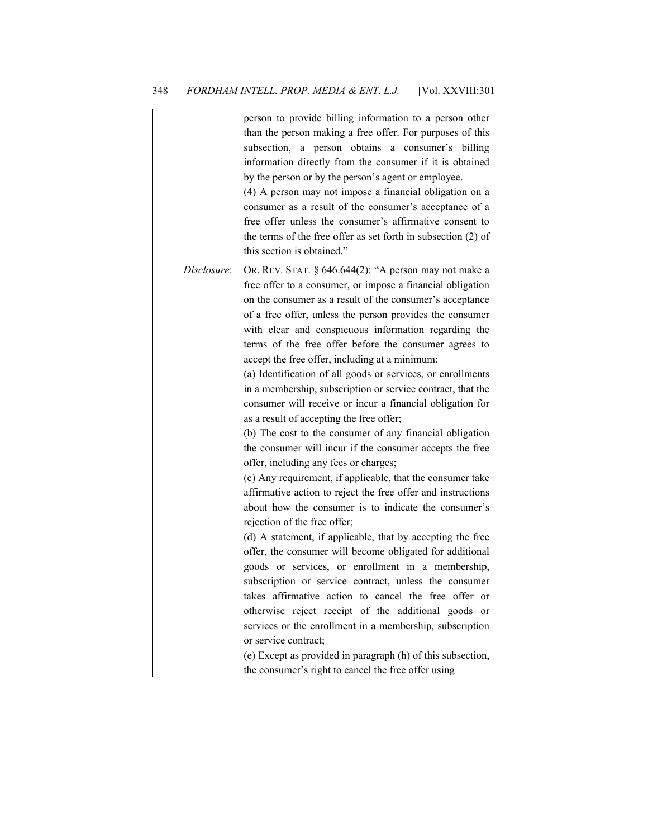|             | person to provide billing information to a person other<br>than the person making a free offer. For purposes of this<br>subsection, a person obtains a consumer's billing<br>information directly from the consumer if it is obtained<br>by the person or by the person's agent or employee.<br>(4) A person may not impose a financial obligation on a<br>consumer as a result of the consumer's acceptance of a<br>free offer unless the consumer's affirmative consent to                                                                                                                                                                                                                                                                                                                                                                                                                                                                                                                                                                 |
|-------------|----------------------------------------------------------------------------------------------------------------------------------------------------------------------------------------------------------------------------------------------------------------------------------------------------------------------------------------------------------------------------------------------------------------------------------------------------------------------------------------------------------------------------------------------------------------------------------------------------------------------------------------------------------------------------------------------------------------------------------------------------------------------------------------------------------------------------------------------------------------------------------------------------------------------------------------------------------------------------------------------------------------------------------------------|
|             | the terms of the free offer as set forth in subsection (2) of<br>this section is obtained."                                                                                                                                                                                                                                                                                                                                                                                                                                                                                                                                                                                                                                                                                                                                                                                                                                                                                                                                                  |
| Disclosure: | OR. REV. STAT. § 646.644(2): "A person may not make a<br>free offer to a consumer, or impose a financial obligation<br>on the consumer as a result of the consumer's acceptance<br>of a free offer, unless the person provides the consumer<br>with clear and conspicuous information regarding the<br>terms of the free offer before the consumer agrees to<br>accept the free offer, including at a minimum:<br>(a) Identification of all goods or services, or enrollments<br>in a membership, subscription or service contract, that the<br>consumer will receive or incur a financial obligation for<br>as a result of accepting the free offer;<br>(b) The cost to the consumer of any financial obligation<br>the consumer will incur if the consumer accepts the free<br>offer, including any fees or charges;<br>(c) Any requirement, if applicable, that the consumer take<br>affirmative action to reject the free offer and instructions<br>about how the consumer is to indicate the consumer's<br>rejection of the free offer; |
|             | (d) A statement, if applicable, that by accepting the free<br>offer, the consumer will become obligated for additional                                                                                                                                                                                                                                                                                                                                                                                                                                                                                                                                                                                                                                                                                                                                                                                                                                                                                                                       |
|             | goods or services, or enrollment in a membership,<br>subscription or service contract, unless the consumer                                                                                                                                                                                                                                                                                                                                                                                                                                                                                                                                                                                                                                                                                                                                                                                                                                                                                                                                   |
|             | takes affirmative action to cancel the free offer or                                                                                                                                                                                                                                                                                                                                                                                                                                                                                                                                                                                                                                                                                                                                                                                                                                                                                                                                                                                         |
|             | otherwise reject receipt of the additional goods or<br>services or the enrollment in a membership, subscription                                                                                                                                                                                                                                                                                                                                                                                                                                                                                                                                                                                                                                                                                                                                                                                                                                                                                                                              |
|             | or service contract;                                                                                                                                                                                                                                                                                                                                                                                                                                                                                                                                                                                                                                                                                                                                                                                                                                                                                                                                                                                                                         |
|             | (e) Except as provided in paragraph (h) of this subsection,                                                                                                                                                                                                                                                                                                                                                                                                                                                                                                                                                                                                                                                                                                                                                                                                                                                                                                                                                                                  |
|             | the consumer's right to cancel the free offer using                                                                                                                                                                                                                                                                                                                                                                                                                                                                                                                                                                                                                                                                                                                                                                                                                                                                                                                                                                                          |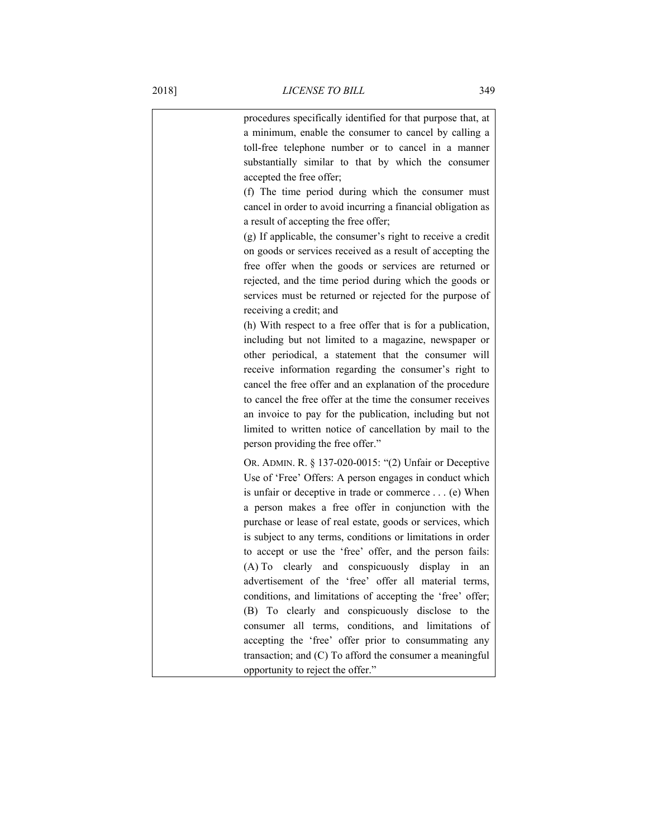| procedures specifically identified for that purpose that, at |    |
|--------------------------------------------------------------|----|
| a minimum, enable the consumer to cancel by calling a        |    |
| toll-free telephone number or to cancel in a manner          |    |
| substantially similar to that by which the consumer          |    |
| accepted the free offer;                                     |    |
| (f) The time period during which the consumer must           |    |
| cancel in order to avoid incurring a financial obligation as |    |
| a result of accepting the free offer;                        |    |
| (g) If applicable, the consumer's right to receive a credit  |    |
| on goods or services received as a result of accepting the   |    |
| free offer when the goods or services are returned or        |    |
| rejected, and the time period during which the goods or      |    |
| services must be returned or rejected for the purpose of     |    |
| receiving a credit; and                                      |    |
| (h) With respect to a free offer that is for a publication,  |    |
| including but not limited to a magazine, newspaper or        |    |
| other periodical, a statement that the consumer will         |    |
| receive information regarding the consumer's right to        |    |
| cancel the free offer and an explanation of the procedure    |    |
| to cancel the free offer at the time the consumer receives   |    |
| an invoice to pay for the publication, including but not     |    |
| limited to written notice of cancellation by mail to the     |    |
| person providing the free offer."                            |    |
| OR. ADMIN. R. § 137-020-0015: "(2) Unfair or Deceptive       |    |
| Use of 'Free' Offers: A person engages in conduct which      |    |
| is unfair or deceptive in trade or commerce (e) When         |    |
| a person makes a free offer in conjunction with the          |    |
| purchase or lease of real estate, goods or services, which   |    |
| is subject to any terms, conditions or limitations in order  |    |
| to accept or use the 'free' offer, and the person fails:     |    |
| (A) To clearly and conspicuously display in                  | an |
| advertisement of the 'free' offer all material terms,        |    |
| conditions, and limitations of accepting the 'free' offer;   |    |
| (B) To clearly and conspicuously disclose to the             |    |
| consumer all terms, conditions, and limitations of           |    |
| accepting the 'free' offer prior to consummating any         |    |
| transaction; and (C) To afford the consumer a meaningful     |    |
| opportunity to reject the offer."                            |    |
|                                                              |    |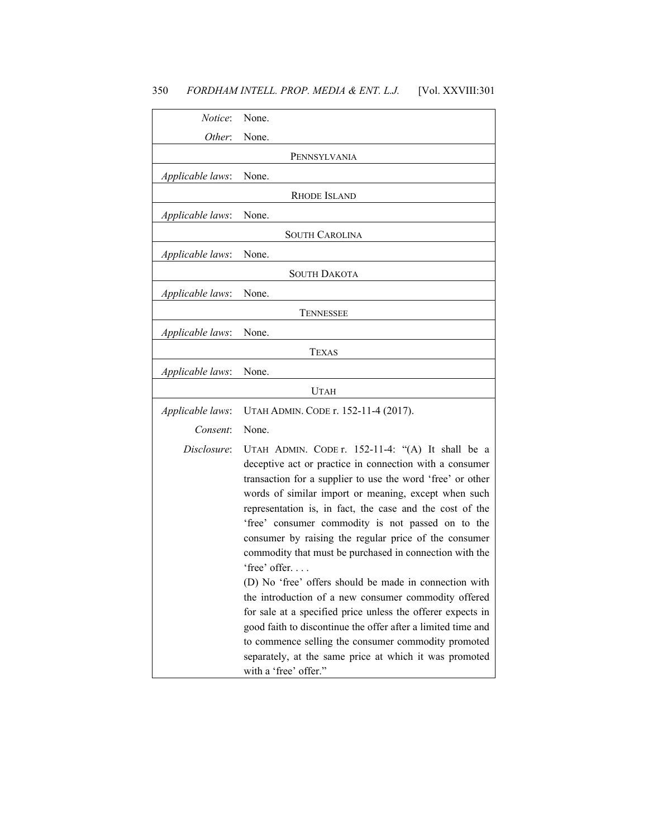| Notice:          | None.                                                                                                                                                                                                                                                                                                                                                                                                                                                                                                                                                                                                                                                                                                                                                                                                                                                                             |
|------------------|-----------------------------------------------------------------------------------------------------------------------------------------------------------------------------------------------------------------------------------------------------------------------------------------------------------------------------------------------------------------------------------------------------------------------------------------------------------------------------------------------------------------------------------------------------------------------------------------------------------------------------------------------------------------------------------------------------------------------------------------------------------------------------------------------------------------------------------------------------------------------------------|
| Other:           | None.                                                                                                                                                                                                                                                                                                                                                                                                                                                                                                                                                                                                                                                                                                                                                                                                                                                                             |
|                  | PENNSYLVANIA                                                                                                                                                                                                                                                                                                                                                                                                                                                                                                                                                                                                                                                                                                                                                                                                                                                                      |
| Applicable laws: | None.                                                                                                                                                                                                                                                                                                                                                                                                                                                                                                                                                                                                                                                                                                                                                                                                                                                                             |
|                  | <b>RHODE ISLAND</b>                                                                                                                                                                                                                                                                                                                                                                                                                                                                                                                                                                                                                                                                                                                                                                                                                                                               |
| Applicable laws: | None.                                                                                                                                                                                                                                                                                                                                                                                                                                                                                                                                                                                                                                                                                                                                                                                                                                                                             |
|                  | <b>SOUTH CAROLINA</b>                                                                                                                                                                                                                                                                                                                                                                                                                                                                                                                                                                                                                                                                                                                                                                                                                                                             |
| Applicable laws: | None.                                                                                                                                                                                                                                                                                                                                                                                                                                                                                                                                                                                                                                                                                                                                                                                                                                                                             |
|                  | <b>SOUTH DAKOTA</b>                                                                                                                                                                                                                                                                                                                                                                                                                                                                                                                                                                                                                                                                                                                                                                                                                                                               |
| Applicable laws: | None.                                                                                                                                                                                                                                                                                                                                                                                                                                                                                                                                                                                                                                                                                                                                                                                                                                                                             |
|                  | <b>TENNESSEE</b>                                                                                                                                                                                                                                                                                                                                                                                                                                                                                                                                                                                                                                                                                                                                                                                                                                                                  |
| Applicable laws: | None.                                                                                                                                                                                                                                                                                                                                                                                                                                                                                                                                                                                                                                                                                                                                                                                                                                                                             |
|                  | <b>TEXAS</b>                                                                                                                                                                                                                                                                                                                                                                                                                                                                                                                                                                                                                                                                                                                                                                                                                                                                      |
| Applicable laws: | None.                                                                                                                                                                                                                                                                                                                                                                                                                                                                                                                                                                                                                                                                                                                                                                                                                                                                             |
|                  | <b>UTAH</b>                                                                                                                                                                                                                                                                                                                                                                                                                                                                                                                                                                                                                                                                                                                                                                                                                                                                       |
| Applicable laws: | UTAH ADMIN. CODE r. 152-11-4 (2017).                                                                                                                                                                                                                                                                                                                                                                                                                                                                                                                                                                                                                                                                                                                                                                                                                                              |
| Consent:         | None.                                                                                                                                                                                                                                                                                                                                                                                                                                                                                                                                                                                                                                                                                                                                                                                                                                                                             |
| Disclosure:      | UTAH ADMIN. CODE r. 152-11-4: "(A) It shall be a<br>deceptive act or practice in connection with a consumer<br>transaction for a supplier to use the word 'free' or other<br>words of similar import or meaning, except when such<br>representation is, in fact, the case and the cost of the<br>'free' consumer commodity is not passed on to the<br>consumer by raising the regular price of the consumer<br>commodity that must be purchased in connection with the<br>'free' offer<br>(D) No 'free' offers should be made in connection with<br>the introduction of a new consumer commodity offered<br>for sale at a specified price unless the offerer expects in<br>good faith to discontinue the offer after a limited time and<br>to commence selling the consumer commodity promoted<br>separately, at the same price at which it was promoted<br>with a 'free' offer." |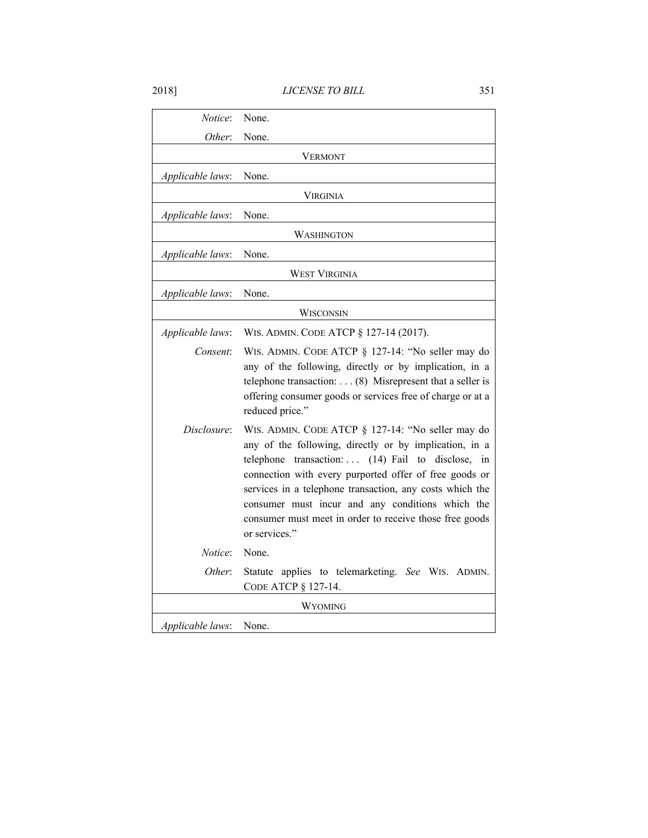| <i>Notice</i> :  | None.                                                                                                                                                                                                                                                                                                                                                                                                                 |  |
|------------------|-----------------------------------------------------------------------------------------------------------------------------------------------------------------------------------------------------------------------------------------------------------------------------------------------------------------------------------------------------------------------------------------------------------------------|--|
| Other:           | None.                                                                                                                                                                                                                                                                                                                                                                                                                 |  |
|                  | VERMONT                                                                                                                                                                                                                                                                                                                                                                                                               |  |
| Applicable laws: | None.                                                                                                                                                                                                                                                                                                                                                                                                                 |  |
|                  | <b>VIRGINIA</b>                                                                                                                                                                                                                                                                                                                                                                                                       |  |
| Applicable laws: | None.                                                                                                                                                                                                                                                                                                                                                                                                                 |  |
|                  | WASHINGTON                                                                                                                                                                                                                                                                                                                                                                                                            |  |
| Applicable laws: | None.                                                                                                                                                                                                                                                                                                                                                                                                                 |  |
|                  | <b>WEST VIRGINIA</b>                                                                                                                                                                                                                                                                                                                                                                                                  |  |
| Applicable laws: | None.                                                                                                                                                                                                                                                                                                                                                                                                                 |  |
| <b>WISCONSIN</b> |                                                                                                                                                                                                                                                                                                                                                                                                                       |  |
| Applicable laws: | WIS. ADMIN. CODE ATCP § 127-14 (2017).                                                                                                                                                                                                                                                                                                                                                                                |  |
| Consent:         | WIS. ADMIN. CODE ATCP § 127-14: "No seller may do<br>any of the following, directly or by implication, in a<br>telephone transaction: $\dots$ (8) Misrepresent that a seller is<br>offering consumer goods or services free of charge or at a<br>reduced price."                                                                                                                                                      |  |
| Disclosure:      | WIS. ADMIN. CODE ATCP § 127-14: "No seller may do<br>any of the following, directly or by implication, in a<br>telephone transaction: (14) Fail to disclose, in<br>connection with every purported offer of free goods or<br>services in a telephone transaction, any costs which the<br>consumer must incur and any conditions which the<br>consumer must meet in order to receive those free goods<br>or services." |  |
| <i>Notice:</i>   | None.                                                                                                                                                                                                                                                                                                                                                                                                                 |  |
| Other:           | Statute applies to telemarketing. See WIS. ADMIN.<br>CODE ATCP § 127-14.                                                                                                                                                                                                                                                                                                                                              |  |
| WYOMING          |                                                                                                                                                                                                                                                                                                                                                                                                                       |  |
| Applicable laws: | None.                                                                                                                                                                                                                                                                                                                                                                                                                 |  |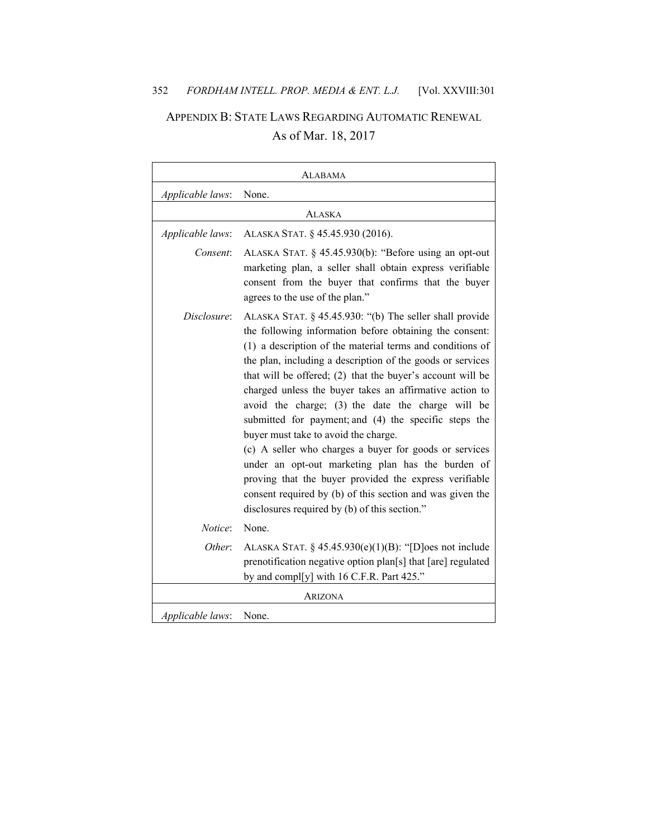# APPENDIX B: STATE LAWS REGARDING AUTOMATIC RENEWAL As of Mar. 18, 2017

| <b>ALABAMA</b>   |                                                                                                                                                                                                                                                                                                                                                                                                                                                                                                                                                                                                                                                                                                                                                                                                                     |
|------------------|---------------------------------------------------------------------------------------------------------------------------------------------------------------------------------------------------------------------------------------------------------------------------------------------------------------------------------------------------------------------------------------------------------------------------------------------------------------------------------------------------------------------------------------------------------------------------------------------------------------------------------------------------------------------------------------------------------------------------------------------------------------------------------------------------------------------|
| Applicable laws: | None.                                                                                                                                                                                                                                                                                                                                                                                                                                                                                                                                                                                                                                                                                                                                                                                                               |
|                  | ALASKA                                                                                                                                                                                                                                                                                                                                                                                                                                                                                                                                                                                                                                                                                                                                                                                                              |
| Applicable laws: | ALASKA STAT. § 45.45.930 (2016).                                                                                                                                                                                                                                                                                                                                                                                                                                                                                                                                                                                                                                                                                                                                                                                    |
| Consent:         | ALASKA STAT. § 45.45.930(b): "Before using an opt-out<br>marketing plan, a seller shall obtain express verifiable<br>consent from the buyer that confirms that the buyer<br>agrees to the use of the plan."                                                                                                                                                                                                                                                                                                                                                                                                                                                                                                                                                                                                         |
| Disclosure:      | ALASKA STAT. § 45.45.930: "(b) The seller shall provide<br>the following information before obtaining the consent:<br>(1) a description of the material terms and conditions of<br>the plan, including a description of the goods or services<br>that will be offered; (2) that the buyer's account will be<br>charged unless the buyer takes an affirmative action to<br>avoid the charge; (3) the date the charge will be<br>submitted for payment; and (4) the specific steps the<br>buyer must take to avoid the charge.<br>(c) A seller who charges a buyer for goods or services<br>under an opt-out marketing plan has the burden of<br>proving that the buyer provided the express verifiable<br>consent required by (b) of this section and was given the<br>disclosures required by (b) of this section." |
| Notice:          | None.                                                                                                                                                                                                                                                                                                                                                                                                                                                                                                                                                                                                                                                                                                                                                                                                               |
| Other:           | ALASKA STAT. § $45.45.930(e)(1)(B)$ : "[D]oes not include<br>prenotification negative option plan[s] that [are] regulated<br>by and compl[y] with 16 C.F.R. Part 425."                                                                                                                                                                                                                                                                                                                                                                                                                                                                                                                                                                                                                                              |
| ARIZONA          |                                                                                                                                                                                                                                                                                                                                                                                                                                                                                                                                                                                                                                                                                                                                                                                                                     |
| Applicable laws: | None.                                                                                                                                                                                                                                                                                                                                                                                                                                                                                                                                                                                                                                                                                                                                                                                                               |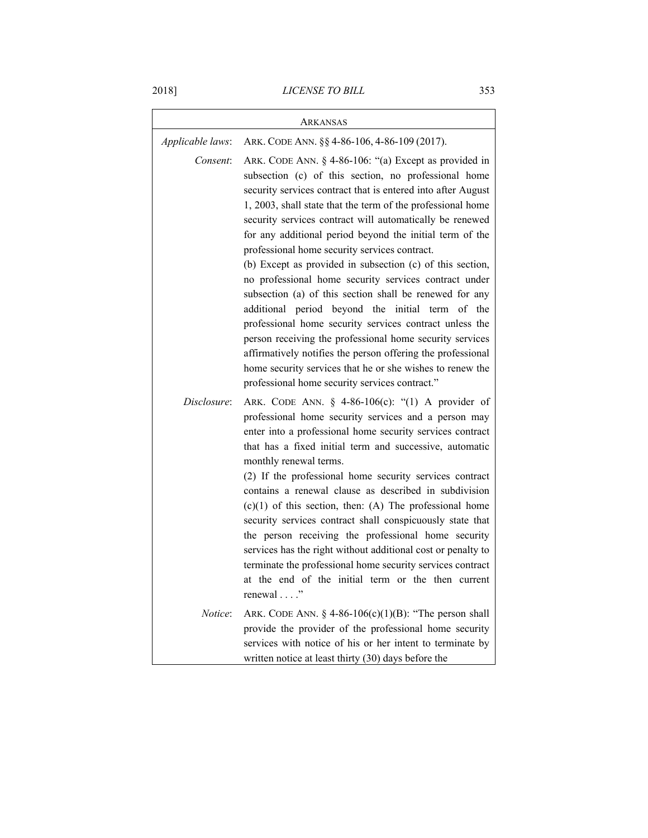| ARKANSAS         |                                                                                                                                                                                                                                                                                                                                                                                                                                                                                                                                                                                                                                                                                                                                                                                                                                                                                                                                                                       |
|------------------|-----------------------------------------------------------------------------------------------------------------------------------------------------------------------------------------------------------------------------------------------------------------------------------------------------------------------------------------------------------------------------------------------------------------------------------------------------------------------------------------------------------------------------------------------------------------------------------------------------------------------------------------------------------------------------------------------------------------------------------------------------------------------------------------------------------------------------------------------------------------------------------------------------------------------------------------------------------------------|
| Applicable laws: | ARK. CODE ANN. §§ 4-86-106, 4-86-109 (2017).                                                                                                                                                                                                                                                                                                                                                                                                                                                                                                                                                                                                                                                                                                                                                                                                                                                                                                                          |
| Consent:         | ARK. CODE ANN. § 4-86-106: "(a) Except as provided in<br>subsection (c) of this section, no professional home<br>security services contract that is entered into after August<br>1, 2003, shall state that the term of the professional home<br>security services contract will automatically be renewed<br>for any additional period beyond the initial term of the<br>professional home security services contract.<br>(b) Except as provided in subsection (c) of this section,<br>no professional home security services contract under<br>subsection (a) of this section shall be renewed for any<br>additional<br>period beyond the initial term of<br>the<br>professional home security services contract unless the<br>person receiving the professional home security services<br>affirmatively notifies the person offering the professional<br>home security services that he or she wishes to renew the<br>professional home security services contract." |
| Disclosure:      | ARK. CODE ANN. § 4-86-106(c): "(1) A provider of<br>professional home security services and a person may<br>enter into a professional home security services contract<br>that has a fixed initial term and successive, automatic<br>monthly renewal terms.<br>(2) If the professional home security services contract<br>contains a renewal clause as described in subdivision<br>$(c)(1)$ of this section, then: (A) The professional home<br>security services contract shall conspicuously state that<br>the person receiving the professional home security<br>services has the right without additional cost or penalty to<br>terminate the professional home security services contract<br>at the end of the initial term or the then current<br>renewal"                                                                                                                                                                                                       |
| Notice:          | ARK. CODE ANN. $\S$ 4-86-106(c)(1)(B): "The person shall<br>provide the provider of the professional home security<br>services with notice of his or her intent to terminate by<br>written notice at least thirty (30) days before the                                                                                                                                                                                                                                                                                                                                                                                                                                                                                                                                                                                                                                                                                                                                |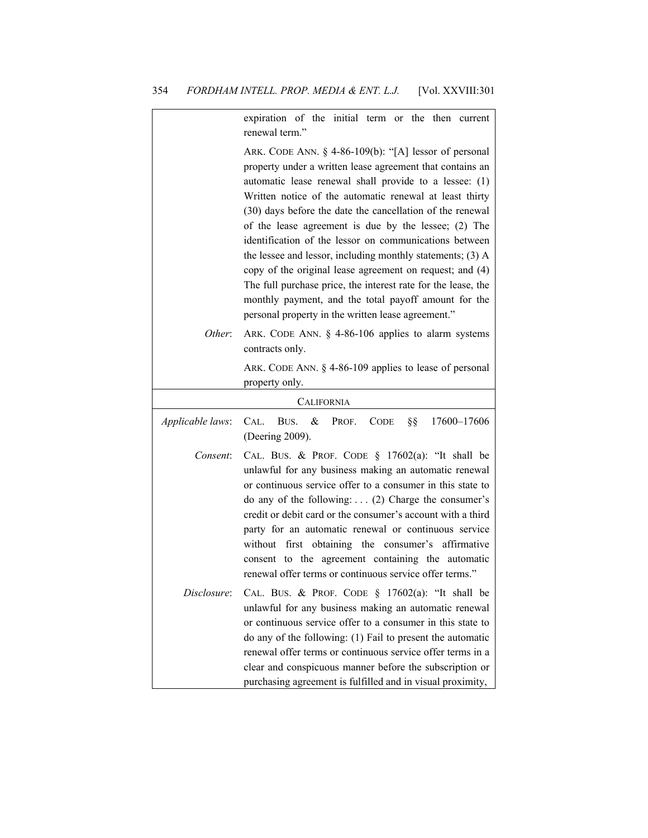|                  | expiration of the initial term or the then current<br>renewal term."                                                                                                                                                                                                                                                                                                                                                                                                                                                                                                                                                                                                                                                            |
|------------------|---------------------------------------------------------------------------------------------------------------------------------------------------------------------------------------------------------------------------------------------------------------------------------------------------------------------------------------------------------------------------------------------------------------------------------------------------------------------------------------------------------------------------------------------------------------------------------------------------------------------------------------------------------------------------------------------------------------------------------|
|                  | ARK. CODE ANN. § 4-86-109(b): "[A] lessor of personal<br>property under a written lease agreement that contains an<br>automatic lease renewal shall provide to a lessee: (1)<br>Written notice of the automatic renewal at least thirty<br>(30) days before the date the cancellation of the renewal<br>of the lease agreement is due by the lessee; (2) The<br>identification of the lessor on communications between<br>the lessee and lessor, including monthly statements; (3) A<br>copy of the original lease agreement on request; and (4)<br>The full purchase price, the interest rate for the lease, the<br>monthly payment, and the total payoff amount for the<br>personal property in the written lease agreement." |
| Other:           | ARK. CODE ANN. § 4-86-106 applies to alarm systems<br>contracts only.                                                                                                                                                                                                                                                                                                                                                                                                                                                                                                                                                                                                                                                           |
|                  | ARK. CODE ANN. § 4-86-109 applies to lease of personal<br>property only.                                                                                                                                                                                                                                                                                                                                                                                                                                                                                                                                                                                                                                                        |
|                  | <b>CALIFORNIA</b>                                                                                                                                                                                                                                                                                                                                                                                                                                                                                                                                                                                                                                                                                                               |
| Applicable laws: | $\&$<br>§§<br>17600-17606<br>CAL.<br>BUS.<br>PROF.<br><b>CODE</b><br>(Deering 2009).                                                                                                                                                                                                                                                                                                                                                                                                                                                                                                                                                                                                                                            |
| Consent:         | CAL. BUS. & PROF. CODE $\S$ 17602(a): "It shall be<br>unlawful for any business making an automatic renewal<br>or continuous service offer to a consumer in this state to<br>do any of the following:  (2) Charge the consumer's<br>credit or debit card or the consumer's account with a third<br>party for an automatic renewal or continuous service<br>first obtaining the consumer's affirmative<br>without<br>consent to the agreement containing the automatic<br>renewal offer terms or continuous service offer terms."                                                                                                                                                                                                |
| Disclosure:      | CAL. BUS. & PROF. CODE $\S$ 17602(a): "It shall be<br>unlawful for any business making an automatic renewal<br>or continuous service offer to a consumer in this state to<br>do any of the following: (1) Fail to present the automatic<br>renewal offer terms or continuous service offer terms in a<br>clear and conspicuous manner before the subscription or<br>purchasing agreement is fulfilled and in visual proximity,                                                                                                                                                                                                                                                                                                  |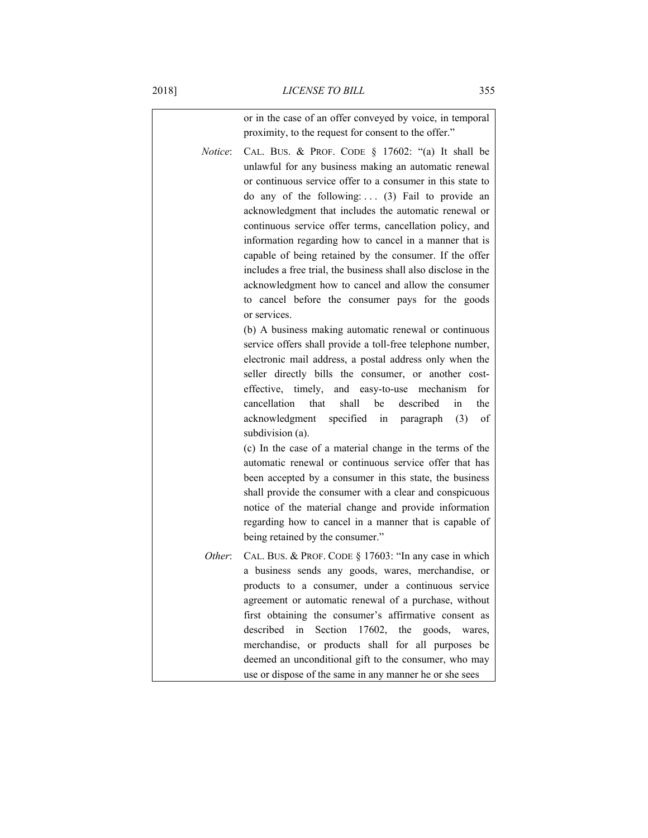|                 | or in the case of an offer conveyed by voice, in temporal<br>proximity, to the request for consent to the offer."                                                                                                                                                                                                                                                                                                                                                                                                                                                                                                                                                                                                                                                                                                                                                                                                                                                                                                                                                                                                                                                                                                                                                                                                                                                                                                                                                                                                |
|-----------------|------------------------------------------------------------------------------------------------------------------------------------------------------------------------------------------------------------------------------------------------------------------------------------------------------------------------------------------------------------------------------------------------------------------------------------------------------------------------------------------------------------------------------------------------------------------------------------------------------------------------------------------------------------------------------------------------------------------------------------------------------------------------------------------------------------------------------------------------------------------------------------------------------------------------------------------------------------------------------------------------------------------------------------------------------------------------------------------------------------------------------------------------------------------------------------------------------------------------------------------------------------------------------------------------------------------------------------------------------------------------------------------------------------------------------------------------------------------------------------------------------------------|
| <i>Notice</i> : | CAL. BUS. & PROF. CODE § 17602: "(a) It shall be<br>unlawful for any business making an automatic renewal<br>or continuous service offer to a consumer in this state to<br>do any of the following: $(3)$ Fail to provide an<br>acknowledgment that includes the automatic renewal or<br>continuous service offer terms, cancellation policy, and<br>information regarding how to cancel in a manner that is<br>capable of being retained by the consumer. If the offer<br>includes a free trial, the business shall also disclose in the<br>acknowledgment how to cancel and allow the consumer<br>to cancel before the consumer pays for the goods<br>or services.<br>(b) A business making automatic renewal or continuous<br>service offers shall provide a toll-free telephone number,<br>electronic mail address, a postal address only when the<br>seller directly bills the consumer, or another cost-<br>effective, timely, and easy-to-use mechanism<br>for<br>cancellation<br>shall<br>be<br>described<br>that<br>the<br>in<br>acknowledgment specified in paragraph (3)<br>of<br>subdivision (a).<br>(c) In the case of a material change in the terms of the<br>automatic renewal or continuous service offer that has<br>been accepted by a consumer in this state, the business<br>shall provide the consumer with a clear and conspicuous<br>notice of the material change and provide information<br>regarding how to cancel in a manner that is capable of<br>being retained by the consumer." |
| Other:          | CAL. BUS. & PROF. CODE § 17603: "In any case in which<br>a business sends any goods, wares, merchandise, or<br>products to a consumer, under a continuous service<br>agreement or automatic renewal of a purchase, without<br>first obtaining the consumer's affirmative consent as<br>described<br>Section 17602, the goods, wares,<br>in<br>merchandise, or products shall for all purposes be<br>deemed an unconditional gift to the consumer, who may                                                                                                                                                                                                                                                                                                                                                                                                                                                                                                                                                                                                                                                                                                                                                                                                                                                                                                                                                                                                                                                        |
|                 | use or dispose of the same in any manner he or she sees                                                                                                                                                                                                                                                                                                                                                                                                                                                                                                                                                                                                                                                                                                                                                                                                                                                                                                                                                                                                                                                                                                                                                                                                                                                                                                                                                                                                                                                          |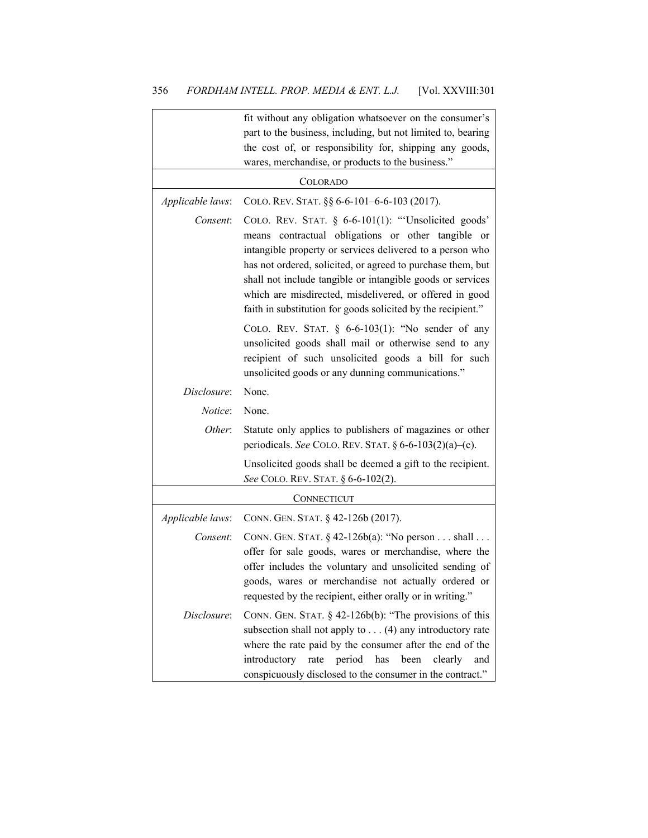|                  | fit without any obligation whatsoever on the consumer's<br>part to the business, including, but not limited to, bearing<br>the cost of, or responsibility for, shipping any goods,<br>wares, merchandise, or products to the business."                                                                                                                                                                                                     |
|------------------|---------------------------------------------------------------------------------------------------------------------------------------------------------------------------------------------------------------------------------------------------------------------------------------------------------------------------------------------------------------------------------------------------------------------------------------------|
|                  | <b>COLORADO</b>                                                                                                                                                                                                                                                                                                                                                                                                                             |
| Applicable laws: | COLO. REV. STAT. §§ 6-6-101-6-6-103 (2017).                                                                                                                                                                                                                                                                                                                                                                                                 |
| Consent:         | COLO. REV. STAT. § 6-6-101(1): "Unsolicited goods'<br>means contractual obligations or other tangible<br><sub>or</sub><br>intangible property or services delivered to a person who<br>has not ordered, solicited, or agreed to purchase them, but<br>shall not include tangible or intangible goods or services<br>which are misdirected, misdelivered, or offered in good<br>faith in substitution for goods solicited by the recipient." |
|                  | COLO. REV. STAT. $§ 6-6-103(1)$ : "No sender of any<br>unsolicited goods shall mail or otherwise send to any<br>recipient of such unsolicited goods a bill for such<br>unsolicited goods or any dunning communications."                                                                                                                                                                                                                    |
| Disclosure:      | None.                                                                                                                                                                                                                                                                                                                                                                                                                                       |
| Notice:          | None.                                                                                                                                                                                                                                                                                                                                                                                                                                       |
| Other:           | Statute only applies to publishers of magazines or other<br>periodicals. See COLO. REV. STAT. $\S 6-6-103(2)(a)-(c)$ .                                                                                                                                                                                                                                                                                                                      |
|                  | Unsolicited goods shall be deemed a gift to the recipient.<br>See COLO. REV. STAT. § 6-6-102(2).                                                                                                                                                                                                                                                                                                                                            |
|                  | CONNECTICUT                                                                                                                                                                                                                                                                                                                                                                                                                                 |
| Applicable laws: | CONN. GEN. STAT. § 42-126b (2017).                                                                                                                                                                                                                                                                                                                                                                                                          |
| Consent:         | CONN. GEN. STAT. $§$ 42-126b(a): "No person shall<br>offer for sale goods, wares or merchandise, where the<br>offer includes the voluntary and unsolicited sending of<br>goods, wares or merchandise not actually ordered or<br>requested by the recipient, either orally or in writing."                                                                                                                                                   |
| Disclosure:      | CONN. GEN. STAT. $\S$ 42-126b(b): "The provisions of this<br>subsection shall not apply to $\dots$ (4) any introductory rate<br>where the rate paid by the consumer after the end of the<br>period<br>has<br>been<br>introductory<br>rate<br>clearly<br>and<br>conspicuously disclosed to the consumer in the contract."                                                                                                                    |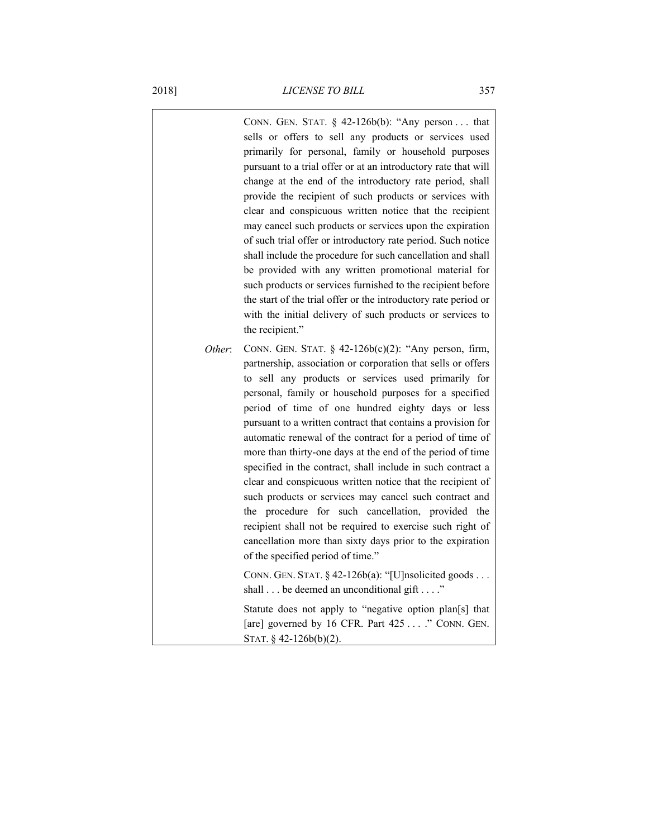|        | CONN. GEN. STAT. $\S$ 42-126b(b): "Any person that<br>sells or offers to sell any products or services used<br>primarily for personal, family or household purposes<br>pursuant to a trial offer or at an introductory rate that will<br>change at the end of the introductory rate period, shall<br>provide the recipient of such products or services with<br>clear and conspicuous written notice that the recipient<br>may cancel such products or services upon the expiration<br>of such trial offer or introductory rate period. Such notice<br>shall include the procedure for such cancellation and shall<br>be provided with any written promotional material for<br>such products or services furnished to the recipient before<br>the start of the trial offer or the introductory rate period or<br>with the initial delivery of such products or services to<br>the recipient."       |
|--------|-----------------------------------------------------------------------------------------------------------------------------------------------------------------------------------------------------------------------------------------------------------------------------------------------------------------------------------------------------------------------------------------------------------------------------------------------------------------------------------------------------------------------------------------------------------------------------------------------------------------------------------------------------------------------------------------------------------------------------------------------------------------------------------------------------------------------------------------------------------------------------------------------------|
| Other: | CONN. GEN. STAT. § $42-126b(c)(2)$ : "Any person, firm,<br>partnership, association or corporation that sells or offers<br>to sell any products or services used primarily for<br>personal, family or household purposes for a specified<br>period of time of one hundred eighty days or less<br>pursuant to a written contract that contains a provision for<br>automatic renewal of the contract for a period of time of<br>more than thirty-one days at the end of the period of time<br>specified in the contract, shall include in such contract a<br>clear and conspicuous written notice that the recipient of<br>such products or services may cancel such contract and<br>the procedure for such cancellation, provided the<br>recipient shall not be required to exercise such right of<br>cancellation more than sixty days prior to the expiration<br>of the specified period of time." |
|        | CONN. GEN. STAT. § 42-126b(a): "[U]nsolicited goods<br>shall $\ldots$ be deemed an unconditional gift $\ldots$ ."                                                                                                                                                                                                                                                                                                                                                                                                                                                                                                                                                                                                                                                                                                                                                                                   |
|        | Statute does not apply to "negative option plan[s] that<br>[are] governed by 16 CFR. Part 425 " CONN. GEN.<br>STAT. § $42-126b(b)(2)$ .                                                                                                                                                                                                                                                                                                                                                                                                                                                                                                                                                                                                                                                                                                                                                             |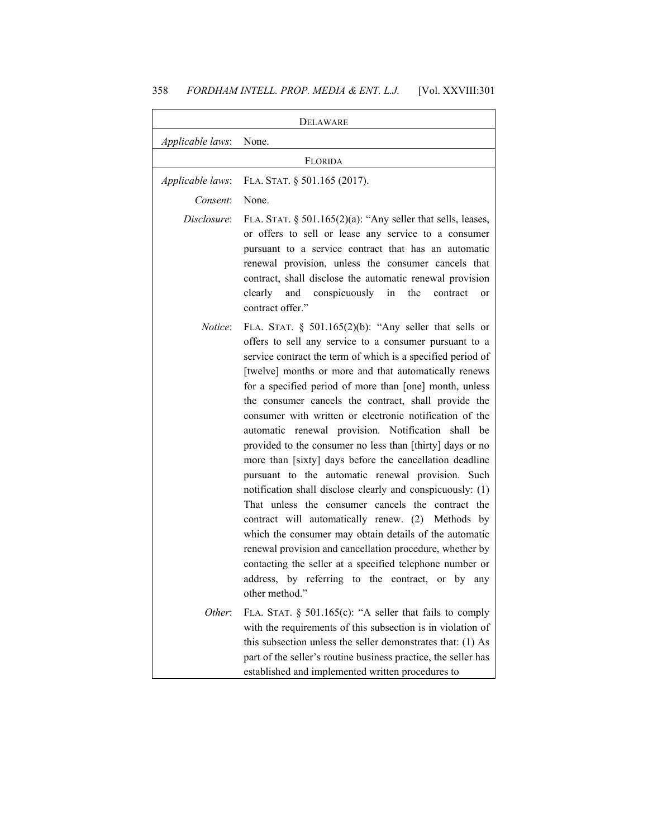|                  | <b>DELAWARE</b>                                                                                                                                                                                                                                                                                                                                                                                                                                                                                                                                                                                                                                                                                                                                                                                                                                                                                                                                                                                                                                                                                   |
|------------------|---------------------------------------------------------------------------------------------------------------------------------------------------------------------------------------------------------------------------------------------------------------------------------------------------------------------------------------------------------------------------------------------------------------------------------------------------------------------------------------------------------------------------------------------------------------------------------------------------------------------------------------------------------------------------------------------------------------------------------------------------------------------------------------------------------------------------------------------------------------------------------------------------------------------------------------------------------------------------------------------------------------------------------------------------------------------------------------------------|
| Applicable laws: | None.                                                                                                                                                                                                                                                                                                                                                                                                                                                                                                                                                                                                                                                                                                                                                                                                                                                                                                                                                                                                                                                                                             |
|                  | FLORIDA                                                                                                                                                                                                                                                                                                                                                                                                                                                                                                                                                                                                                                                                                                                                                                                                                                                                                                                                                                                                                                                                                           |
| Applicable laws: | FLA. STAT. § 501.165 (2017).                                                                                                                                                                                                                                                                                                                                                                                                                                                                                                                                                                                                                                                                                                                                                                                                                                                                                                                                                                                                                                                                      |
| Consent:         | None.                                                                                                                                                                                                                                                                                                                                                                                                                                                                                                                                                                                                                                                                                                                                                                                                                                                                                                                                                                                                                                                                                             |
| Disclosure:      | FLA. STAT. $\S$ 501.165(2)(a): "Any seller that sells, leases,<br>or offers to sell or lease any service to a consumer<br>pursuant to a service contract that has an automatic<br>renewal provision, unless the consumer cancels that<br>contract, shall disclose the automatic renewal provision<br>the<br>clearly and conspicuously<br>in<br>contract<br>or<br>contract offer."                                                                                                                                                                                                                                                                                                                                                                                                                                                                                                                                                                                                                                                                                                                 |
| <i>Notice</i> :  | FLA. STAT. § $501.165(2)(b)$ : "Any seller that sells or<br>offers to sell any service to a consumer pursuant to a<br>service contract the term of which is a specified period of<br>[twelve] months or more and that automatically renews<br>for a specified period of more than [one] month, unless<br>the consumer cancels the contract, shall provide the<br>consumer with written or electronic notification of the<br>automatic renewal provision. Notification shall<br>be<br>provided to the consumer no less than [thirty] days or no<br>more than [sixty] days before the cancellation deadline<br>pursuant to the automatic renewal provision. Such<br>notification shall disclose clearly and conspicuously: (1)<br>That unless the consumer cancels the contract the<br>contract will automatically renew. (2) Methods by<br>which the consumer may obtain details of the automatic<br>renewal provision and cancellation procedure, whether by<br>contacting the seller at a specified telephone number or<br>address, by referring to the contract, or by<br>any<br>other method." |
| Other:           | FLA. STAT. § 501.165(c): "A seller that fails to comply<br>with the requirements of this subsection is in violation of<br>this subsection unless the seller demonstrates that: (1) As<br>part of the seller's routine business practice, the seller has<br>established and implemented written procedures to                                                                                                                                                                                                                                                                                                                                                                                                                                                                                                                                                                                                                                                                                                                                                                                      |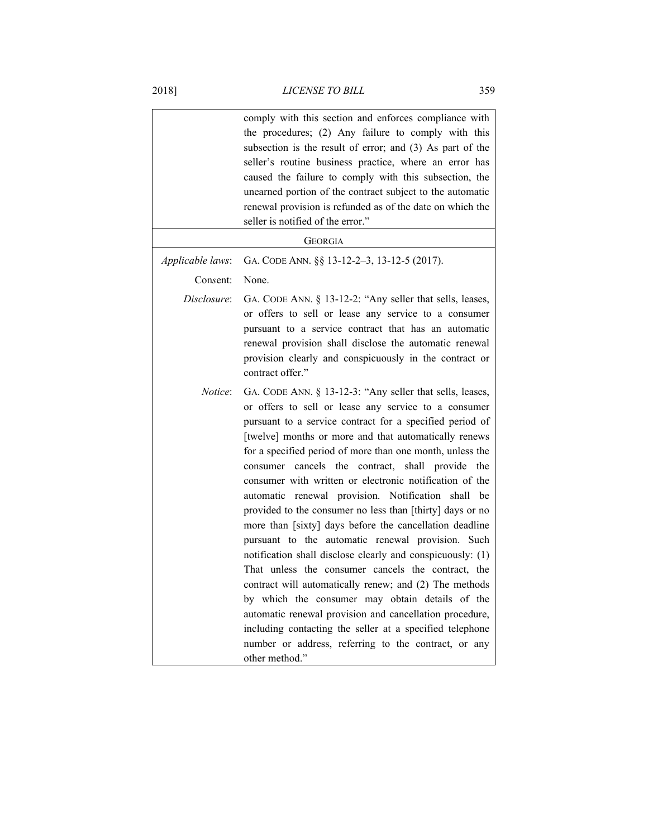|                  | comply with this section and enforces compliance with<br>the procedures; (2) Any failure to comply with this<br>subsection is the result of error; and (3) As part of the<br>seller's routine business practice, where an error has<br>caused the failure to comply with this subsection, the<br>unearned portion of the contract subject to the automatic<br>renewal provision is refunded as of the date on which the<br>seller is notified of the error."                                                                                                                                                                                                                                                                                                                                                                                                                                                                                                                                                                                                                                                |
|------------------|-------------------------------------------------------------------------------------------------------------------------------------------------------------------------------------------------------------------------------------------------------------------------------------------------------------------------------------------------------------------------------------------------------------------------------------------------------------------------------------------------------------------------------------------------------------------------------------------------------------------------------------------------------------------------------------------------------------------------------------------------------------------------------------------------------------------------------------------------------------------------------------------------------------------------------------------------------------------------------------------------------------------------------------------------------------------------------------------------------------|
|                  | GEORGIA                                                                                                                                                                                                                                                                                                                                                                                                                                                                                                                                                                                                                                                                                                                                                                                                                                                                                                                                                                                                                                                                                                     |
| Applicable laws: | GA. CODE ANN. §§ 13-12-2-3, 13-12-5 (2017).                                                                                                                                                                                                                                                                                                                                                                                                                                                                                                                                                                                                                                                                                                                                                                                                                                                                                                                                                                                                                                                                 |
| Consent:         | None.                                                                                                                                                                                                                                                                                                                                                                                                                                                                                                                                                                                                                                                                                                                                                                                                                                                                                                                                                                                                                                                                                                       |
| Disclosure:      | GA. CODE ANN. § 13-12-2: "Any seller that sells, leases,<br>or offers to sell or lease any service to a consumer<br>pursuant to a service contract that has an automatic<br>renewal provision shall disclose the automatic renewal<br>provision clearly and conspicuously in the contract or<br>contract offer."                                                                                                                                                                                                                                                                                                                                                                                                                                                                                                                                                                                                                                                                                                                                                                                            |
| Notice:          | GA. CODE ANN. § 13-12-3: "Any seller that sells, leases,<br>or offers to sell or lease any service to a consumer<br>pursuant to a service contract for a specified period of<br>[twelve] months or more and that automatically renews<br>for a specified period of more than one month, unless the<br>consumer cancels<br>the contract,<br>shall<br>provide<br>the<br>consumer with written or electronic notification of the<br>automatic renewal provision. Notification<br>shall<br>be<br>provided to the consumer no less than [thirty] days or no<br>more than [sixty] days before the cancellation deadline<br>pursuant to the automatic renewal provision.<br>Such<br>notification shall disclose clearly and conspicuously: (1)<br>That unless the consumer cancels the contract, the<br>contract will automatically renew; and (2) The methods<br>by which the consumer may obtain details of the<br>automatic renewal provision and cancellation procedure,<br>including contacting the seller at a specified telephone<br>number or address, referring to the contract, or any<br>other method." |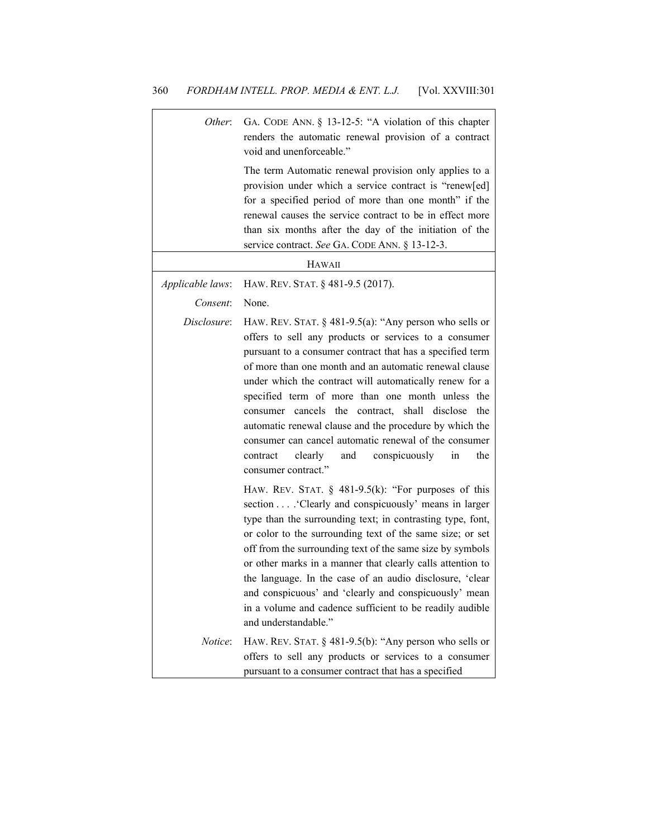| Other:           | GA. CODE ANN. § 13-12-5: "A violation of this chapter<br>renders the automatic renewal provision of a contract<br>void and unenforceable."                                                                                                                                                                                                                                                                                                                                                                                                                                                                              |
|------------------|-------------------------------------------------------------------------------------------------------------------------------------------------------------------------------------------------------------------------------------------------------------------------------------------------------------------------------------------------------------------------------------------------------------------------------------------------------------------------------------------------------------------------------------------------------------------------------------------------------------------------|
|                  | The term Automatic renewal provision only applies to a<br>provision under which a service contract is "renew[ed]<br>for a specified period of more than one month" if the<br>renewal causes the service contract to be in effect more<br>than six months after the day of the initiation of the<br>service contract. See GA. CODE ANN. § 13-12-3.                                                                                                                                                                                                                                                                       |
|                  | <b>HAWAII</b>                                                                                                                                                                                                                                                                                                                                                                                                                                                                                                                                                                                                           |
| Applicable laws: | HAW. REV. STAT. § 481-9.5 (2017).                                                                                                                                                                                                                                                                                                                                                                                                                                                                                                                                                                                       |
| Consent:         | None.                                                                                                                                                                                                                                                                                                                                                                                                                                                                                                                                                                                                                   |
| Disclosure:      | HAW. REV. STAT. $\S$ 481-9.5(a): "Any person who sells or<br>offers to sell any products or services to a consumer<br>pursuant to a consumer contract that has a specified term<br>of more than one month and an automatic renewal clause<br>under which the contract will automatically renew for a<br>specified term of more than one month unless the<br>consumer cancels the contract, shall disclose<br>the<br>automatic renewal clause and the procedure by which the<br>consumer can cancel automatic renewal of the consumer<br>conspicuously<br>contract<br>clearly<br>and<br>in<br>the<br>consumer contract." |
|                  | HAW. REV. STAT. $\S$ 481-9.5(k): "For purposes of this<br>section 'Clearly and conspicuously' means in larger<br>type than the surrounding text; in contrasting type, font,<br>or color to the surrounding text of the same size; or set<br>off from the surrounding text of the same size by symbols<br>or other marks in a manner that clearly calls attention to<br>the language. In the case of an audio disclosure, 'clear<br>and conspicuous' and 'clearly and conspicuously' mean<br>in a volume and cadence sufficient to be readily audible<br>and understandable."                                            |
| <i>Notice</i> :  | HAW. REV. STAT. § 481-9.5(b): "Any person who sells or<br>offers to sell any products or services to a consumer<br>pursuant to a consumer contract that has a specified                                                                                                                                                                                                                                                                                                                                                                                                                                                 |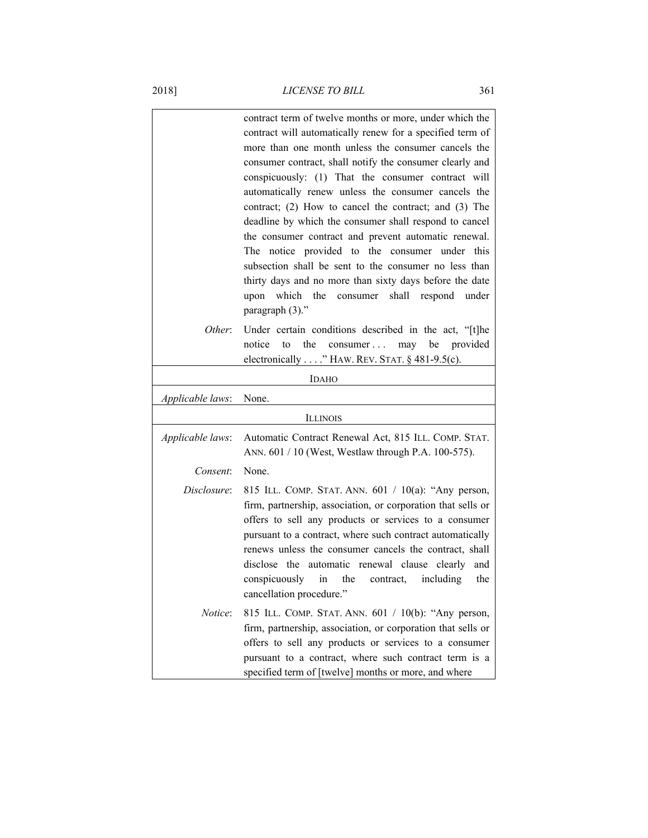|                  | contract term of twelve months or more, under which the<br>contract will automatically renew for a specified term of<br>more than one month unless the consumer cancels the<br>consumer contract, shall notify the consumer clearly and<br>conspicuously: (1) That the consumer contract will<br>automatically renew unless the consumer cancels the<br>contract; (2) How to cancel the contract; and (3) The<br>deadline by which the consumer shall respond to cancel<br>the consumer contract and prevent automatic renewal.<br>The notice provided to the consumer under this<br>subsection shall be sent to the consumer no less than<br>thirty days and no more than sixty days before the date<br>shall<br>which the<br>consumer<br>upon<br>respond under<br>paragraph (3)." |
|------------------|-------------------------------------------------------------------------------------------------------------------------------------------------------------------------------------------------------------------------------------------------------------------------------------------------------------------------------------------------------------------------------------------------------------------------------------------------------------------------------------------------------------------------------------------------------------------------------------------------------------------------------------------------------------------------------------------------------------------------------------------------------------------------------------|
| Other:           | Under certain conditions described in the act, "[t]he<br>consumer may be<br>notice<br>to<br>the<br>provided<br>electronically" HAW. REV. STAT. $§$ 481-9.5(c).                                                                                                                                                                                                                                                                                                                                                                                                                                                                                                                                                                                                                      |
|                  | <b>IDAHO</b>                                                                                                                                                                                                                                                                                                                                                                                                                                                                                                                                                                                                                                                                                                                                                                        |
| Applicable laws: | None.                                                                                                                                                                                                                                                                                                                                                                                                                                                                                                                                                                                                                                                                                                                                                                               |
|                  | <b>ILLINOIS</b>                                                                                                                                                                                                                                                                                                                                                                                                                                                                                                                                                                                                                                                                                                                                                                     |
| Applicable laws: | Automatic Contract Renewal Act, 815 ILL. COMP. STAT.<br>ANN. 601 / 10 (West, Westlaw through P.A. 100-575).                                                                                                                                                                                                                                                                                                                                                                                                                                                                                                                                                                                                                                                                         |
| Consent:         | None.                                                                                                                                                                                                                                                                                                                                                                                                                                                                                                                                                                                                                                                                                                                                                                               |
| Disclosure:      | 815 ILL. COMP. STAT. ANN. 601 / 10(a): "Any person,<br>firm, partnership, association, or corporation that sells or<br>offers to sell any products or services to a consumer<br>pursuant to a contract, where such contract automatically<br>renews unless the consumer cancels the contract, shall<br>disclose the automatic renewal clause clearly<br>and<br>conspicuously in the contract, including<br>the<br>cancellation procedure."                                                                                                                                                                                                                                                                                                                                          |
| Notice:          | 815 ILL. COMP. STAT. ANN. 601 / 10(b): "Any person,<br>firm, partnership, association, or corporation that sells or<br>offers to sell any products or services to a consumer<br>pursuant to a contract, where such contract term is a<br>specified term of [twelve] months or more, and where                                                                                                                                                                                                                                                                                                                                                                                                                                                                                       |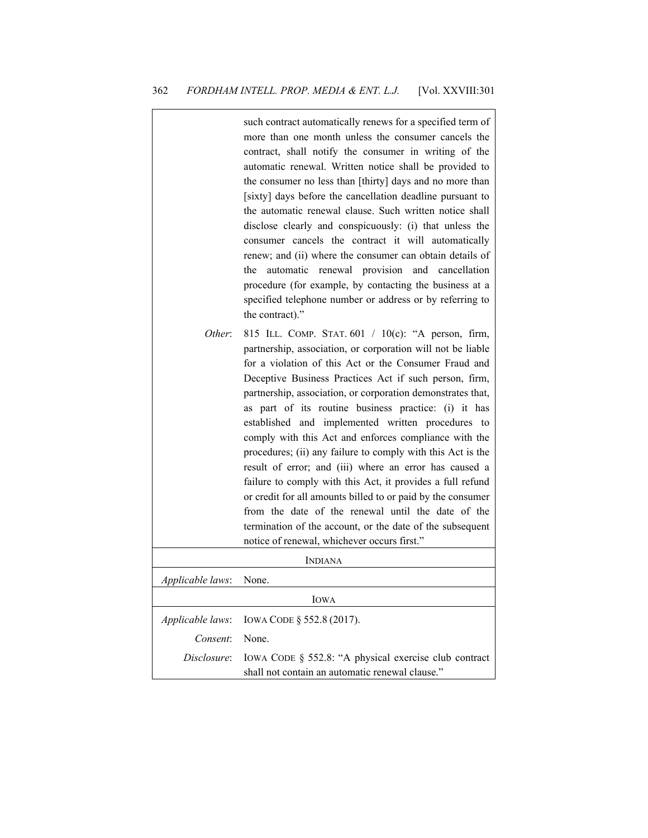|                  | such contract automatically renews for a specified term of<br>more than one month unless the consumer cancels the<br>contract, shall notify the consumer in writing of the<br>automatic renewal. Written notice shall be provided to<br>the consumer no less than [thirty] days and no more than<br>[sixty] days before the cancellation deadline pursuant to<br>the automatic renewal clause. Such written notice shall<br>disclose clearly and conspicuously: (i) that unless the<br>consumer cancels the contract it will automatically<br>renew; and (ii) where the consumer can obtain details of<br>the automatic renewal provision and cancellation<br>procedure (for example, by contacting the business at a<br>specified telephone number or address or by referring to<br>the contract)."                                                                                              |
|------------------|---------------------------------------------------------------------------------------------------------------------------------------------------------------------------------------------------------------------------------------------------------------------------------------------------------------------------------------------------------------------------------------------------------------------------------------------------------------------------------------------------------------------------------------------------------------------------------------------------------------------------------------------------------------------------------------------------------------------------------------------------------------------------------------------------------------------------------------------------------------------------------------------------|
| Other:           | 815 ILL. COMP. STAT. 601 / 10(c): "A person, firm,<br>partnership, association, or corporation will not be liable<br>for a violation of this Act or the Consumer Fraud and<br>Deceptive Business Practices Act if such person, firm,<br>partnership, association, or corporation demonstrates that,<br>as part of its routine business practice: (i) it has<br>established and implemented written procedures to<br>comply with this Act and enforces compliance with the<br>procedures; (ii) any failure to comply with this Act is the<br>result of error; and (iii) where an error has caused a<br>failure to comply with this Act, it provides a full refund<br>or credit for all amounts billed to or paid by the consumer<br>from the date of the renewal until the date of the<br>termination of the account, or the date of the subsequent<br>notice of renewal, whichever occurs first." |
|                  | <b>INDIANA</b>                                                                                                                                                                                                                                                                                                                                                                                                                                                                                                                                                                                                                                                                                                                                                                                                                                                                                    |
| Applicable laws: | None.                                                                                                                                                                                                                                                                                                                                                                                                                                                                                                                                                                                                                                                                                                                                                                                                                                                                                             |
|                  | <b>IOWA</b>                                                                                                                                                                                                                                                                                                                                                                                                                                                                                                                                                                                                                                                                                                                                                                                                                                                                                       |
| Applicable laws: | IOWA CODE § 552.8 (2017).                                                                                                                                                                                                                                                                                                                                                                                                                                                                                                                                                                                                                                                                                                                                                                                                                                                                         |
| Consent:         | None.                                                                                                                                                                                                                                                                                                                                                                                                                                                                                                                                                                                                                                                                                                                                                                                                                                                                                             |
| Disclosure:      | IOWA CODE § 552.8: "A physical exercise club contract<br>shall not contain an automatic renewal clause."                                                                                                                                                                                                                                                                                                                                                                                                                                                                                                                                                                                                                                                                                                                                                                                          |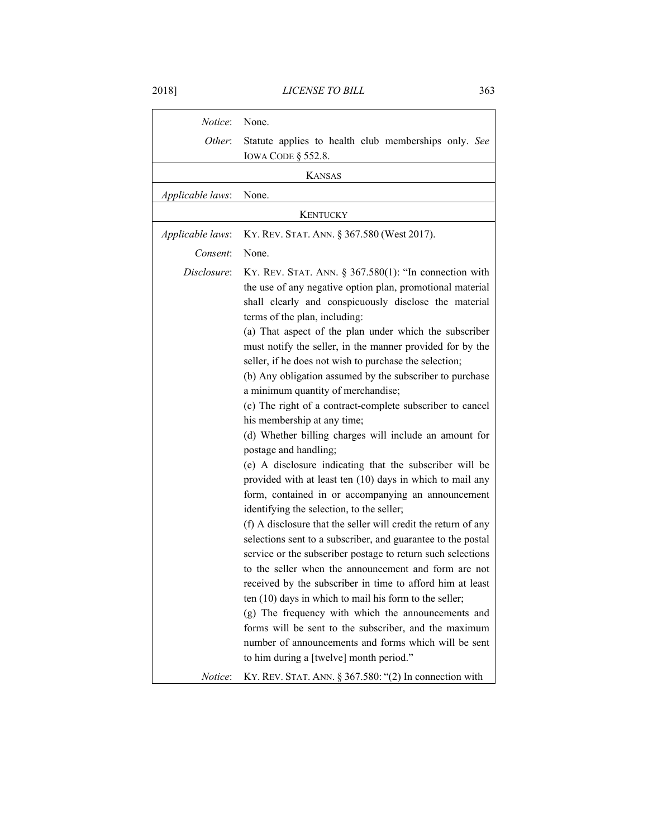| Notice:          | None.                                                                                                                                                                                                                                                                                                                                                                                                                                                                                                                                                                                                                                                                                                                                                                                                                                                                                                                                                                                                                                                                                                                                                                                                                                                                                                                                                                                                                                                                                                            |
|------------------|------------------------------------------------------------------------------------------------------------------------------------------------------------------------------------------------------------------------------------------------------------------------------------------------------------------------------------------------------------------------------------------------------------------------------------------------------------------------------------------------------------------------------------------------------------------------------------------------------------------------------------------------------------------------------------------------------------------------------------------------------------------------------------------------------------------------------------------------------------------------------------------------------------------------------------------------------------------------------------------------------------------------------------------------------------------------------------------------------------------------------------------------------------------------------------------------------------------------------------------------------------------------------------------------------------------------------------------------------------------------------------------------------------------------------------------------------------------------------------------------------------------|
| Other:           | Statute applies to health club memberships only. See                                                                                                                                                                                                                                                                                                                                                                                                                                                                                                                                                                                                                                                                                                                                                                                                                                                                                                                                                                                                                                                                                                                                                                                                                                                                                                                                                                                                                                                             |
|                  | <b>IOWA CODE § 552.8.</b>                                                                                                                                                                                                                                                                                                                                                                                                                                                                                                                                                                                                                                                                                                                                                                                                                                                                                                                                                                                                                                                                                                                                                                                                                                                                                                                                                                                                                                                                                        |
|                  | <b>KANSAS</b>                                                                                                                                                                                                                                                                                                                                                                                                                                                                                                                                                                                                                                                                                                                                                                                                                                                                                                                                                                                                                                                                                                                                                                                                                                                                                                                                                                                                                                                                                                    |
| Applicable laws: | None.                                                                                                                                                                                                                                                                                                                                                                                                                                                                                                                                                                                                                                                                                                                                                                                                                                                                                                                                                                                                                                                                                                                                                                                                                                                                                                                                                                                                                                                                                                            |
| <b>KENTUCKY</b>  |                                                                                                                                                                                                                                                                                                                                                                                                                                                                                                                                                                                                                                                                                                                                                                                                                                                                                                                                                                                                                                                                                                                                                                                                                                                                                                                                                                                                                                                                                                                  |
| Applicable laws: | KY. REV. STAT. ANN. § 367.580 (West 2017).                                                                                                                                                                                                                                                                                                                                                                                                                                                                                                                                                                                                                                                                                                                                                                                                                                                                                                                                                                                                                                                                                                                                                                                                                                                                                                                                                                                                                                                                       |
| Consent:         | None.                                                                                                                                                                                                                                                                                                                                                                                                                                                                                                                                                                                                                                                                                                                                                                                                                                                                                                                                                                                                                                                                                                                                                                                                                                                                                                                                                                                                                                                                                                            |
| Disclosure:      | KY. REV. STAT. ANN. $\S$ 367.580(1): "In connection with<br>the use of any negative option plan, promotional material<br>shall clearly and conspicuously disclose the material<br>terms of the plan, including:<br>(a) That aspect of the plan under which the subscriber<br>must notify the seller, in the manner provided for by the<br>seller, if he does not wish to purchase the selection;<br>(b) Any obligation assumed by the subscriber to purchase<br>a minimum quantity of merchandise;<br>(c) The right of a contract-complete subscriber to cancel<br>his membership at any time;<br>(d) Whether billing charges will include an amount for<br>postage and handling;<br>(e) A disclosure indicating that the subscriber will be<br>provided with at least ten (10) days in which to mail any<br>form, contained in or accompanying an announcement<br>identifying the selection, to the seller;<br>(f) A disclosure that the seller will credit the return of any<br>selections sent to a subscriber, and guarantee to the postal<br>service or the subscriber postage to return such selections<br>to the seller when the announcement and form are not<br>received by the subscriber in time to afford him at least<br>ten $(10)$ days in which to mail his form to the seller;<br>(g) The frequency with which the announcements and<br>forms will be sent to the subscriber, and the maximum<br>number of announcements and forms which will be sent<br>to him during a [twelve] month period." |
| Notice:          | KY. REV. STAT. ANN. $\S 367.580$ : "(2) In connection with                                                                                                                                                                                                                                                                                                                                                                                                                                                                                                                                                                                                                                                                                                                                                                                                                                                                                                                                                                                                                                                                                                                                                                                                                                                                                                                                                                                                                                                       |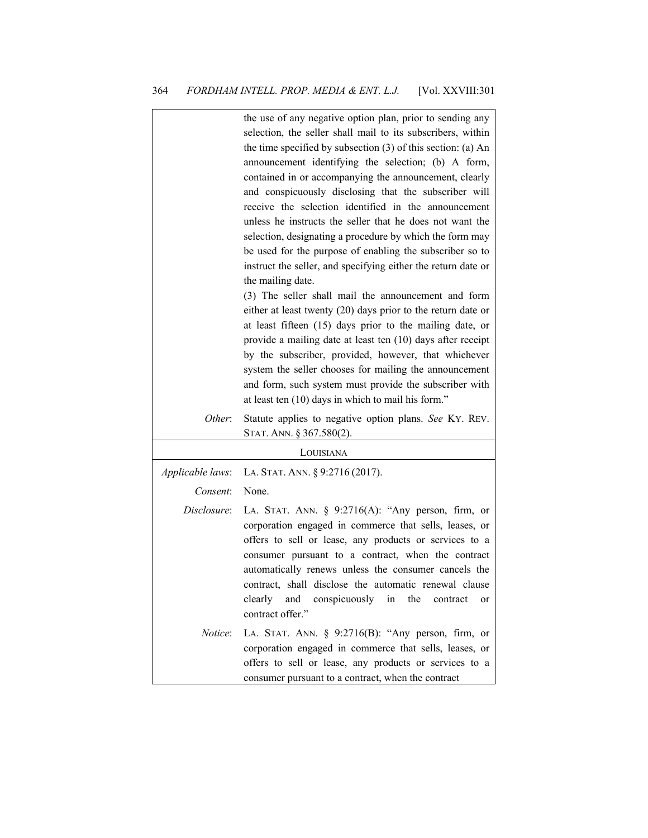|                  | the use of any negative option plan, prior to sending any<br>selection, the seller shall mail to its subscribers, within<br>the time specified by subsection $(3)$ of this section: (a) An<br>announcement identifying the selection; (b) A form,<br>contained in or accompanying the announcement, clearly<br>and conspicuously disclosing that the subscriber will<br>receive the selection identified in the announcement<br>unless he instructs the seller that he does not want the<br>selection, designating a procedure by which the form may<br>be used for the purpose of enabling the subscriber so to<br>instruct the seller, and specifying either the return date or<br>the mailing date.<br>(3) The seller shall mail the announcement and form<br>either at least twenty $(20)$ days prior to the return date or<br>at least fifteen (15) days prior to the mailing date, or<br>provide a mailing date at least ten (10) days after receipt<br>by the subscriber, provided, however, that whichever<br>system the seller chooses for mailing the announcement<br>and form, such system must provide the subscriber with |
|------------------|----------------------------------------------------------------------------------------------------------------------------------------------------------------------------------------------------------------------------------------------------------------------------------------------------------------------------------------------------------------------------------------------------------------------------------------------------------------------------------------------------------------------------------------------------------------------------------------------------------------------------------------------------------------------------------------------------------------------------------------------------------------------------------------------------------------------------------------------------------------------------------------------------------------------------------------------------------------------------------------------------------------------------------------------------------------------------------------------------------------------------------------|
| Other:           | at least ten (10) days in which to mail his form."<br>Statute applies to negative option plans. See KY. REV.                                                                                                                                                                                                                                                                                                                                                                                                                                                                                                                                                                                                                                                                                                                                                                                                                                                                                                                                                                                                                           |
|                  | STAT. ANN. § 367.580(2).                                                                                                                                                                                                                                                                                                                                                                                                                                                                                                                                                                                                                                                                                                                                                                                                                                                                                                                                                                                                                                                                                                               |
|                  | LOUISIANA                                                                                                                                                                                                                                                                                                                                                                                                                                                                                                                                                                                                                                                                                                                                                                                                                                                                                                                                                                                                                                                                                                                              |
| Applicable laws: | LA. STAT. ANN. § 9:2716 (2017).                                                                                                                                                                                                                                                                                                                                                                                                                                                                                                                                                                                                                                                                                                                                                                                                                                                                                                                                                                                                                                                                                                        |
| Consent:         | None.                                                                                                                                                                                                                                                                                                                                                                                                                                                                                                                                                                                                                                                                                                                                                                                                                                                                                                                                                                                                                                                                                                                                  |
| Disclosure:      | LA. STAT. ANN. $\S$ 9:2716(A): "Any person, firm, or<br>corporation engaged in commerce that sells, leases, or<br>offers to sell or lease, any products or services to a<br>consumer pursuant to a contract, when the contract<br>automatically renews unless the consumer cancels the<br>contract, shall disclose the automatic renewal clause<br>clearly<br>and<br>conspicuously<br>in<br>the<br>contract<br>or<br>contract offer."                                                                                                                                                                                                                                                                                                                                                                                                                                                                                                                                                                                                                                                                                                  |
| Notice:          | LA. STAT. ANN. $\S$ 9:2716(B): "Any person, firm, or<br>corporation engaged in commerce that sells, leases, or<br>offers to sell or lease, any products or services to a<br>consumer pursuant to a contract, when the contract                                                                                                                                                                                                                                                                                                                                                                                                                                                                                                                                                                                                                                                                                                                                                                                                                                                                                                         |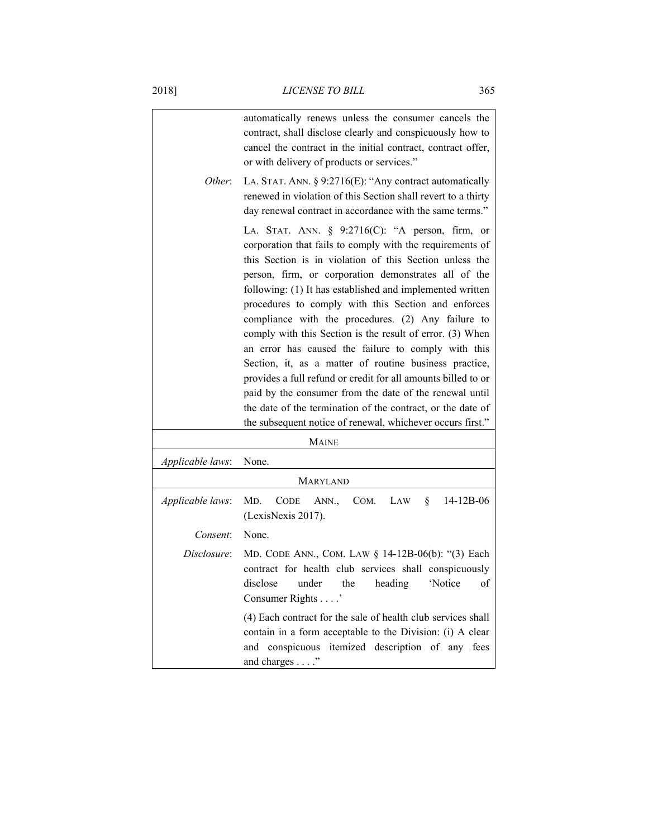|                         | automatically renews unless the consumer cancels the<br>contract, shall disclose clearly and conspicuously how to<br>cancel the contract in the initial contract, contract offer,<br>or with delivery of products or services."                                                                                                                                                                                                                                                                                                                                                                                                                                                                                                                                                                                                                  |
|-------------------------|--------------------------------------------------------------------------------------------------------------------------------------------------------------------------------------------------------------------------------------------------------------------------------------------------------------------------------------------------------------------------------------------------------------------------------------------------------------------------------------------------------------------------------------------------------------------------------------------------------------------------------------------------------------------------------------------------------------------------------------------------------------------------------------------------------------------------------------------------|
| Other:                  | LA. STAT. ANN. § 9:2716(E): "Any contract automatically<br>renewed in violation of this Section shall revert to a thirty<br>day renewal contract in accordance with the same terms."                                                                                                                                                                                                                                                                                                                                                                                                                                                                                                                                                                                                                                                             |
|                         | LA. STAT. ANN. § 9:2716(C): "A person, firm, or<br>corporation that fails to comply with the requirements of<br>this Section is in violation of this Section unless the<br>person, firm, or corporation demonstrates all of the<br>following: (1) It has established and implemented written<br>procedures to comply with this Section and enforces<br>compliance with the procedures. (2) Any failure to<br>comply with this Section is the result of error. (3) When<br>an error has caused the failure to comply with this<br>Section, it, as a matter of routine business practice,<br>provides a full refund or credit for all amounts billed to or<br>paid by the consumer from the date of the renewal until<br>the date of the termination of the contract, or the date of<br>the subsequent notice of renewal, whichever occurs first." |
|                         | <b>MAINE</b>                                                                                                                                                                                                                                                                                                                                                                                                                                                                                                                                                                                                                                                                                                                                                                                                                                     |
| <i>Applicable laws:</i> | None.<br><b>MARYLAND</b>                                                                                                                                                                                                                                                                                                                                                                                                                                                                                                                                                                                                                                                                                                                                                                                                                         |
| Applicable laws:        | MD.<br><b>CODE</b><br>ANN.,<br>COM.<br>LAW<br>§.<br>14-12B-06<br>(LexisNexis 2017).                                                                                                                                                                                                                                                                                                                                                                                                                                                                                                                                                                                                                                                                                                                                                              |
| Consent:                | None.                                                                                                                                                                                                                                                                                                                                                                                                                                                                                                                                                                                                                                                                                                                                                                                                                                            |
| Disclosure:             | MD. CODE ANN., COM. LAW § 14-12B-06(b): "(3) Each<br>contract for health club services shall conspicuously<br>under the<br>'Notice<br>disclose<br>heading<br>0 <sup>t</sup><br>Consumer Rights'<br>(4) Each contract for the sale of health club services shall<br>contain in a form acceptable to the Division: (i) A clear                                                                                                                                                                                                                                                                                                                                                                                                                                                                                                                     |
|                         | and conspicuous itemized description of any<br>fees<br>and charges"                                                                                                                                                                                                                                                                                                                                                                                                                                                                                                                                                                                                                                                                                                                                                                              |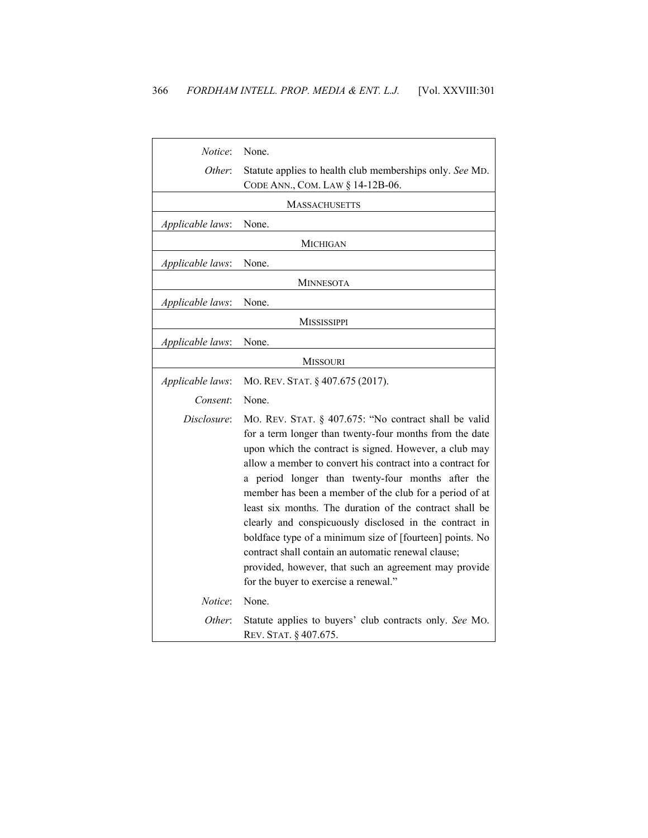| <i>Notice</i> :    | None.                                                                                                                                                                                                                                                                                                                                                                                                                                                                                                                                                                                                                                                                                              |
|--------------------|----------------------------------------------------------------------------------------------------------------------------------------------------------------------------------------------------------------------------------------------------------------------------------------------------------------------------------------------------------------------------------------------------------------------------------------------------------------------------------------------------------------------------------------------------------------------------------------------------------------------------------------------------------------------------------------------------|
| Other:             | Statute applies to health club memberships only. See MD.<br>CODE ANN., COM. LAW § 14-12B-06.                                                                                                                                                                                                                                                                                                                                                                                                                                                                                                                                                                                                       |
|                    | <b>MASSACHUSETTS</b>                                                                                                                                                                                                                                                                                                                                                                                                                                                                                                                                                                                                                                                                               |
| Applicable laws:   | None.                                                                                                                                                                                                                                                                                                                                                                                                                                                                                                                                                                                                                                                                                              |
|                    | MICHIGAN                                                                                                                                                                                                                                                                                                                                                                                                                                                                                                                                                                                                                                                                                           |
| Applicable laws:   | None.                                                                                                                                                                                                                                                                                                                                                                                                                                                                                                                                                                                                                                                                                              |
|                    | <b>MINNESOTA</b>                                                                                                                                                                                                                                                                                                                                                                                                                                                                                                                                                                                                                                                                                   |
| Applicable laws:   | None.                                                                                                                                                                                                                                                                                                                                                                                                                                                                                                                                                                                                                                                                                              |
| <b>MISSISSIPPI</b> |                                                                                                                                                                                                                                                                                                                                                                                                                                                                                                                                                                                                                                                                                                    |
| Applicable laws:   | None.                                                                                                                                                                                                                                                                                                                                                                                                                                                                                                                                                                                                                                                                                              |
|                    | <b>MISSOURI</b>                                                                                                                                                                                                                                                                                                                                                                                                                                                                                                                                                                                                                                                                                    |
| Applicable laws:   | MO. REV. STAT. § 407.675 (2017).                                                                                                                                                                                                                                                                                                                                                                                                                                                                                                                                                                                                                                                                   |
| Consent:           | None.                                                                                                                                                                                                                                                                                                                                                                                                                                                                                                                                                                                                                                                                                              |
| Disclosure:        | MO. REV. STAT. § 407.675: "No contract shall be valid<br>for a term longer than twenty-four months from the date<br>upon which the contract is signed. However, a club may<br>allow a member to convert his contract into a contract for<br>a period longer than twenty-four months after the<br>member has been a member of the club for a period of at<br>least six months. The duration of the contract shall be<br>clearly and conspicuously disclosed in the contract in<br>boldface type of a minimum size of [fourteen] points. No<br>contract shall contain an automatic renewal clause;<br>provided, however, that such an agreement may provide<br>for the buyer to exercise a renewal." |
| Notice:            | None.                                                                                                                                                                                                                                                                                                                                                                                                                                                                                                                                                                                                                                                                                              |
| Other:             | Statute applies to buyers' club contracts only. See MO.<br>REV. STAT. § 407.675.                                                                                                                                                                                                                                                                                                                                                                                                                                                                                                                                                                                                                   |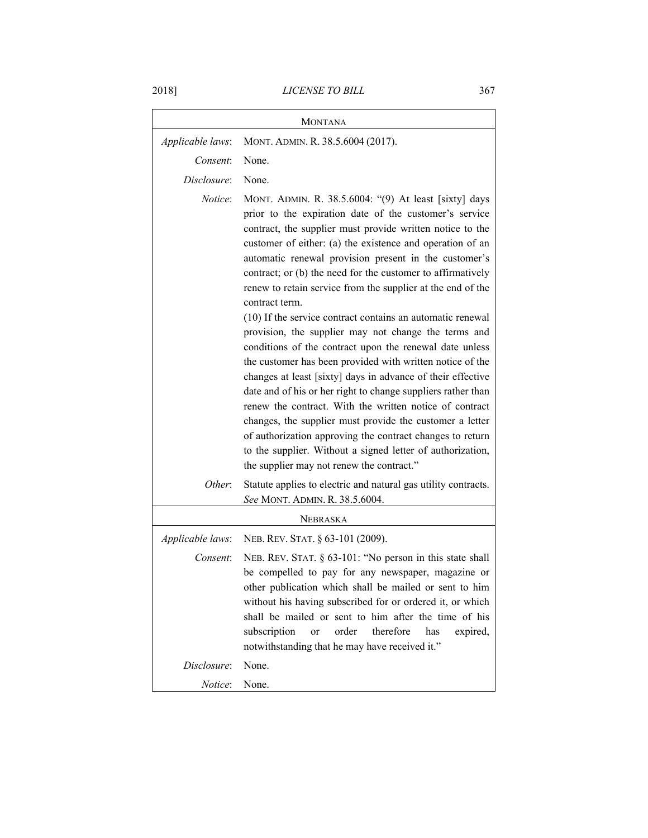| <b>MONTANA</b>   |                                                                                                                                                                                                                                                                                                                                                                                                                                                                                                                                                                                                                                                                                                                                                                                                                                                                                                                                                                                                                                                                                                                                |
|------------------|--------------------------------------------------------------------------------------------------------------------------------------------------------------------------------------------------------------------------------------------------------------------------------------------------------------------------------------------------------------------------------------------------------------------------------------------------------------------------------------------------------------------------------------------------------------------------------------------------------------------------------------------------------------------------------------------------------------------------------------------------------------------------------------------------------------------------------------------------------------------------------------------------------------------------------------------------------------------------------------------------------------------------------------------------------------------------------------------------------------------------------|
| Applicable laws: | MONT. ADMIN. R. 38.5.6004 (2017).                                                                                                                                                                                                                                                                                                                                                                                                                                                                                                                                                                                                                                                                                                                                                                                                                                                                                                                                                                                                                                                                                              |
| Consent:         | None.                                                                                                                                                                                                                                                                                                                                                                                                                                                                                                                                                                                                                                                                                                                                                                                                                                                                                                                                                                                                                                                                                                                          |
| Disclosure:      | None.                                                                                                                                                                                                                                                                                                                                                                                                                                                                                                                                                                                                                                                                                                                                                                                                                                                                                                                                                                                                                                                                                                                          |
| <i>Notice</i> :  | MONT. ADMIN. R. 38.5.6004: "(9) At least [sixty] days<br>prior to the expiration date of the customer's service<br>contract, the supplier must provide written notice to the<br>customer of either: (a) the existence and operation of an<br>automatic renewal provision present in the customer's<br>contract; or (b) the need for the customer to affirmatively<br>renew to retain service from the supplier at the end of the<br>contract term.<br>(10) If the service contract contains an automatic renewal<br>provision, the supplier may not change the terms and<br>conditions of the contract upon the renewal date unless<br>the customer has been provided with written notice of the<br>changes at least [sixty] days in advance of their effective<br>date and of his or her right to change suppliers rather than<br>renew the contract. With the written notice of contract<br>changes, the supplier must provide the customer a letter<br>of authorization approving the contract changes to return<br>to the supplier. Without a signed letter of authorization,<br>the supplier may not renew the contract." |
| Other:           | Statute applies to electric and natural gas utility contracts.<br>See MONT. ADMIN. R. 38.5.6004.                                                                                                                                                                                                                                                                                                                                                                                                                                                                                                                                                                                                                                                                                                                                                                                                                                                                                                                                                                                                                               |
|                  | NEBRASKA                                                                                                                                                                                                                                                                                                                                                                                                                                                                                                                                                                                                                                                                                                                                                                                                                                                                                                                                                                                                                                                                                                                       |
| Applicable laws: | NEB. REV. STAT. § 63-101 (2009).                                                                                                                                                                                                                                                                                                                                                                                                                                                                                                                                                                                                                                                                                                                                                                                                                                                                                                                                                                                                                                                                                               |
| Consent:         | NEB. REV. STAT. § 63-101: "No person in this state shall<br>be compelled to pay for any newspaper, magazine or<br>other publication which shall be mailed or sent to him<br>without his having subscribed for or ordered it, or which<br>shall be mailed or sent to him after the time of his<br>order<br>therefore<br>subscription<br>has<br>expired,<br>or<br>notwithstanding that he may have received it."                                                                                                                                                                                                                                                                                                                                                                                                                                                                                                                                                                                                                                                                                                                 |
| Disclosure:      | None.                                                                                                                                                                                                                                                                                                                                                                                                                                                                                                                                                                                                                                                                                                                                                                                                                                                                                                                                                                                                                                                                                                                          |
| <i>Notice:</i>   | None.                                                                                                                                                                                                                                                                                                                                                                                                                                                                                                                                                                                                                                                                                                                                                                                                                                                                                                                                                                                                                                                                                                                          |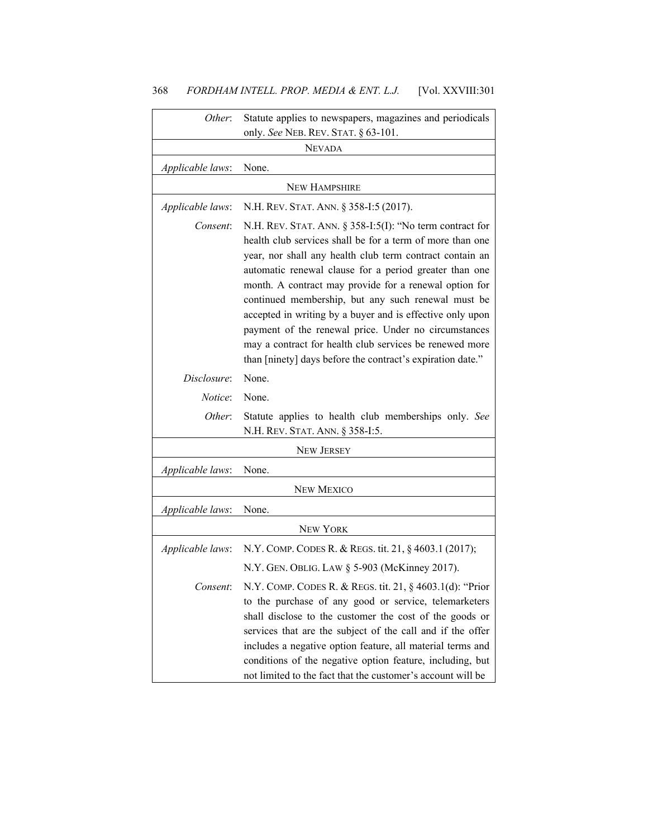| Other:           | Statute applies to newspapers, magazines and periodicals                                                                                                                                                                                                                                                                                                                                                                                                                                                                                                                                                      |
|------------------|---------------------------------------------------------------------------------------------------------------------------------------------------------------------------------------------------------------------------------------------------------------------------------------------------------------------------------------------------------------------------------------------------------------------------------------------------------------------------------------------------------------------------------------------------------------------------------------------------------------|
|                  | only. See NEB. REV. STAT. § 63-101.<br><b>NEVADA</b>                                                                                                                                                                                                                                                                                                                                                                                                                                                                                                                                                          |
|                  |                                                                                                                                                                                                                                                                                                                                                                                                                                                                                                                                                                                                               |
| Applicable laws: | None.                                                                                                                                                                                                                                                                                                                                                                                                                                                                                                                                                                                                         |
|                  | <b>NEW HAMPSHIRE</b>                                                                                                                                                                                                                                                                                                                                                                                                                                                                                                                                                                                          |
| Applicable laws: | N.H. REV. STAT. ANN. § 358-I:5 (2017).                                                                                                                                                                                                                                                                                                                                                                                                                                                                                                                                                                        |
| Consent:         | N.H. REV. STAT. ANN. $\S 358$ -I:5(I): "No term contract for<br>health club services shall be for a term of more than one<br>year, nor shall any health club term contract contain an<br>automatic renewal clause for a period greater than one<br>month. A contract may provide for a renewal option for<br>continued membership, but any such renewal must be<br>accepted in writing by a buyer and is effective only upon<br>payment of the renewal price. Under no circumstances<br>may a contract for health club services be renewed more<br>than [ninety] days before the contract's expiration date." |
| Disclosure:      | None.                                                                                                                                                                                                                                                                                                                                                                                                                                                                                                                                                                                                         |
| <i>Notice</i> :  | None.                                                                                                                                                                                                                                                                                                                                                                                                                                                                                                                                                                                                         |
| Other:           | Statute applies to health club memberships only. See<br>N.H. REV. STAT. ANN. § 358-I:5.                                                                                                                                                                                                                                                                                                                                                                                                                                                                                                                       |
|                  | <b>NEW JERSEY</b>                                                                                                                                                                                                                                                                                                                                                                                                                                                                                                                                                                                             |
| Applicable laws: | None.                                                                                                                                                                                                                                                                                                                                                                                                                                                                                                                                                                                                         |
|                  | <b>NEW MEXICO</b>                                                                                                                                                                                                                                                                                                                                                                                                                                                                                                                                                                                             |
| Applicable laws: | None.                                                                                                                                                                                                                                                                                                                                                                                                                                                                                                                                                                                                         |
|                  | <b>NEW YORK</b>                                                                                                                                                                                                                                                                                                                                                                                                                                                                                                                                                                                               |
| Applicable laws: | N.Y. COMP. CODES R. & REGS. tit. 21, § 4603.1 (2017);                                                                                                                                                                                                                                                                                                                                                                                                                                                                                                                                                         |
|                  | N.Y. GEN. OBLIG. LAW § 5-903 (McKinney 2017).                                                                                                                                                                                                                                                                                                                                                                                                                                                                                                                                                                 |
| Consent:         | N.Y. COMP. CODES R. & REGS. tit. 21, § 4603.1(d): "Prior<br>to the purchase of any good or service, telemarketers<br>shall disclose to the customer the cost of the goods or<br>services that are the subject of the call and if the offer<br>includes a negative option feature, all material terms and<br>conditions of the negative option feature, including, but<br>not limited to the fact that the customer's account will be                                                                                                                                                                          |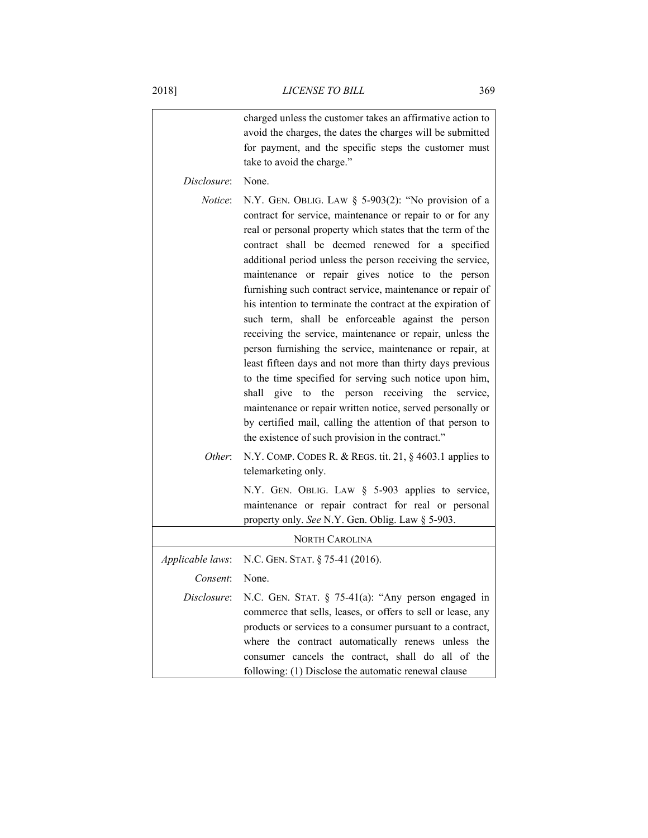|                       | charged unless the customer takes an affirmative action to<br>avoid the charges, the dates the charges will be submitted<br>for payment, and the specific steps the customer must<br>take to avoid the charge."                                                                                                                                                                                                                                                                                                                                                                                                                                                                                                                                                                                                                                                                                                                                                                                                                     |
|-----------------------|-------------------------------------------------------------------------------------------------------------------------------------------------------------------------------------------------------------------------------------------------------------------------------------------------------------------------------------------------------------------------------------------------------------------------------------------------------------------------------------------------------------------------------------------------------------------------------------------------------------------------------------------------------------------------------------------------------------------------------------------------------------------------------------------------------------------------------------------------------------------------------------------------------------------------------------------------------------------------------------------------------------------------------------|
| Disclosure:           | None.                                                                                                                                                                                                                                                                                                                                                                                                                                                                                                                                                                                                                                                                                                                                                                                                                                                                                                                                                                                                                               |
| <i>Notice</i> :       | N.Y. GEN. OBLIG. LAW $\S$ 5-903(2): "No provision of a<br>contract for service, maintenance or repair to or for any<br>real or personal property which states that the term of the<br>contract shall be deemed renewed for a specified<br>additional period unless the person receiving the service,<br>maintenance or repair gives notice to the person<br>furnishing such contract service, maintenance or repair of<br>his intention to terminate the contract at the expiration of<br>such term, shall be enforceable against the person<br>receiving the service, maintenance or repair, unless the<br>person furnishing the service, maintenance or repair, at<br>least fifteen days and not more than thirty days previous<br>to the time specified for serving such notice upon him,<br>give to the person receiving the service,<br>shall<br>maintenance or repair written notice, served personally or<br>by certified mail, calling the attention of that person to<br>the existence of such provision in the contract." |
| Other:                | N.Y. COMP. CODES R. & REGS. tit. 21, $\S$ 4603.1 applies to<br>telemarketing only.                                                                                                                                                                                                                                                                                                                                                                                                                                                                                                                                                                                                                                                                                                                                                                                                                                                                                                                                                  |
|                       | N.Y. GEN. OBLIG. LAW § 5-903 applies to service,<br>maintenance or repair contract for real or personal<br>property only. See N.Y. Gen. Oblig. Law § 5-903.                                                                                                                                                                                                                                                                                                                                                                                                                                                                                                                                                                                                                                                                                                                                                                                                                                                                         |
| <b>NORTH CAROLINA</b> |                                                                                                                                                                                                                                                                                                                                                                                                                                                                                                                                                                                                                                                                                                                                                                                                                                                                                                                                                                                                                                     |
| Applicable laws:      | N.C. GEN. STAT. § 75-41 (2016).                                                                                                                                                                                                                                                                                                                                                                                                                                                                                                                                                                                                                                                                                                                                                                                                                                                                                                                                                                                                     |
| Consent:              | None.                                                                                                                                                                                                                                                                                                                                                                                                                                                                                                                                                                                                                                                                                                                                                                                                                                                                                                                                                                                                                               |
| Disclosure:           | N.C. GEN. STAT. $\S$ 75-41(a): "Any person engaged in<br>commerce that sells, leases, or offers to sell or lease, any<br>products or services to a consumer pursuant to a contract,<br>where the contract automatically renews unless the<br>consumer cancels the contract, shall do all of the<br>following: (1) Disclose the automatic renewal clause                                                                                                                                                                                                                                                                                                                                                                                                                                                                                                                                                                                                                                                                             |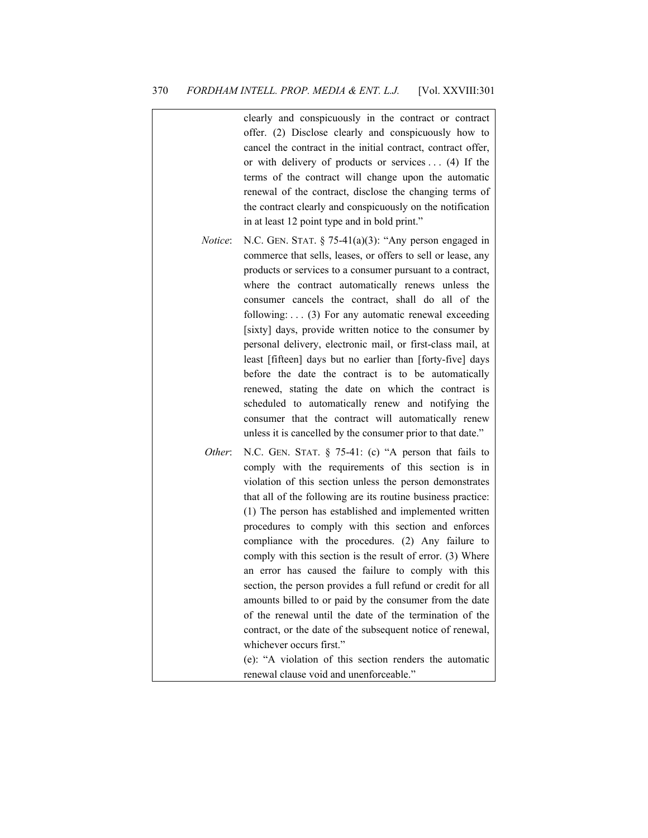|                 | clearly and conspicuously in the contract or contract<br>offer. (2) Disclose clearly and conspicuously how to<br>cancel the contract in the initial contract, contract offer,<br>or with delivery of products or services $\dots$ (4) If the<br>terms of the contract will change upon the automatic<br>renewal of the contract, disclose the changing terms of<br>the contract clearly and conspicuously on the notification<br>in at least 12 point type and in bold print."                                                                                                                                                                                                                                                                                                                                                                                                                                           |
|-----------------|--------------------------------------------------------------------------------------------------------------------------------------------------------------------------------------------------------------------------------------------------------------------------------------------------------------------------------------------------------------------------------------------------------------------------------------------------------------------------------------------------------------------------------------------------------------------------------------------------------------------------------------------------------------------------------------------------------------------------------------------------------------------------------------------------------------------------------------------------------------------------------------------------------------------------|
| <i>Notice</i> : | N.C. GEN. STAT. $\S$ 75-41(a)(3): "Any person engaged in<br>commerce that sells, leases, or offers to sell or lease, any<br>products or services to a consumer pursuant to a contract,<br>where the contract automatically renews unless the<br>consumer cancels the contract, shall do all of the<br>following: $\ldots$ (3) For any automatic renewal exceeding<br>[sixty] days, provide written notice to the consumer by<br>personal delivery, electronic mail, or first-class mail, at<br>least [fifteen] days but no earlier than [forty-five] days<br>before the date the contract is to be automatically<br>renewed, stating the date on which the contract is<br>scheduled to automatically renew and notifying the<br>consumer that the contract will automatically renew<br>unless it is cancelled by the consumer prior to that date."                                                                       |
| Other:          | N.C. GEN. STAT. § 75-41: (c) "A person that fails to<br>comply with the requirements of this section is in<br>violation of this section unless the person demonstrates<br>that all of the following are its routine business practice:<br>(1) The person has established and implemented written<br>procedures to comply with this section and enforces<br>compliance with the procedures. (2) Any failure to<br>comply with this section is the result of error. (3) Where<br>an error has caused the failure to comply with this<br>section, the person provides a full refund or credit for all<br>amounts billed to or paid by the consumer from the date<br>of the renewal until the date of the termination of the<br>contract, or the date of the subsequent notice of renewal,<br>whichever occurs first."<br>(e): "A violation of this section renders the automatic<br>renewal clause void and unenforceable." |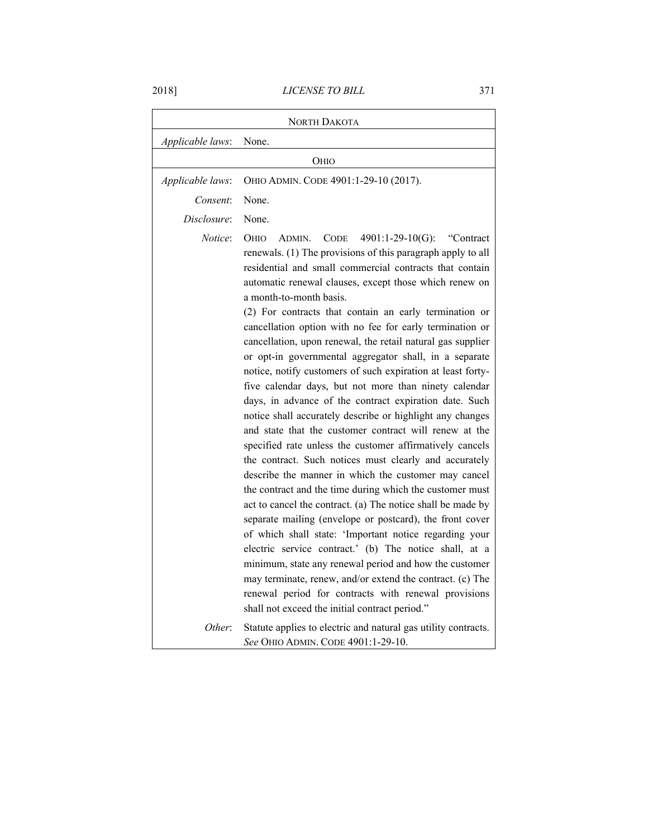2018] *LICENSE TO BILL* 371

|                  | <b>NORTH DAKOTA</b>                                                                                                                                                                                                                                                                                                                                                                                                                                                                                                                                                                                                                                                                                                                                                                                                                                                                                                                                                                                                                                                                                                                                                                                                                                                                                                                                                                                                                                                                                                                                                       |
|------------------|---------------------------------------------------------------------------------------------------------------------------------------------------------------------------------------------------------------------------------------------------------------------------------------------------------------------------------------------------------------------------------------------------------------------------------------------------------------------------------------------------------------------------------------------------------------------------------------------------------------------------------------------------------------------------------------------------------------------------------------------------------------------------------------------------------------------------------------------------------------------------------------------------------------------------------------------------------------------------------------------------------------------------------------------------------------------------------------------------------------------------------------------------------------------------------------------------------------------------------------------------------------------------------------------------------------------------------------------------------------------------------------------------------------------------------------------------------------------------------------------------------------------------------------------------------------------------|
| Applicable laws: | None.                                                                                                                                                                                                                                                                                                                                                                                                                                                                                                                                                                                                                                                                                                                                                                                                                                                                                                                                                                                                                                                                                                                                                                                                                                                                                                                                                                                                                                                                                                                                                                     |
|                  | Оню                                                                                                                                                                                                                                                                                                                                                                                                                                                                                                                                                                                                                                                                                                                                                                                                                                                                                                                                                                                                                                                                                                                                                                                                                                                                                                                                                                                                                                                                                                                                                                       |
| Applicable laws: | OHIO ADMIN. CODE 4901:1-29-10 (2017).                                                                                                                                                                                                                                                                                                                                                                                                                                                                                                                                                                                                                                                                                                                                                                                                                                                                                                                                                                                                                                                                                                                                                                                                                                                                                                                                                                                                                                                                                                                                     |
| Consent:         | None.                                                                                                                                                                                                                                                                                                                                                                                                                                                                                                                                                                                                                                                                                                                                                                                                                                                                                                                                                                                                                                                                                                                                                                                                                                                                                                                                                                                                                                                                                                                                                                     |
| Disclosure:      | None.                                                                                                                                                                                                                                                                                                                                                                                                                                                                                                                                                                                                                                                                                                                                                                                                                                                                                                                                                                                                                                                                                                                                                                                                                                                                                                                                                                                                                                                                                                                                                                     |
| Notice:          | <b>OHIO</b><br>$4901:1-29-10(G):$<br>ADMIN.<br><b>CODE</b><br>"Contract"<br>renewals. (1) The provisions of this paragraph apply to all<br>residential and small commercial contracts that contain<br>automatic renewal clauses, except those which renew on<br>a month-to-month basis.<br>(2) For contracts that contain an early termination or<br>cancellation option with no fee for early termination or<br>cancellation, upon renewal, the retail natural gas supplier<br>or opt-in governmental aggregator shall, in a separate<br>notice, notify customers of such expiration at least forty-<br>five calendar days, but not more than ninety calendar<br>days, in advance of the contract expiration date. Such<br>notice shall accurately describe or highlight any changes<br>and state that the customer contract will renew at the<br>specified rate unless the customer affirmatively cancels<br>the contract. Such notices must clearly and accurately<br>describe the manner in which the customer may cancel<br>the contract and the time during which the customer must<br>act to cancel the contract. (a) The notice shall be made by<br>separate mailing (envelope or postcard), the front cover<br>of which shall state: 'Important notice regarding your<br>electric service contract.' (b) The notice shall, at a<br>minimum, state any renewal period and how the customer<br>may terminate, renew, and/or extend the contract. (c) The<br>renewal period for contracts with renewal provisions<br>shall not exceed the initial contract period." |
| Other:           | Statute applies to electric and natural gas utility contracts.<br>See OHIO ADMIN. CODE 4901:1-29-10.                                                                                                                                                                                                                                                                                                                                                                                                                                                                                                                                                                                                                                                                                                                                                                                                                                                                                                                                                                                                                                                                                                                                                                                                                                                                                                                                                                                                                                                                      |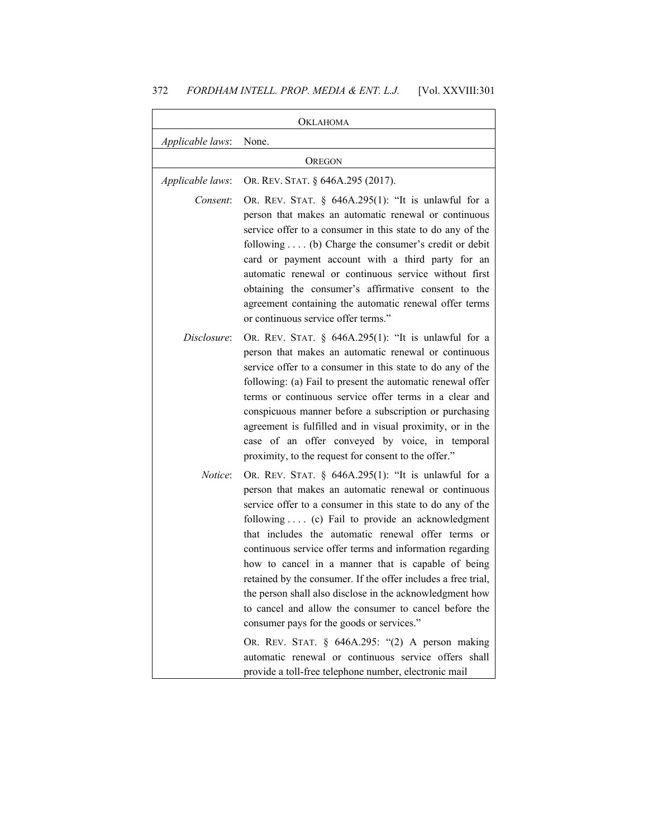## 372 *FORDHAM INTELL. PROP. MEDIA & ENT. L.J.* [Vol. XXVIII:301

|                  | <b>OKLAHOMA</b>                                                                                                                                                                                                                                                                                                                                                                                                                                                                                                                                                                                                                                                                                                                                                                                              |
|------------------|--------------------------------------------------------------------------------------------------------------------------------------------------------------------------------------------------------------------------------------------------------------------------------------------------------------------------------------------------------------------------------------------------------------------------------------------------------------------------------------------------------------------------------------------------------------------------------------------------------------------------------------------------------------------------------------------------------------------------------------------------------------------------------------------------------------|
| Applicable laws: | None.                                                                                                                                                                                                                                                                                                                                                                                                                                                                                                                                                                                                                                                                                                                                                                                                        |
|                  | <b>OREGON</b>                                                                                                                                                                                                                                                                                                                                                                                                                                                                                                                                                                                                                                                                                                                                                                                                |
| Applicable laws: | OR. REV. STAT. § 646A.295 (2017).                                                                                                                                                                                                                                                                                                                                                                                                                                                                                                                                                                                                                                                                                                                                                                            |
| Consent:         | OR. REV. STAT. $\S$ 646A.295(1): "It is unlawful for a<br>person that makes an automatic renewal or continuous<br>service offer to a consumer in this state to do any of the<br>following $\dots$ (b) Charge the consumer's credit or debit<br>card or payment account with a third party for an<br>automatic renewal or continuous service without first<br>obtaining the consumer's affirmative consent to the<br>agreement containing the automatic renewal offer terms<br>or continuous service offer terms."                                                                                                                                                                                                                                                                                            |
| Disclosure:      | OR. REV. STAT. $§$ 646A.295(1): "It is unlawful for a<br>person that makes an automatic renewal or continuous<br>service offer to a consumer in this state to do any of the<br>following: (a) Fail to present the automatic renewal offer<br>terms or continuous service offer terms in a clear and<br>conspicuous manner before a subscription or purchasing<br>agreement is fulfilled and in visual proximity, or in the<br>case of an offer conveyed by voice, in temporal<br>proximity, to the request for consent to the offer."                                                                                                                                                                                                                                                                        |
| <i>Notice</i> :  | OR. REV. STAT. § 646A.295(1): "It is unlawful for a<br>person that makes an automatic renewal or continuous<br>service offer to a consumer in this state to do any of the<br>following  (c) Fail to provide an acknowledgment<br>that includes the automatic renewal offer terms or<br>continuous service offer terms and information regarding<br>how to cancel in a manner that is capable of being<br>retained by the consumer. If the offer includes a free trial,<br>the person shall also disclose in the acknowledgment how<br>to cancel and allow the consumer to cancel before the<br>consumer pays for the goods or services."<br>OR. REV. STAT. § 646A.295: "(2) A person making<br>automatic renewal or continuous service offers shall<br>provide a toll-free telephone number, electronic mail |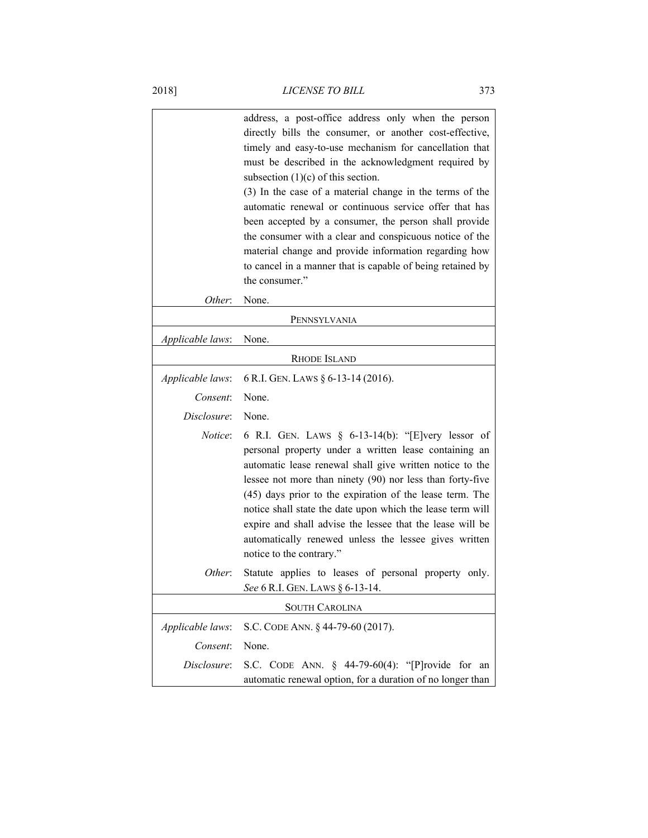|                  | address, a post-office address only when the person<br>directly bills the consumer, or another cost-effective,<br>timely and easy-to-use mechanism for cancellation that<br>must be described in the acknowledgment required by<br>subsection $(1)(c)$ of this section.<br>(3) In the case of a material change in the terms of the<br>automatic renewal or continuous service offer that has<br>been accepted by a consumer, the person shall provide<br>the consumer with a clear and conspicuous notice of the<br>material change and provide information regarding how<br>to cancel in a manner that is capable of being retained by<br>the consumer." |
|------------------|------------------------------------------------------------------------------------------------------------------------------------------------------------------------------------------------------------------------------------------------------------------------------------------------------------------------------------------------------------------------------------------------------------------------------------------------------------------------------------------------------------------------------------------------------------------------------------------------------------------------------------------------------------|
| Other:           | None.                                                                                                                                                                                                                                                                                                                                                                                                                                                                                                                                                                                                                                                      |
|                  | PENNSYLVANIA                                                                                                                                                                                                                                                                                                                                                                                                                                                                                                                                                                                                                                               |
| Applicable laws: | None.                                                                                                                                                                                                                                                                                                                                                                                                                                                                                                                                                                                                                                                      |
|                  | <b>RHODE ISLAND</b>                                                                                                                                                                                                                                                                                                                                                                                                                                                                                                                                                                                                                                        |
| Applicable laws: | 6 R.I. GEN. LAWS § 6-13-14 (2016).                                                                                                                                                                                                                                                                                                                                                                                                                                                                                                                                                                                                                         |
| Consent:         | None.                                                                                                                                                                                                                                                                                                                                                                                                                                                                                                                                                                                                                                                      |
| Disclosure:      | None.                                                                                                                                                                                                                                                                                                                                                                                                                                                                                                                                                                                                                                                      |
| <i>Notice</i> :  | 6 R.I. GEN. LAWS $\S$ 6-13-14(b): "[E]very lessor of<br>personal property under a written lease containing an<br>automatic lease renewal shall give written notice to the<br>lessee not more than ninety (90) nor less than forty-five<br>(45) days prior to the expiration of the lease term. The<br>notice shall state the date upon which the lease term will<br>expire and shall advise the lessee that the lease will be<br>automatically renewed unless the lessee gives written<br>notice to the contrary."                                                                                                                                         |
| Other:           | Statute applies to leases of personal property only.<br>See 6 R.I. GEN. LAWS § 6-13-14.                                                                                                                                                                                                                                                                                                                                                                                                                                                                                                                                                                    |
|                  | <b>SOUTH CAROLINA</b>                                                                                                                                                                                                                                                                                                                                                                                                                                                                                                                                                                                                                                      |
| Applicable laws: | S.C. CODE ANN. § 44-79-60 (2017).                                                                                                                                                                                                                                                                                                                                                                                                                                                                                                                                                                                                                          |
| Consent:         | None.                                                                                                                                                                                                                                                                                                                                                                                                                                                                                                                                                                                                                                                      |
| Disclosure:      | S.C. CODE ANN. § 44-79-60(4): "[P]rovide<br>for<br>an<br>automatic renewal option, for a duration of no longer than                                                                                                                                                                                                                                                                                                                                                                                                                                                                                                                                        |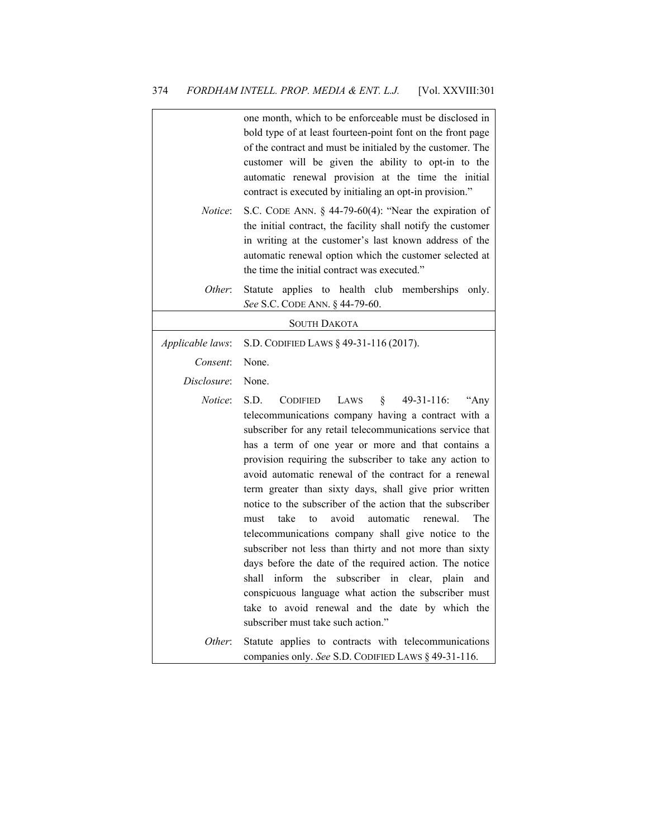|                  | one month, which to be enforceable must be disclosed in<br>bold type of at least fourteen-point font on the front page<br>of the contract and must be initialed by the customer. The<br>customer will be given the ability to opt-in to the<br>automatic renewal provision at the time the initial<br>contract is executed by initialing an opt-in provision."                                                                                                                                                                                                                                                                                                                                                                                                                                                                                                                                                                                    |
|------------------|---------------------------------------------------------------------------------------------------------------------------------------------------------------------------------------------------------------------------------------------------------------------------------------------------------------------------------------------------------------------------------------------------------------------------------------------------------------------------------------------------------------------------------------------------------------------------------------------------------------------------------------------------------------------------------------------------------------------------------------------------------------------------------------------------------------------------------------------------------------------------------------------------------------------------------------------------|
| Notice:          | S.C. CODE ANN. $\S$ 44-79-60(4): "Near the expiration of<br>the initial contract, the facility shall notify the customer<br>in writing at the customer's last known address of the<br>automatic renewal option which the customer selected at<br>the time the initial contract was executed."                                                                                                                                                                                                                                                                                                                                                                                                                                                                                                                                                                                                                                                     |
| Other:           | applies to health club memberships only.<br>Statute<br>See S.C. CODE ANN. § 44-79-60.                                                                                                                                                                                                                                                                                                                                                                                                                                                                                                                                                                                                                                                                                                                                                                                                                                                             |
|                  | <b>SOUTH DAKOTA</b>                                                                                                                                                                                                                                                                                                                                                                                                                                                                                                                                                                                                                                                                                                                                                                                                                                                                                                                               |
| Applicable laws: | S.D. CODIFIED LAWS § 49-31-116 (2017).                                                                                                                                                                                                                                                                                                                                                                                                                                                                                                                                                                                                                                                                                                                                                                                                                                                                                                            |
| Consent:         | None.                                                                                                                                                                                                                                                                                                                                                                                                                                                                                                                                                                                                                                                                                                                                                                                                                                                                                                                                             |
| Disclosure:      | None.                                                                                                                                                                                                                                                                                                                                                                                                                                                                                                                                                                                                                                                                                                                                                                                                                                                                                                                                             |
| Notice:          | S.D.<br>$49-31-116$ :<br><b>CODIFIED</b><br>LAWS<br>§.<br>"Any<br>telecommunications company having a contract with a<br>subscriber for any retail telecommunications service that<br>has a term of one year or more and that contains a<br>provision requiring the subscriber to take any action to<br>avoid automatic renewal of the contract for a renewal<br>term greater than sixty days, shall give prior written<br>notice to the subscriber of the action that the subscriber<br>avoid<br>automatic<br>take<br>to<br>renewal.<br>The<br>must<br>telecommunications company shall give notice to the<br>subscriber not less than thirty and not more than sixty<br>days before the date of the required action. The notice<br>inform<br>the<br>subscriber in clear, plain<br>shall<br>and<br>conspicuous language what action the subscriber must<br>take to avoid renewal and the date by which the<br>subscriber must take such action." |
| Other:           | Statute applies to contracts with telecommunications<br>companies only. See S.D. CODIFIED LAWS § 49-31-116.                                                                                                                                                                                                                                                                                                                                                                                                                                                                                                                                                                                                                                                                                                                                                                                                                                       |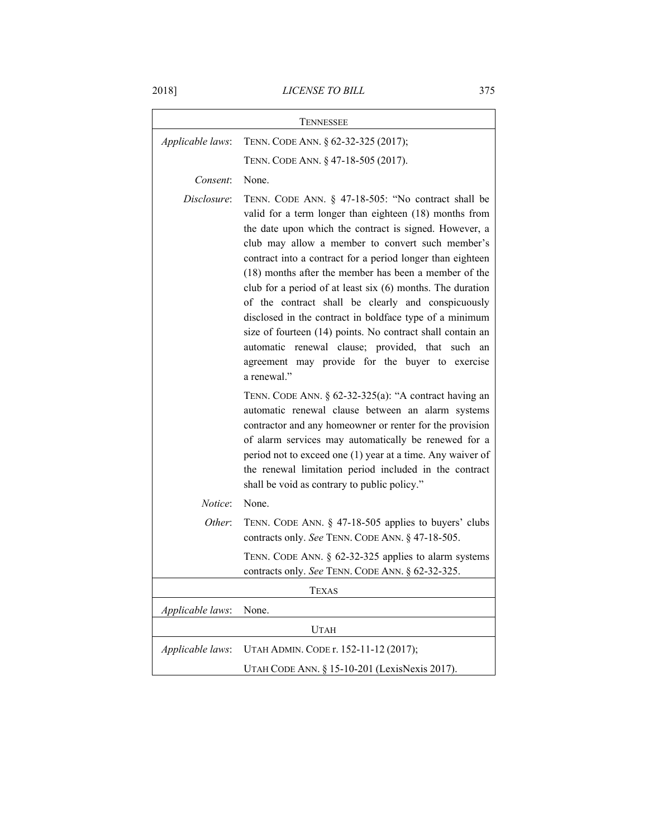2018] *LICENSE TO BILL* 375

| TENNESSEE        |                                                                                                                                                                                                                                                                                                                                                                                                                                                                                                                                                                                                                                                                                                                              |
|------------------|------------------------------------------------------------------------------------------------------------------------------------------------------------------------------------------------------------------------------------------------------------------------------------------------------------------------------------------------------------------------------------------------------------------------------------------------------------------------------------------------------------------------------------------------------------------------------------------------------------------------------------------------------------------------------------------------------------------------------|
| Applicable laws: | TENN. CODE ANN. § 62-32-325 (2017);                                                                                                                                                                                                                                                                                                                                                                                                                                                                                                                                                                                                                                                                                          |
|                  | TENN. CODE ANN. § 47-18-505 (2017).                                                                                                                                                                                                                                                                                                                                                                                                                                                                                                                                                                                                                                                                                          |
| Consent:         | None.                                                                                                                                                                                                                                                                                                                                                                                                                                                                                                                                                                                                                                                                                                                        |
| Disclosure:      | TENN. CODE ANN. § 47-18-505: "No contract shall be<br>valid for a term longer than eighteen (18) months from<br>the date upon which the contract is signed. However, a<br>club may allow a member to convert such member's<br>contract into a contract for a period longer than eighteen<br>(18) months after the member has been a member of the<br>club for a period of at least six $(6)$ months. The duration<br>of the contract shall be clearly and conspicuously<br>disclosed in the contract in boldface type of a minimum<br>size of fourteen (14) points. No contract shall contain an<br>renewal clause; provided, that such<br>automatic<br>an<br>agreement may provide for the buyer to exercise<br>a renewal." |
|                  | TENN. CODE ANN. § 62-32-325(a): "A contract having an<br>automatic renewal clause between an alarm systems<br>contractor and any homeowner or renter for the provision<br>of alarm services may automatically be renewed for a<br>period not to exceed one (1) year at a time. Any waiver of<br>the renewal limitation period included in the contract<br>shall be void as contrary to public policy."                                                                                                                                                                                                                                                                                                                       |
| <i>Notice</i> :  | None.                                                                                                                                                                                                                                                                                                                                                                                                                                                                                                                                                                                                                                                                                                                        |
| Other:           | TENN. CODE ANN. § 47-18-505 applies to buyers' clubs<br>contracts only. See TENN. CODE ANN. § 47-18-505.                                                                                                                                                                                                                                                                                                                                                                                                                                                                                                                                                                                                                     |
|                  | TENN. CODE ANN. § 62-32-325 applies to alarm systems<br>contracts only. See TENN. CODE ANN. § 62-32-325.                                                                                                                                                                                                                                                                                                                                                                                                                                                                                                                                                                                                                     |
|                  | <b>TEXAS</b>                                                                                                                                                                                                                                                                                                                                                                                                                                                                                                                                                                                                                                                                                                                 |
| Applicable laws: | None.                                                                                                                                                                                                                                                                                                                                                                                                                                                                                                                                                                                                                                                                                                                        |
|                  | <b>UTAH</b>                                                                                                                                                                                                                                                                                                                                                                                                                                                                                                                                                                                                                                                                                                                  |
| Applicable laws: | UTAH ADMIN. CODE r. 152-11-12 (2017);                                                                                                                                                                                                                                                                                                                                                                                                                                                                                                                                                                                                                                                                                        |
|                  | UTAH CODE ANN. § 15-10-201 (LexisNexis 2017).                                                                                                                                                                                                                                                                                                                                                                                                                                                                                                                                                                                                                                                                                |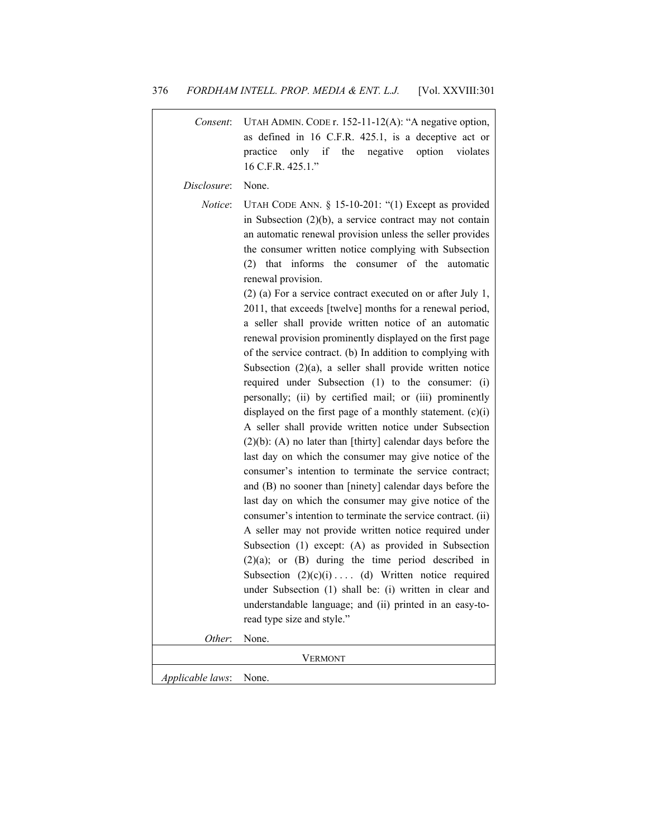| Consent:         | UTAH ADMIN. CODE r. 152-11-12(A): "A negative option,<br>as defined in 16 C.F.R. 425.1, is a deceptive act or<br>only if<br>the<br>option<br>practice<br>negative<br>violates<br>16 C.F.R. 425.1."                                                                                                                                                                                                                                                                                                                                                                                                                                                                                                                                                                                                                                                                                                                                                                                                                                                                                                                                                                                                                                                                                                                                                                                                                                                                                                                                                                                                                                                                                                                      |
|------------------|-------------------------------------------------------------------------------------------------------------------------------------------------------------------------------------------------------------------------------------------------------------------------------------------------------------------------------------------------------------------------------------------------------------------------------------------------------------------------------------------------------------------------------------------------------------------------------------------------------------------------------------------------------------------------------------------------------------------------------------------------------------------------------------------------------------------------------------------------------------------------------------------------------------------------------------------------------------------------------------------------------------------------------------------------------------------------------------------------------------------------------------------------------------------------------------------------------------------------------------------------------------------------------------------------------------------------------------------------------------------------------------------------------------------------------------------------------------------------------------------------------------------------------------------------------------------------------------------------------------------------------------------------------------------------------------------------------------------------|
| Disclosure:      | None.                                                                                                                                                                                                                                                                                                                                                                                                                                                                                                                                                                                                                                                                                                                                                                                                                                                                                                                                                                                                                                                                                                                                                                                                                                                                                                                                                                                                                                                                                                                                                                                                                                                                                                                   |
| <i>Notice</i> :  | UTAH CODE ANN. § 15-10-201: "(1) Except as provided<br>in Subsection $(2)(b)$ , a service contract may not contain<br>an automatic renewal provision unless the seller provides<br>the consumer written notice complying with Subsection<br>$(2)$ that informs<br>the consumer of the<br>automatic<br>renewal provision.<br>$(2)$ (a) For a service contract executed on or after July 1,<br>2011, that exceeds [twelve] months for a renewal period,<br>a seller shall provide written notice of an automatic<br>renewal provision prominently displayed on the first page<br>of the service contract. (b) In addition to complying with<br>Subsection $(2)(a)$ , a seller shall provide written notice<br>required under Subsection (1) to the consumer: (i)<br>personally; (ii) by certified mail; or (iii) prominently<br>displayed on the first page of a monthly statement. $(c)(i)$<br>A seller shall provide written notice under Subsection<br>$(2)(b)$ : (A) no later than [thirty] calendar days before the<br>last day on which the consumer may give notice of the<br>consumer's intention to terminate the service contract;<br>and (B) no sooner than [ninety] calendar days before the<br>last day on which the consumer may give notice of the<br>consumer's intention to terminate the service contract. (ii)<br>A seller may not provide written notice required under<br>Subsection (1) except: (A) as provided in Subsection<br>$(2)(a)$ ; or $(B)$ during the time period described in<br>Subsection $(2)(c)(i)$ (d) Written notice required<br>under Subsection (1) shall be: (i) written in clear and<br>understandable language; and (ii) printed in an easy-to-<br>read type size and style." |
| Other:           | None.                                                                                                                                                                                                                                                                                                                                                                                                                                                                                                                                                                                                                                                                                                                                                                                                                                                                                                                                                                                                                                                                                                                                                                                                                                                                                                                                                                                                                                                                                                                                                                                                                                                                                                                   |
|                  | <b>VERMONT</b>                                                                                                                                                                                                                                                                                                                                                                                                                                                                                                                                                                                                                                                                                                                                                                                                                                                                                                                                                                                                                                                                                                                                                                                                                                                                                                                                                                                                                                                                                                                                                                                                                                                                                                          |
| Applicable laws: | None.                                                                                                                                                                                                                                                                                                                                                                                                                                                                                                                                                                                                                                                                                                                                                                                                                                                                                                                                                                                                                                                                                                                                                                                                                                                                                                                                                                                                                                                                                                                                                                                                                                                                                                                   |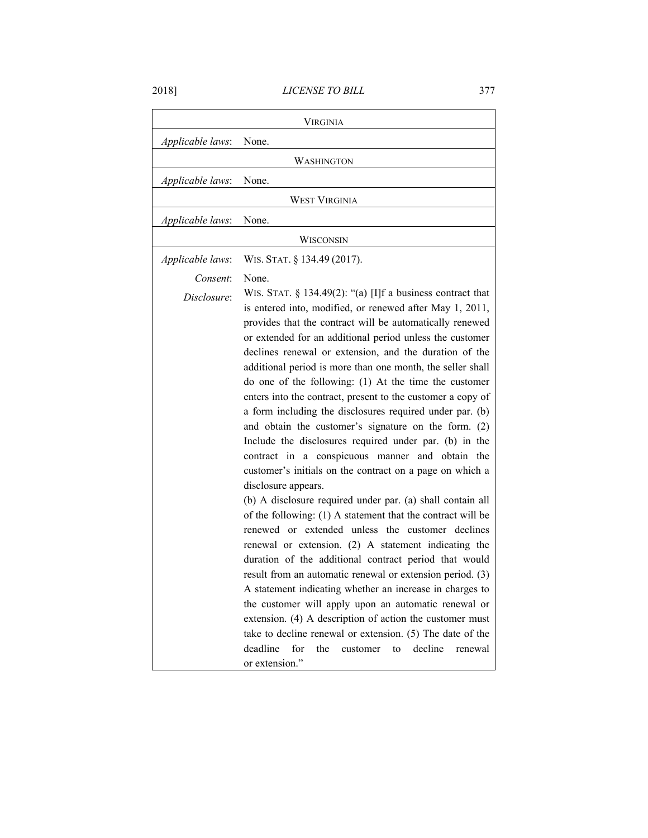| VIRGINIA         |                                                                                                                                                                                                                                                                                                                                                                                                                                                                                                                                                                                                                                                                                                                                                                                                                                                                                                                                                                                                                                                                                                                                                                                                                                                                                                                                                                                                                                                                                                                       |
|------------------|-----------------------------------------------------------------------------------------------------------------------------------------------------------------------------------------------------------------------------------------------------------------------------------------------------------------------------------------------------------------------------------------------------------------------------------------------------------------------------------------------------------------------------------------------------------------------------------------------------------------------------------------------------------------------------------------------------------------------------------------------------------------------------------------------------------------------------------------------------------------------------------------------------------------------------------------------------------------------------------------------------------------------------------------------------------------------------------------------------------------------------------------------------------------------------------------------------------------------------------------------------------------------------------------------------------------------------------------------------------------------------------------------------------------------------------------------------------------------------------------------------------------------|
| Applicable laws: | None.                                                                                                                                                                                                                                                                                                                                                                                                                                                                                                                                                                                                                                                                                                                                                                                                                                                                                                                                                                                                                                                                                                                                                                                                                                                                                                                                                                                                                                                                                                                 |
|                  | WASHINGTON                                                                                                                                                                                                                                                                                                                                                                                                                                                                                                                                                                                                                                                                                                                                                                                                                                                                                                                                                                                                                                                                                                                                                                                                                                                                                                                                                                                                                                                                                                            |
| Applicable laws: | None.                                                                                                                                                                                                                                                                                                                                                                                                                                                                                                                                                                                                                                                                                                                                                                                                                                                                                                                                                                                                                                                                                                                                                                                                                                                                                                                                                                                                                                                                                                                 |
|                  | <b>WEST VIRGINIA</b>                                                                                                                                                                                                                                                                                                                                                                                                                                                                                                                                                                                                                                                                                                                                                                                                                                                                                                                                                                                                                                                                                                                                                                                                                                                                                                                                                                                                                                                                                                  |
| Applicable laws: | None.                                                                                                                                                                                                                                                                                                                                                                                                                                                                                                                                                                                                                                                                                                                                                                                                                                                                                                                                                                                                                                                                                                                                                                                                                                                                                                                                                                                                                                                                                                                 |
|                  | WISCONSIN                                                                                                                                                                                                                                                                                                                                                                                                                                                                                                                                                                                                                                                                                                                                                                                                                                                                                                                                                                                                                                                                                                                                                                                                                                                                                                                                                                                                                                                                                                             |
| Applicable laws: | WIS. STAT. § 134.49 (2017).                                                                                                                                                                                                                                                                                                                                                                                                                                                                                                                                                                                                                                                                                                                                                                                                                                                                                                                                                                                                                                                                                                                                                                                                                                                                                                                                                                                                                                                                                           |
| Consent:         | None.                                                                                                                                                                                                                                                                                                                                                                                                                                                                                                                                                                                                                                                                                                                                                                                                                                                                                                                                                                                                                                                                                                                                                                                                                                                                                                                                                                                                                                                                                                                 |
| Disclosure:      | WIS. STAT. $\S$ 134.49(2): "(a) [I]f a business contract that<br>is entered into, modified, or renewed after May 1, 2011,<br>provides that the contract will be automatically renewed<br>or extended for an additional period unless the customer<br>declines renewal or extension, and the duration of the<br>additional period is more than one month, the seller shall<br>do one of the following: (1) At the time the customer<br>enters into the contract, present to the customer a copy of<br>a form including the disclosures required under par. (b)<br>and obtain the customer's signature on the form. (2)<br>Include the disclosures required under par. (b) in the<br>contract in a conspicuous manner and obtain the<br>customer's initials on the contract on a page on which a<br>disclosure appears.<br>(b) A disclosure required under par. (a) shall contain all<br>of the following: (1) A statement that the contract will be<br>renewed or extended unless the customer declines<br>renewal or extension. (2) A statement indicating the<br>duration of the additional contract period that would<br>result from an automatic renewal or extension period. (3)<br>A statement indicating whether an increase in charges to<br>the customer will apply upon an automatic renewal or<br>extension. (4) A description of action the customer must<br>take to decline renewal or extension. (5) The date of the<br>deadline<br>for<br>the<br>decline<br>customer<br>to<br>renewal<br>or extension." |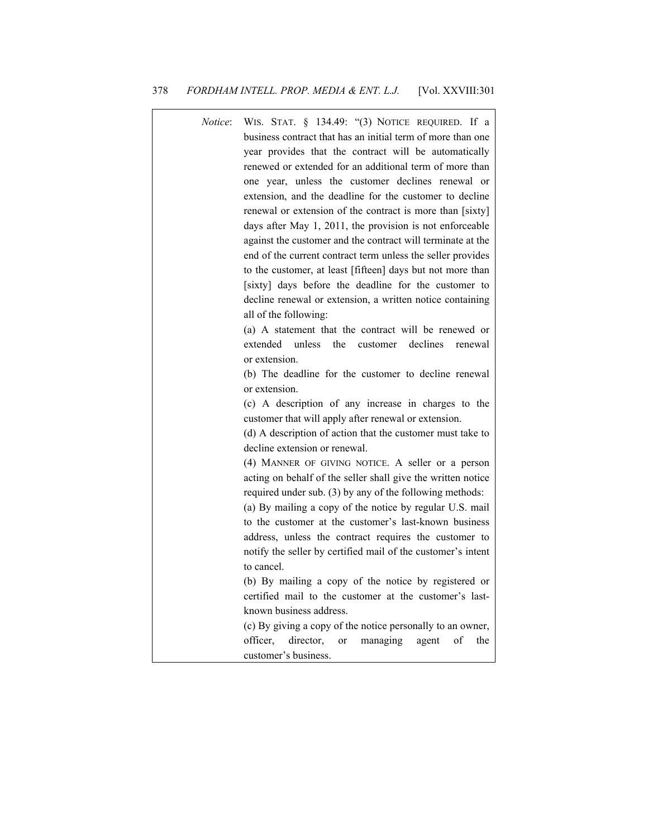| <i>Notice</i> : | WIS. STAT. § 134.49: "(3) NOTICE REQUIRED. If a<br>business contract that has an initial term of more than one<br>year provides that the contract will be automatically<br>renewed or extended for an additional term of more than                   |
|-----------------|------------------------------------------------------------------------------------------------------------------------------------------------------------------------------------------------------------------------------------------------------|
|                 | one year, unless the customer declines renewal or<br>extension, and the deadline for the customer to decline<br>renewal or extension of the contract is more than [sixty]                                                                            |
|                 | days after May 1, 2011, the provision is not enforceable<br>against the customer and the contract will terminate at the<br>end of the current contract term unless the seller provides<br>to the customer, at least [fifteen] days but not more than |
|                 | [sixty] days before the deadline for the customer to<br>decline renewal or extension, a written notice containing<br>all of the following:                                                                                                           |
|                 | (a) A statement that the contract will be renewed or<br>extended<br>unless<br>the<br>declines<br>customer<br>renewal<br>or extension.                                                                                                                |
|                 | (b) The deadline for the customer to decline renewal<br>or extension.                                                                                                                                                                                |
|                 | (c) A description of any increase in charges to the<br>customer that will apply after renewal or extension.<br>(d) A description of action that the customer must take to                                                                            |
|                 | decline extension or renewal.<br>(4) MANNER OF GIVING NOTICE. A seller or a person<br>acting on behalf of the seller shall give the written notice<br>required under sub. (3) by any of the following methods:                                       |
|                 | (a) By mailing a copy of the notice by regular U.S. mail<br>to the customer at the customer's last-known business                                                                                                                                    |
|                 | address, unless the contract requires the customer to<br>notify the seller by certified mail of the customer's intent<br>to cancel.                                                                                                                  |
|                 | (b) By mailing a copy of the notice by registered or<br>certified mail to the customer at the customer's last-                                                                                                                                       |
|                 | known business address.<br>(c) By giving a copy of the notice personally to an owner,<br>officer.<br>director,<br>managing<br>agent<br>of<br>the<br>or                                                                                               |
|                 | customer's business.                                                                                                                                                                                                                                 |